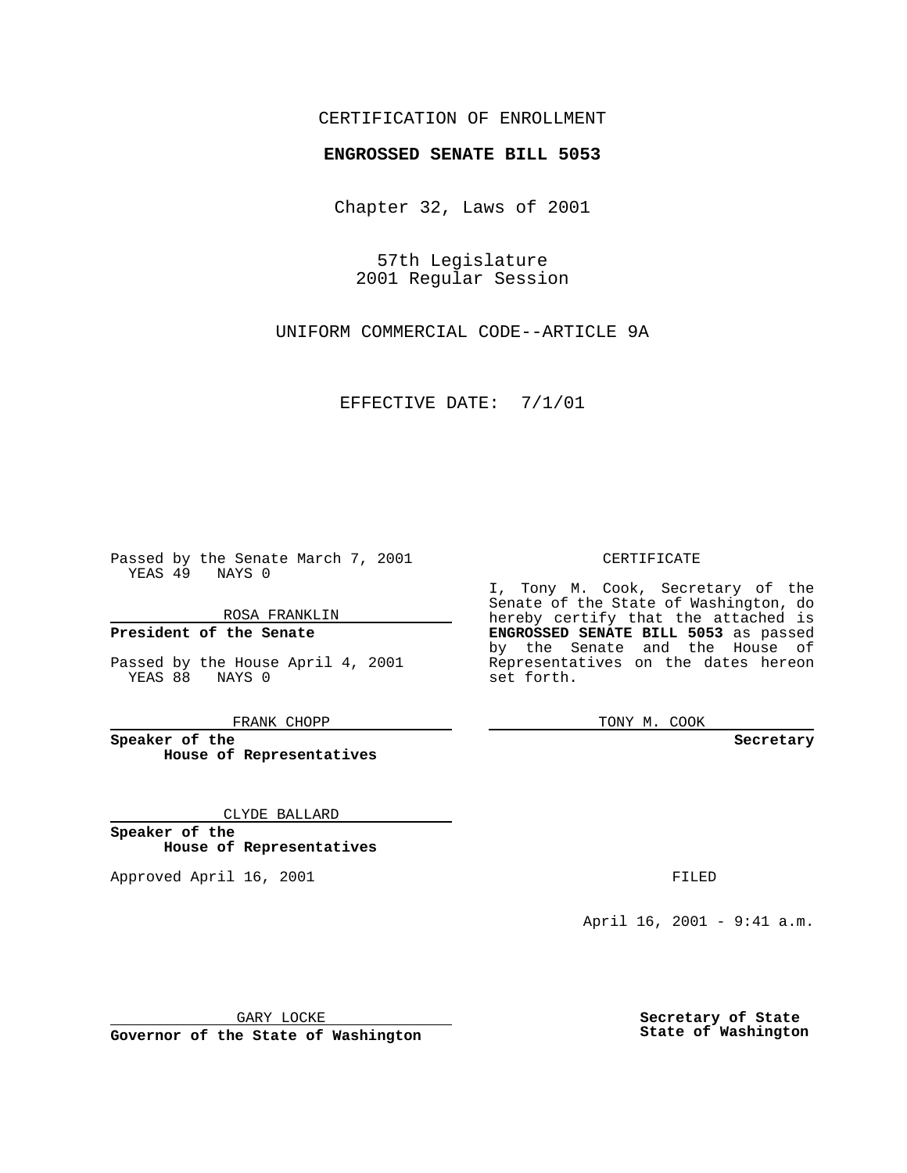### CERTIFICATION OF ENROLLMENT

# **ENGROSSED SENATE BILL 5053**

Chapter 32, Laws of 2001

57th Legislature 2001 Regular Session

UNIFORM COMMERCIAL CODE--ARTICLE 9A

EFFECTIVE DATE: 7/1/01

Passed by the Senate March 7, 2001 YEAS 49 NAYS 0

ROSA FRANKLIN

**President of the Senate**

Passed by the House April 4, 2001 YEAS 88 NAYS 0

FRANK CHOPP

**Speaker of the House of Representatives**

CLYDE BALLARD

**Speaker of the House of Representatives**

Approved April 16, 2001 **FILED** 

### CERTIFICATE

I, Tony M. Cook, Secretary of the Senate of the State of Washington, do hereby certify that the attached is **ENGROSSED SENATE BILL 5053** as passed by the Senate and the House of Representatives on the dates hereon set forth.

TONY M. COOK

#### **Secretary**

April 16, 2001 - 9:41 a.m.

GARY LOCKE

**Governor of the State of Washington**

**Secretary of State State of Washington**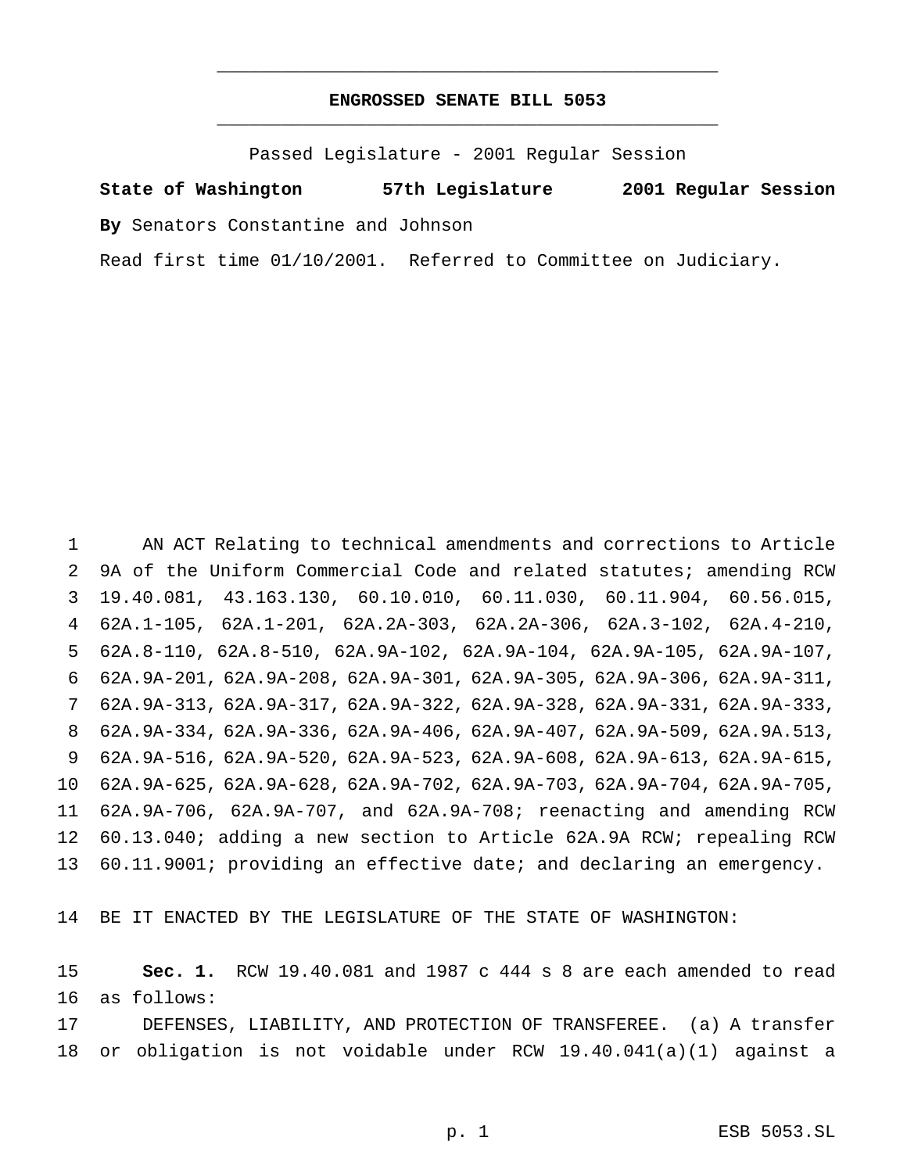## **ENGROSSED SENATE BILL 5053** \_\_\_\_\_\_\_\_\_\_\_\_\_\_\_\_\_\_\_\_\_\_\_\_\_\_\_\_\_\_\_\_\_\_\_\_\_\_\_\_\_\_\_\_\_\_\_

\_\_\_\_\_\_\_\_\_\_\_\_\_\_\_\_\_\_\_\_\_\_\_\_\_\_\_\_\_\_\_\_\_\_\_\_\_\_\_\_\_\_\_\_\_\_\_

Passed Legislature - 2001 Regular Session

**State of Washington 57th Legislature 2001 Regular Session By** Senators Constantine and Johnson

Read first time 01/10/2001. Referred to Committee on Judiciary.

 AN ACT Relating to technical amendments and corrections to Article 9A of the Uniform Commercial Code and related statutes; amending RCW 19.40.081, 43.163.130, 60.10.010, 60.11.030, 60.11.904, 60.56.015, 62A.1-105, 62A.1-201, 62A.2A-303, 62A.2A-306, 62A.3-102, 62A.4-210, 62A.8-110, 62A.8-510, 62A.9A-102, 62A.9A-104, 62A.9A-105, 62A.9A-107, 62A.9A-201, 62A.9A-208, 62A.9A-301, 62A.9A-305, 62A.9A-306, 62A.9A-311, 62A.9A-313, 62A.9A-317, 62A.9A-322, 62A.9A-328, 62A.9A-331, 62A.9A-333, 62A.9A-334, 62A.9A-336, 62A.9A-406, 62A.9A-407, 62A.9A-509, 62A.9A.513, 62A.9A-516, 62A.9A-520, 62A.9A-523, 62A.9A-608, 62A.9A-613, 62A.9A-615, 62A.9A-625, 62A.9A-628, 62A.9A-702, 62A.9A-703, 62A.9A-704, 62A.9A-705, 62A.9A-706, 62A.9A-707, and 62A.9A-708; reenacting and amending RCW 60.13.040; adding a new section to Article 62A.9A RCW; repealing RCW 60.11.9001; providing an effective date; and declaring an emergency.

BE IT ENACTED BY THE LEGISLATURE OF THE STATE OF WASHINGTON:

 **Sec. 1.** RCW 19.40.081 and 1987 c 444 s 8 are each amended to read as follows:

 DEFENSES, LIABILITY, AND PROTECTION OF TRANSFEREE. (a) A transfer or obligation is not voidable under RCW 19.40.041(a)(1) against a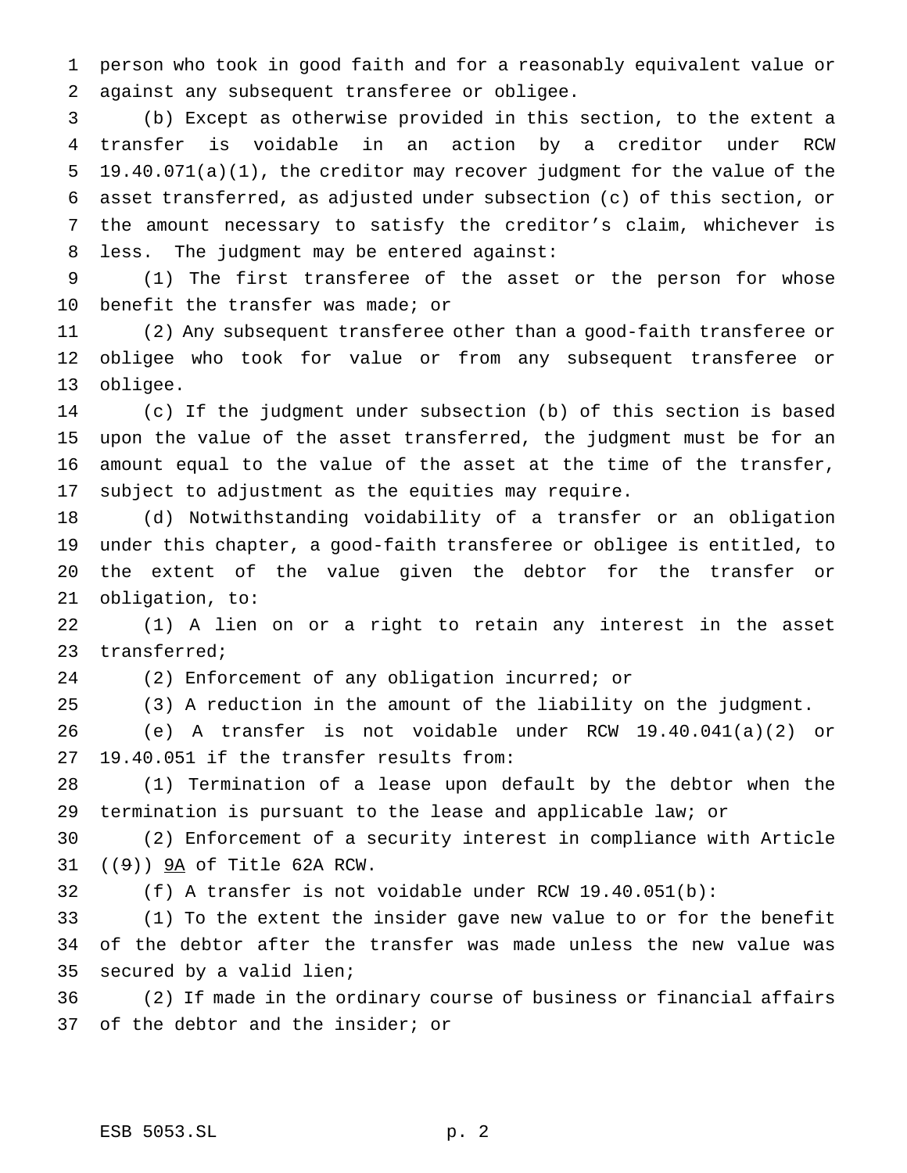person who took in good faith and for a reasonably equivalent value or against any subsequent transferee or obligee.

 (b) Except as otherwise provided in this section, to the extent a transfer is voidable in an action by a creditor under RCW 19.40.071(a)(1), the creditor may recover judgment for the value of the asset transferred, as adjusted under subsection (c) of this section, or the amount necessary to satisfy the creditor's claim, whichever is less. The judgment may be entered against:

 (1) The first transferee of the asset or the person for whose benefit the transfer was made; or

 (2) Any subsequent transferee other than a good-faith transferee or obligee who took for value or from any subsequent transferee or obligee.

 (c) If the judgment under subsection (b) of this section is based upon the value of the asset transferred, the judgment must be for an amount equal to the value of the asset at the time of the transfer, subject to adjustment as the equities may require.

 (d) Notwithstanding voidability of a transfer or an obligation under this chapter, a good-faith transferee or obligee is entitled, to the extent of the value given the debtor for the transfer or obligation, to:

 (1) A lien on or a right to retain any interest in the asset transferred;

(2) Enforcement of any obligation incurred; or

(3) A reduction in the amount of the liability on the judgment.

 (e) A transfer is not voidable under RCW 19.40.041(a)(2) or 19.40.051 if the transfer results from:

 (1) Termination of a lease upon default by the debtor when the termination is pursuant to the lease and applicable law; or

 (2) Enforcement of a security interest in compliance with Article ((9)) 9A of Title 62A RCW.

(f) A transfer is not voidable under RCW 19.40.051(b):

 (1) To the extent the insider gave new value to or for the benefit of the debtor after the transfer was made unless the new value was secured by a valid lien;

 (2) If made in the ordinary course of business or financial affairs of the debtor and the insider; or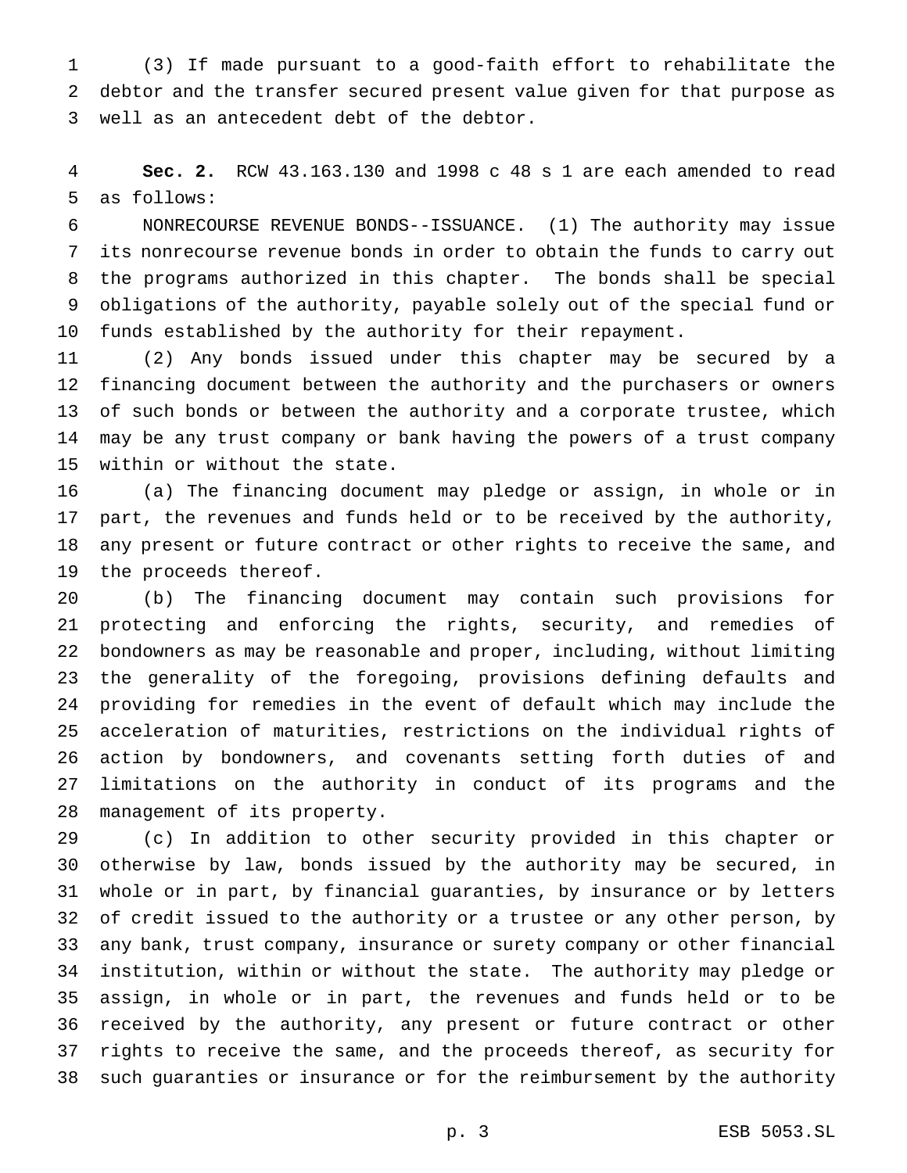(3) If made pursuant to a good-faith effort to rehabilitate the debtor and the transfer secured present value given for that purpose as well as an antecedent debt of the debtor.

 **Sec. 2.** RCW 43.163.130 and 1998 c 48 s 1 are each amended to read as follows:

 NONRECOURSE REVENUE BONDS--ISSUANCE. (1) The authority may issue its nonrecourse revenue bonds in order to obtain the funds to carry out the programs authorized in this chapter. The bonds shall be special obligations of the authority, payable solely out of the special fund or funds established by the authority for their repayment.

 (2) Any bonds issued under this chapter may be secured by a financing document between the authority and the purchasers or owners of such bonds or between the authority and a corporate trustee, which may be any trust company or bank having the powers of a trust company within or without the state.

 (a) The financing document may pledge or assign, in whole or in part, the revenues and funds held or to be received by the authority, any present or future contract or other rights to receive the same, and the proceeds thereof.

 (b) The financing document may contain such provisions for protecting and enforcing the rights, security, and remedies of bondowners as may be reasonable and proper, including, without limiting the generality of the foregoing, provisions defining defaults and providing for remedies in the event of default which may include the acceleration of maturities, restrictions on the individual rights of action by bondowners, and covenants setting forth duties of and limitations on the authority in conduct of its programs and the management of its property.

 (c) In addition to other security provided in this chapter or otherwise by law, bonds issued by the authority may be secured, in whole or in part, by financial guaranties, by insurance or by letters of credit issued to the authority or a trustee or any other person, by any bank, trust company, insurance or surety company or other financial institution, within or without the state. The authority may pledge or assign, in whole or in part, the revenues and funds held or to be received by the authority, any present or future contract or other rights to receive the same, and the proceeds thereof, as security for such guaranties or insurance or for the reimbursement by the authority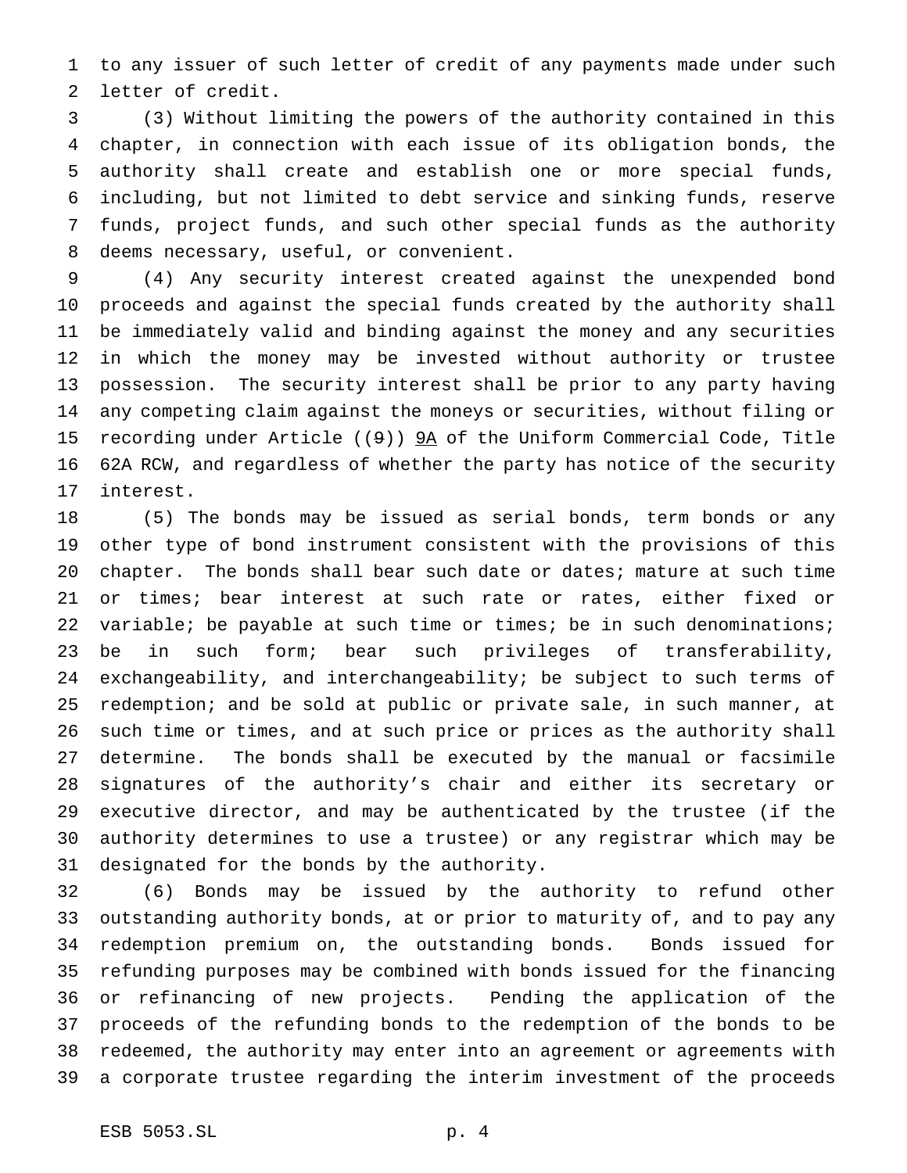to any issuer of such letter of credit of any payments made under such letter of credit.

 (3) Without limiting the powers of the authority contained in this chapter, in connection with each issue of its obligation bonds, the authority shall create and establish one or more special funds, including, but not limited to debt service and sinking funds, reserve funds, project funds, and such other special funds as the authority deems necessary, useful, or convenient.

 (4) Any security interest created against the unexpended bond proceeds and against the special funds created by the authority shall be immediately valid and binding against the money and any securities in which the money may be invested without authority or trustee possession. The security interest shall be prior to any party having any competing claim against the moneys or securities, without filing or 15 recording under Article  $((9))$   $9A$  of the Uniform Commercial Code, Title 62A RCW, and regardless of whether the party has notice of the security interest.

 (5) The bonds may be issued as serial bonds, term bonds or any other type of bond instrument consistent with the provisions of this chapter. The bonds shall bear such date or dates; mature at such time or times; bear interest at such rate or rates, either fixed or variable; be payable at such time or times; be in such denominations; be in such form; bear such privileges of transferability, exchangeability, and interchangeability; be subject to such terms of redemption; and be sold at public or private sale, in such manner, at such time or times, and at such price or prices as the authority shall determine. The bonds shall be executed by the manual or facsimile signatures of the authority's chair and either its secretary or executive director, and may be authenticated by the trustee (if the authority determines to use a trustee) or any registrar which may be designated for the bonds by the authority.

 (6) Bonds may be issued by the authority to refund other outstanding authority bonds, at or prior to maturity of, and to pay any redemption premium on, the outstanding bonds. Bonds issued for refunding purposes may be combined with bonds issued for the financing or refinancing of new projects. Pending the application of the proceeds of the refunding bonds to the redemption of the bonds to be redeemed, the authority may enter into an agreement or agreements with a corporate trustee regarding the interim investment of the proceeds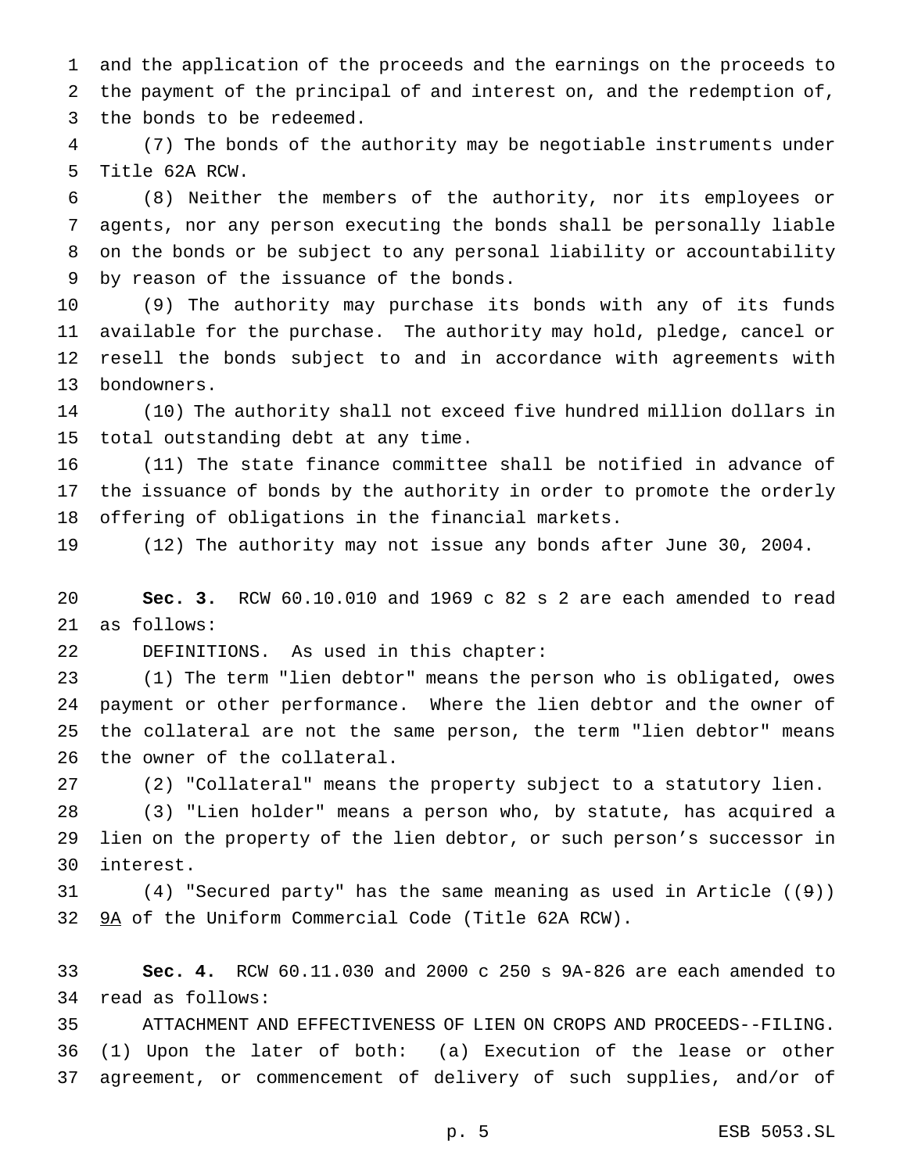and the application of the proceeds and the earnings on the proceeds to the payment of the principal of and interest on, and the redemption of, the bonds to be redeemed.

 (7) The bonds of the authority may be negotiable instruments under Title 62A RCW.

 (8) Neither the members of the authority, nor its employees or agents, nor any person executing the bonds shall be personally liable on the bonds or be subject to any personal liability or accountability by reason of the issuance of the bonds.

 (9) The authority may purchase its bonds with any of its funds available for the purchase. The authority may hold, pledge, cancel or resell the bonds subject to and in accordance with agreements with bondowners.

 (10) The authority shall not exceed five hundred million dollars in total outstanding debt at any time.

 (11) The state finance committee shall be notified in advance of the issuance of bonds by the authority in order to promote the orderly offering of obligations in the financial markets.

(12) The authority may not issue any bonds after June 30, 2004.

 **Sec. 3.** RCW 60.10.010 and 1969 c 82 s 2 are each amended to read as follows:

DEFINITIONS. As used in this chapter:

 (1) The term "lien debtor" means the person who is obligated, owes payment or other performance. Where the lien debtor and the owner of the collateral are not the same person, the term "lien debtor" means the owner of the collateral.

(2) "Collateral" means the property subject to a statutory lien.

 (3) "Lien holder" means a person who, by statute, has acquired a lien on the property of the lien debtor, or such person's successor in interest.

 (4) "Secured party" has the same meaning as used in Article ((9)) 9A of the Uniform Commercial Code (Title 62A RCW).

 **Sec. 4.** RCW 60.11.030 and 2000 c 250 s 9A-826 are each amended to read as follows:

 ATTACHMENT AND EFFECTIVENESS OF LIEN ON CROPS AND PROCEEDS--FILING. (1) Upon the later of both: (a) Execution of the lease or other agreement, or commencement of delivery of such supplies, and/or of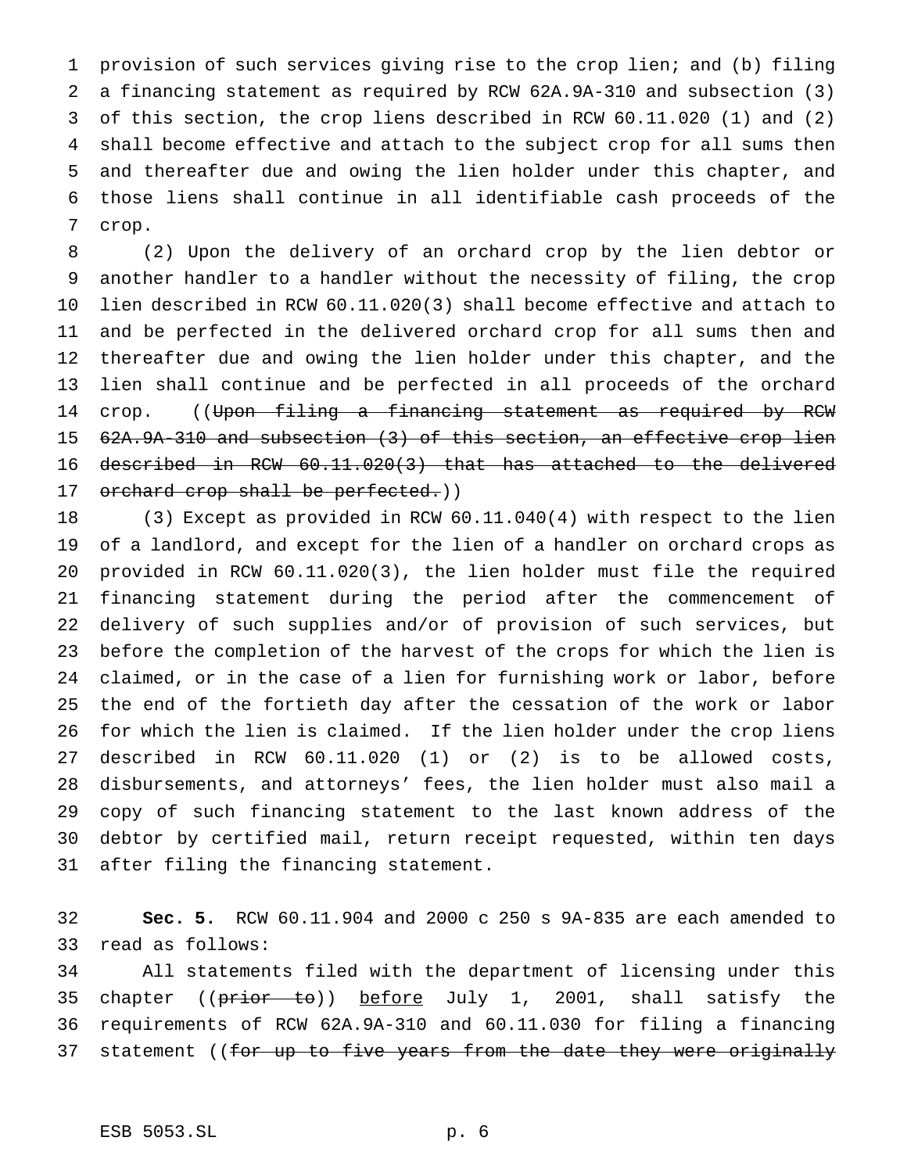provision of such services giving rise to the crop lien; and (b) filing a financing statement as required by RCW 62A.9A-310 and subsection (3) of this section, the crop liens described in RCW 60.11.020 (1) and (2) shall become effective and attach to the subject crop for all sums then and thereafter due and owing the lien holder under this chapter, and those liens shall continue in all identifiable cash proceeds of the crop.

 (2) Upon the delivery of an orchard crop by the lien debtor or another handler to a handler without the necessity of filing, the crop lien described in RCW 60.11.020(3) shall become effective and attach to and be perfected in the delivered orchard crop for all sums then and thereafter due and owing the lien holder under this chapter, and the lien shall continue and be perfected in all proceeds of the orchard 14 crop. ((Upon filing a financing statement as required by RCW 62A.9A-310 and subsection (3) of this section, an effective crop lien described in RCW 60.11.020(3) that has attached to the delivered 17 orchard crop shall be perfected.))

 (3) Except as provided in RCW 60.11.040(4) with respect to the lien of a landlord, and except for the lien of a handler on orchard crops as provided in RCW 60.11.020(3), the lien holder must file the required financing statement during the period after the commencement of delivery of such supplies and/or of provision of such services, but before the completion of the harvest of the crops for which the lien is claimed, or in the case of a lien for furnishing work or labor, before the end of the fortieth day after the cessation of the work or labor for which the lien is claimed. If the lien holder under the crop liens described in RCW 60.11.020 (1) or (2) is to be allowed costs, disbursements, and attorneys' fees, the lien holder must also mail a copy of such financing statement to the last known address of the debtor by certified mail, return receipt requested, within ten days after filing the financing statement.

 **Sec. 5.** RCW 60.11.904 and 2000 c 250 s 9A-835 are each amended to read as follows:

 All statements filed with the department of licensing under this 35 chapter ((<del>prior to</del>)) <u>before</u> July 1, 2001, shall satisfy the requirements of RCW 62A.9A-310 and 60.11.030 for filing a financing 37 statement ((<del>for up to five years from the date they were originally</del>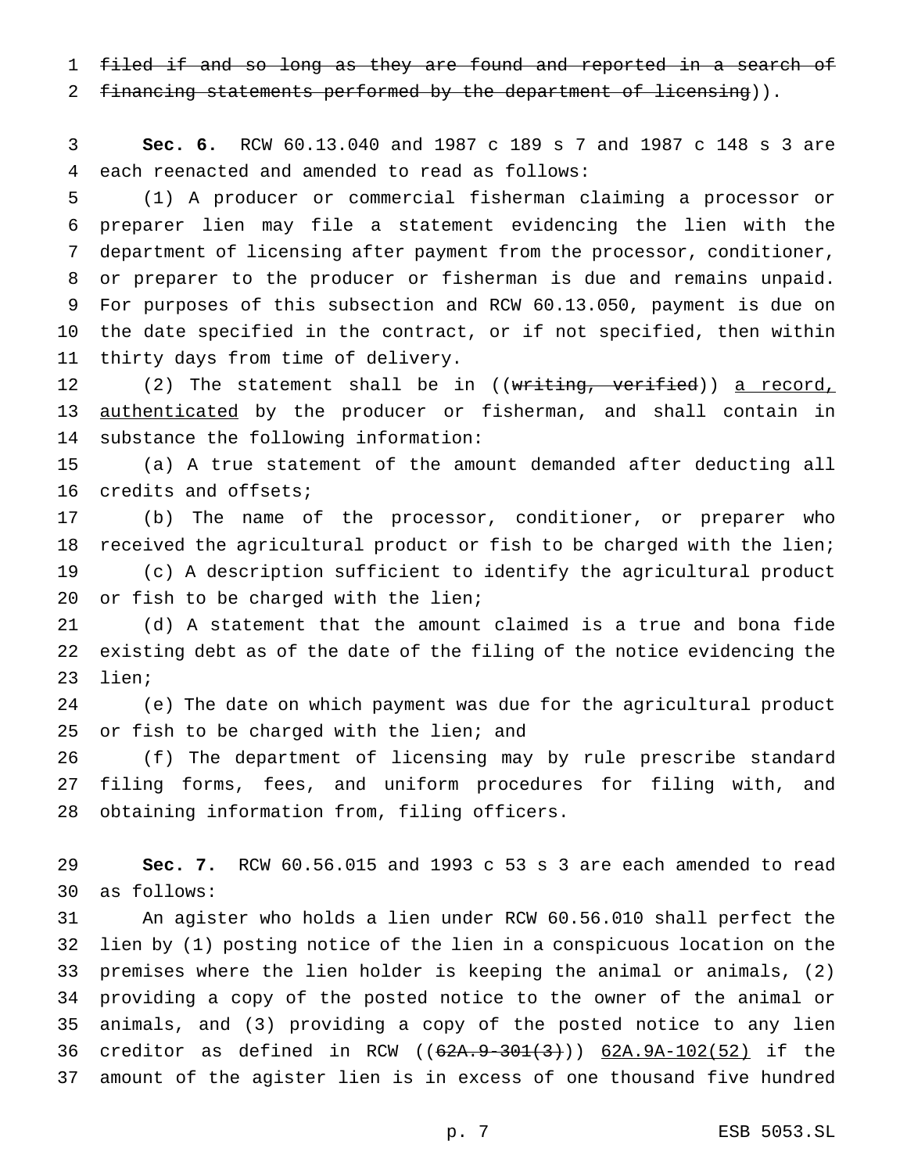filed if and so long as they are found and reported in a search of

2 financing statements performed by the department of licensing)).

 **Sec. 6.** RCW 60.13.040 and 1987 c 189 s 7 and 1987 c 148 s 3 are each reenacted and amended to read as follows:

 (1) A producer or commercial fisherman claiming a processor or preparer lien may file a statement evidencing the lien with the department of licensing after payment from the processor, conditioner, or preparer to the producer or fisherman is due and remains unpaid. For purposes of this subsection and RCW 60.13.050, payment is due on the date specified in the contract, or if not specified, then within thirty days from time of delivery.

12 (2) The statement shall be in ((writing, verified)) a record, 13 authenticated by the producer or fisherman, and shall contain in substance the following information:

 (a) A true statement of the amount demanded after deducting all credits and offsets;

 (b) The name of the processor, conditioner, or preparer who received the agricultural product or fish to be charged with the lien; (c) A description sufficient to identify the agricultural product or fish to be charged with the lien;

 (d) A statement that the amount claimed is a true and bona fide existing debt as of the date of the filing of the notice evidencing the lien;

 (e) The date on which payment was due for the agricultural product 25 or fish to be charged with the lien; and

 (f) The department of licensing may by rule prescribe standard filing forms, fees, and uniform procedures for filing with, and obtaining information from, filing officers.

 **Sec. 7.** RCW 60.56.015 and 1993 c 53 s 3 are each amended to read as follows:

 An agister who holds a lien under RCW 60.56.010 shall perfect the lien by (1) posting notice of the lien in a conspicuous location on the premises where the lien holder is keeping the animal or animals, (2) providing a copy of the posted notice to the owner of the animal or animals, and (3) providing a copy of the posted notice to any lien 36 creditor as defined in RCW  $((62A.9-301(3)))$  62A.9A-102(52) if the amount of the agister lien is in excess of one thousand five hundred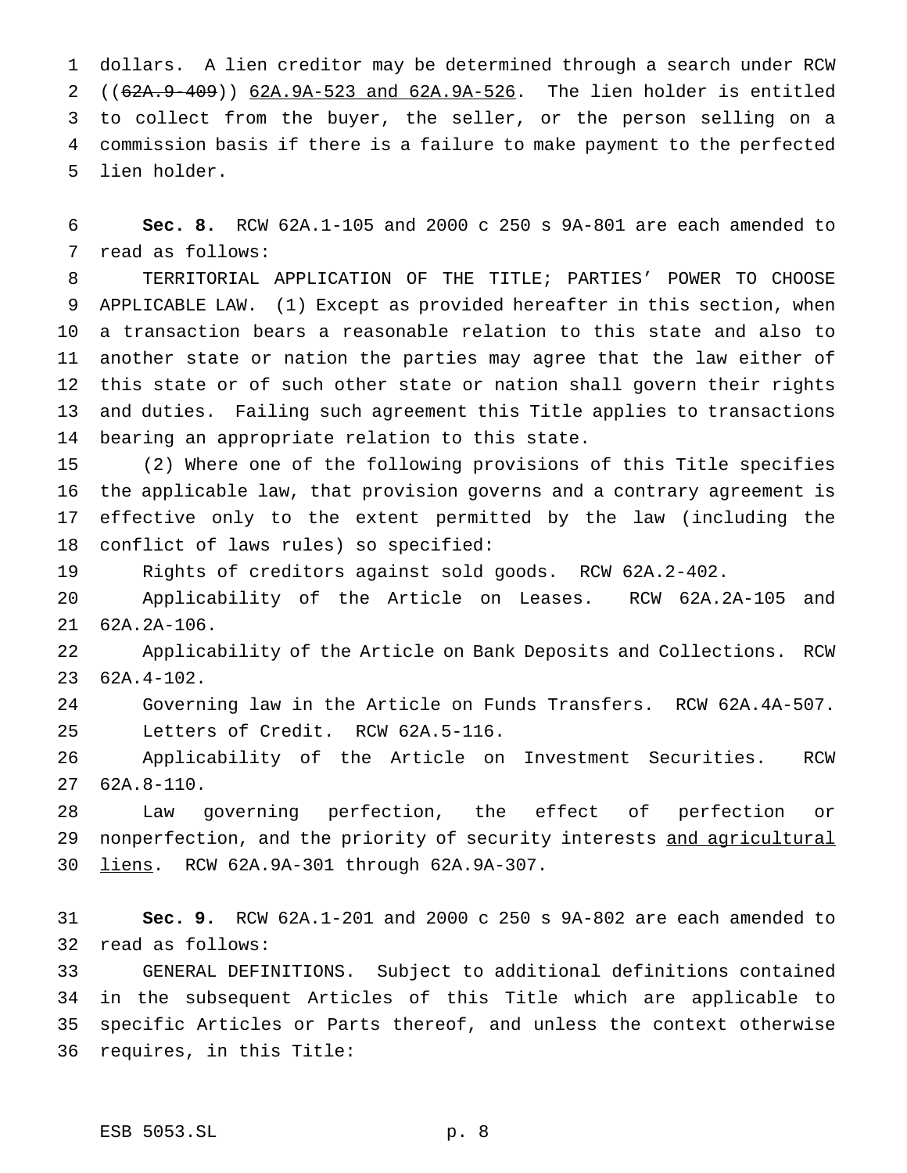dollars. A lien creditor may be determined through a search under RCW ((62A.9-409)) 62A.9A-523 and 62A.9A-526. The lien holder is entitled to collect from the buyer, the seller, or the person selling on a commission basis if there is a failure to make payment to the perfected lien holder.

 **Sec. 8.** RCW 62A.1-105 and 2000 c 250 s 9A-801 are each amended to read as follows:

 TERRITORIAL APPLICATION OF THE TITLE; PARTIES' POWER TO CHOOSE APPLICABLE LAW. (1) Except as provided hereafter in this section, when a transaction bears a reasonable relation to this state and also to another state or nation the parties may agree that the law either of this state or of such other state or nation shall govern their rights and duties. Failing such agreement this Title applies to transactions bearing an appropriate relation to this state.

 (2) Where one of the following provisions of this Title specifies the applicable law, that provision governs and a contrary agreement is effective only to the extent permitted by the law (including the conflict of laws rules) so specified:

Rights of creditors against sold goods. RCW 62A.2-402.

 Applicability of the Article on Leases. RCW 62A.2A-105 and 62A.2A-106.

 Applicability of the Article on Bank Deposits and Collections. RCW 62A.4-102.

 Governing law in the Article on Funds Transfers. RCW 62A.4A-507. Letters of Credit. RCW 62A.5-116.

 Applicability of the Article on Investment Securities. RCW 62A.8-110.

 Law governing perfection, the effect of perfection or 29 nonperfection, and the priority of security interests and agricultural liens. RCW 62A.9A-301 through 62A.9A-307.

 **Sec. 9.** RCW 62A.1-201 and 2000 c 250 s 9A-802 are each amended to read as follows:

 GENERAL DEFINITIONS. Subject to additional definitions contained in the subsequent Articles of this Title which are applicable to specific Articles or Parts thereof, and unless the context otherwise requires, in this Title: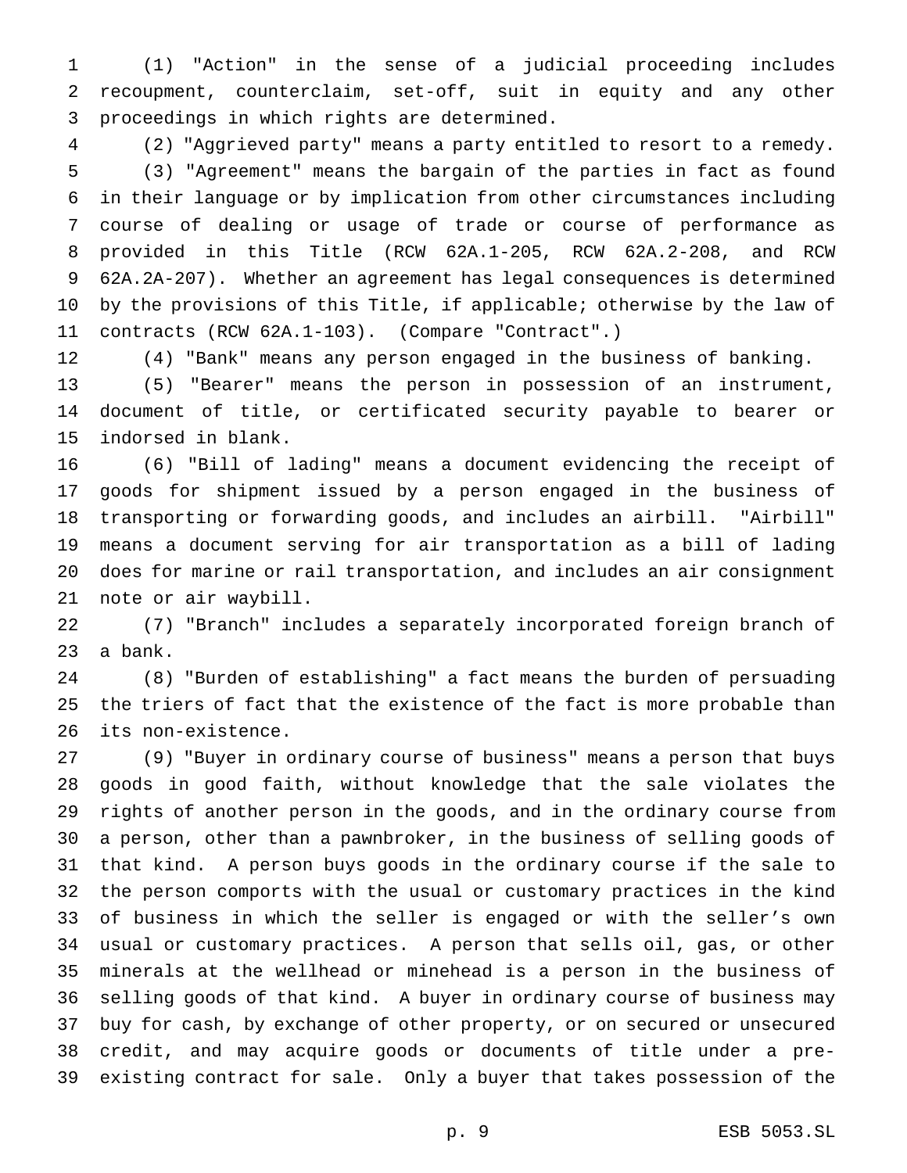(1) "Action" in the sense of a judicial proceeding includes recoupment, counterclaim, set-off, suit in equity and any other proceedings in which rights are determined.

 (2) "Aggrieved party" means a party entitled to resort to a remedy. (3) "Agreement" means the bargain of the parties in fact as found in their language or by implication from other circumstances including course of dealing or usage of trade or course of performance as provided in this Title (RCW 62A.1-205, RCW 62A.2-208, and RCW 62A.2A-207). Whether an agreement has legal consequences is determined by the provisions of this Title, if applicable; otherwise by the law of contracts (RCW 62A.1-103). (Compare "Contract".)

(4) "Bank" means any person engaged in the business of banking.

 (5) "Bearer" means the person in possession of an instrument, document of title, or certificated security payable to bearer or indorsed in blank.

 (6) "Bill of lading" means a document evidencing the receipt of goods for shipment issued by a person engaged in the business of transporting or forwarding goods, and includes an airbill. "Airbill" means a document serving for air transportation as a bill of lading does for marine or rail transportation, and includes an air consignment note or air waybill.

 (7) "Branch" includes a separately incorporated foreign branch of a bank.

 (8) "Burden of establishing" a fact means the burden of persuading the triers of fact that the existence of the fact is more probable than its non-existence.

 (9) "Buyer in ordinary course of business" means a person that buys goods in good faith, without knowledge that the sale violates the rights of another person in the goods, and in the ordinary course from a person, other than a pawnbroker, in the business of selling goods of that kind. A person buys goods in the ordinary course if the sale to the person comports with the usual or customary practices in the kind of business in which the seller is engaged or with the seller's own usual or customary practices. A person that sells oil, gas, or other minerals at the wellhead or minehead is a person in the business of selling goods of that kind. A buyer in ordinary course of business may buy for cash, by exchange of other property, or on secured or unsecured credit, and may acquire goods or documents of title under a pre-existing contract for sale. Only a buyer that takes possession of the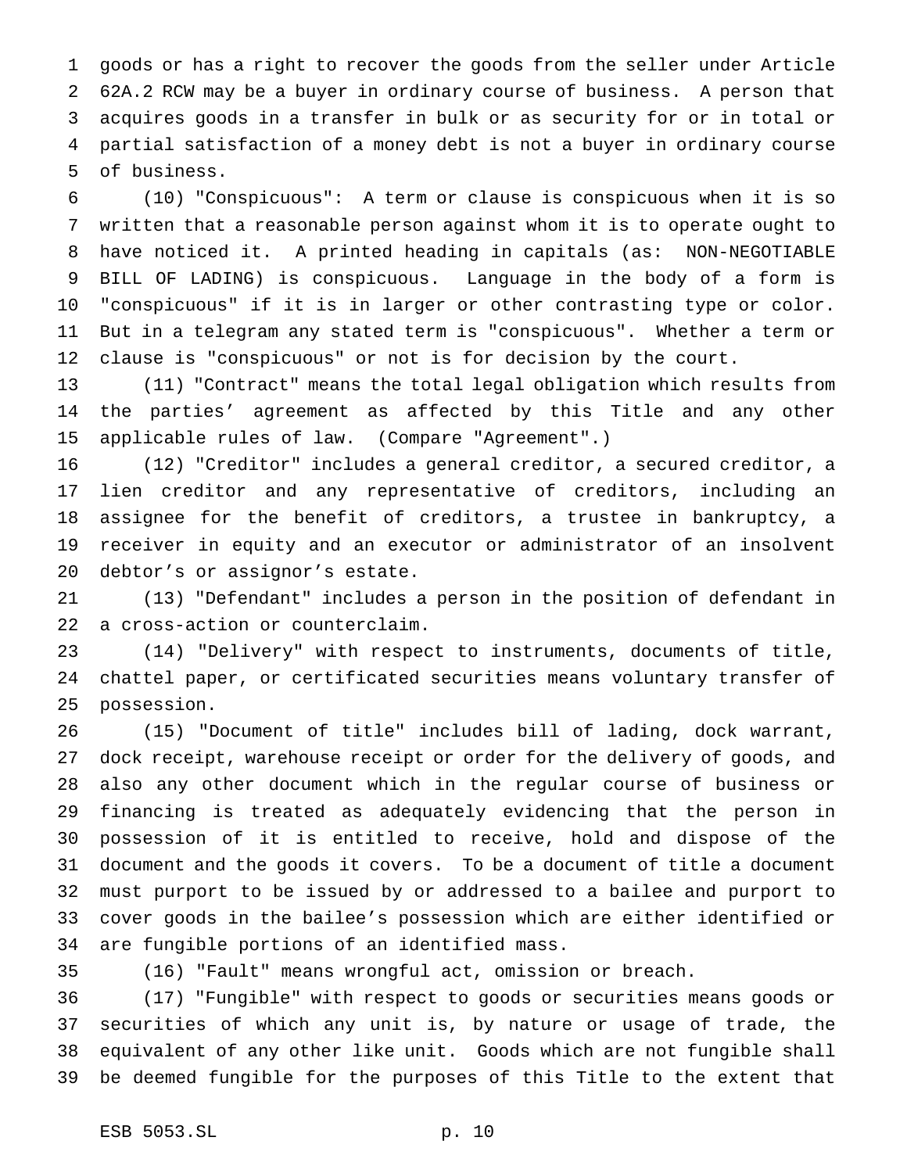goods or has a right to recover the goods from the seller under Article 62A.2 RCW may be a buyer in ordinary course of business. A person that acquires goods in a transfer in bulk or as security for or in total or partial satisfaction of a money debt is not a buyer in ordinary course of business.

 (10) "Conspicuous": A term or clause is conspicuous when it is so written that a reasonable person against whom it is to operate ought to have noticed it. A printed heading in capitals (as: NON-NEGOTIABLE BILL OF LADING) is conspicuous. Language in the body of a form is "conspicuous" if it is in larger or other contrasting type or color. But in a telegram any stated term is "conspicuous". Whether a term or clause is "conspicuous" or not is for decision by the court.

 (11) "Contract" means the total legal obligation which results from the parties' agreement as affected by this Title and any other applicable rules of law. (Compare "Agreement".)

 (12) "Creditor" includes a general creditor, a secured creditor, a lien creditor and any representative of creditors, including an assignee for the benefit of creditors, a trustee in bankruptcy, a receiver in equity and an executor or administrator of an insolvent debtor's or assignor's estate.

 (13) "Defendant" includes a person in the position of defendant in a cross-action or counterclaim.

 (14) "Delivery" with respect to instruments, documents of title, chattel paper, or certificated securities means voluntary transfer of possession.

 (15) "Document of title" includes bill of lading, dock warrant, dock receipt, warehouse receipt or order for the delivery of goods, and also any other document which in the regular course of business or financing is treated as adequately evidencing that the person in possession of it is entitled to receive, hold and dispose of the document and the goods it covers. To be a document of title a document must purport to be issued by or addressed to a bailee and purport to cover goods in the bailee's possession which are either identified or are fungible portions of an identified mass.

(16) "Fault" means wrongful act, omission or breach.

 (17) "Fungible" with respect to goods or securities means goods or securities of which any unit is, by nature or usage of trade, the equivalent of any other like unit. Goods which are not fungible shall be deemed fungible for the purposes of this Title to the extent that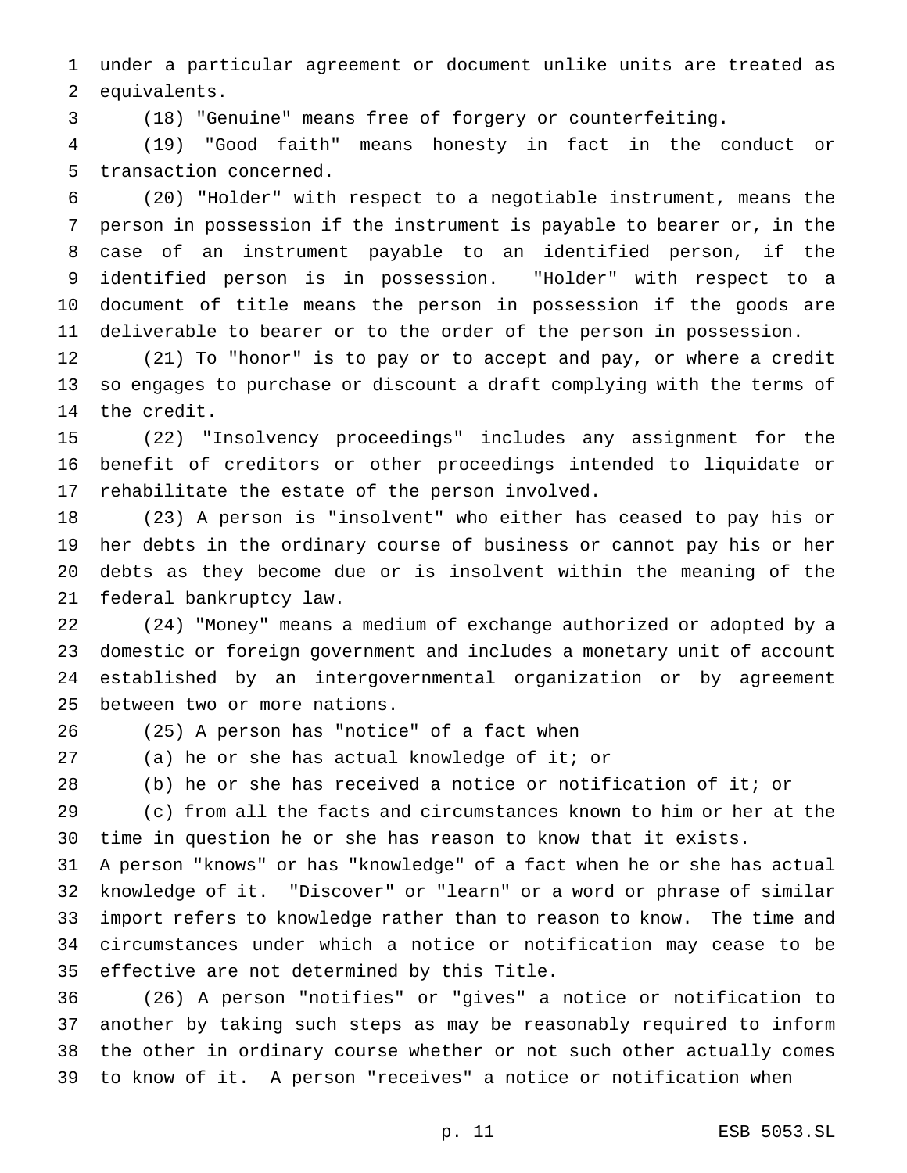under a particular agreement or document unlike units are treated as equivalents.

(18) "Genuine" means free of forgery or counterfeiting.

 (19) "Good faith" means honesty in fact in the conduct or transaction concerned.

 (20) "Holder" with respect to a negotiable instrument, means the person in possession if the instrument is payable to bearer or, in the case of an instrument payable to an identified person, if the identified person is in possession. "Holder" with respect to a document of title means the person in possession if the goods are deliverable to bearer or to the order of the person in possession.

 (21) To "honor" is to pay or to accept and pay, or where a credit so engages to purchase or discount a draft complying with the terms of the credit.

 (22) "Insolvency proceedings" includes any assignment for the benefit of creditors or other proceedings intended to liquidate or rehabilitate the estate of the person involved.

 (23) A person is "insolvent" who either has ceased to pay his or her debts in the ordinary course of business or cannot pay his or her debts as they become due or is insolvent within the meaning of the federal bankruptcy law.

 (24) "Money" means a medium of exchange authorized or adopted by a domestic or foreign government and includes a monetary unit of account established by an intergovernmental organization or by agreement between two or more nations.

(25) A person has "notice" of a fact when

(a) he or she has actual knowledge of it; or

(b) he or she has received a notice or notification of it; or

 (c) from all the facts and circumstances known to him or her at the time in question he or she has reason to know that it exists.

 A person "knows" or has "knowledge" of a fact when he or she has actual knowledge of it. "Discover" or "learn" or a word or phrase of similar import refers to knowledge rather than to reason to know. The time and circumstances under which a notice or notification may cease to be effective are not determined by this Title.

 (26) A person "notifies" or "gives" a notice or notification to another by taking such steps as may be reasonably required to inform the other in ordinary course whether or not such other actually comes to know of it. A person "receives" a notice or notification when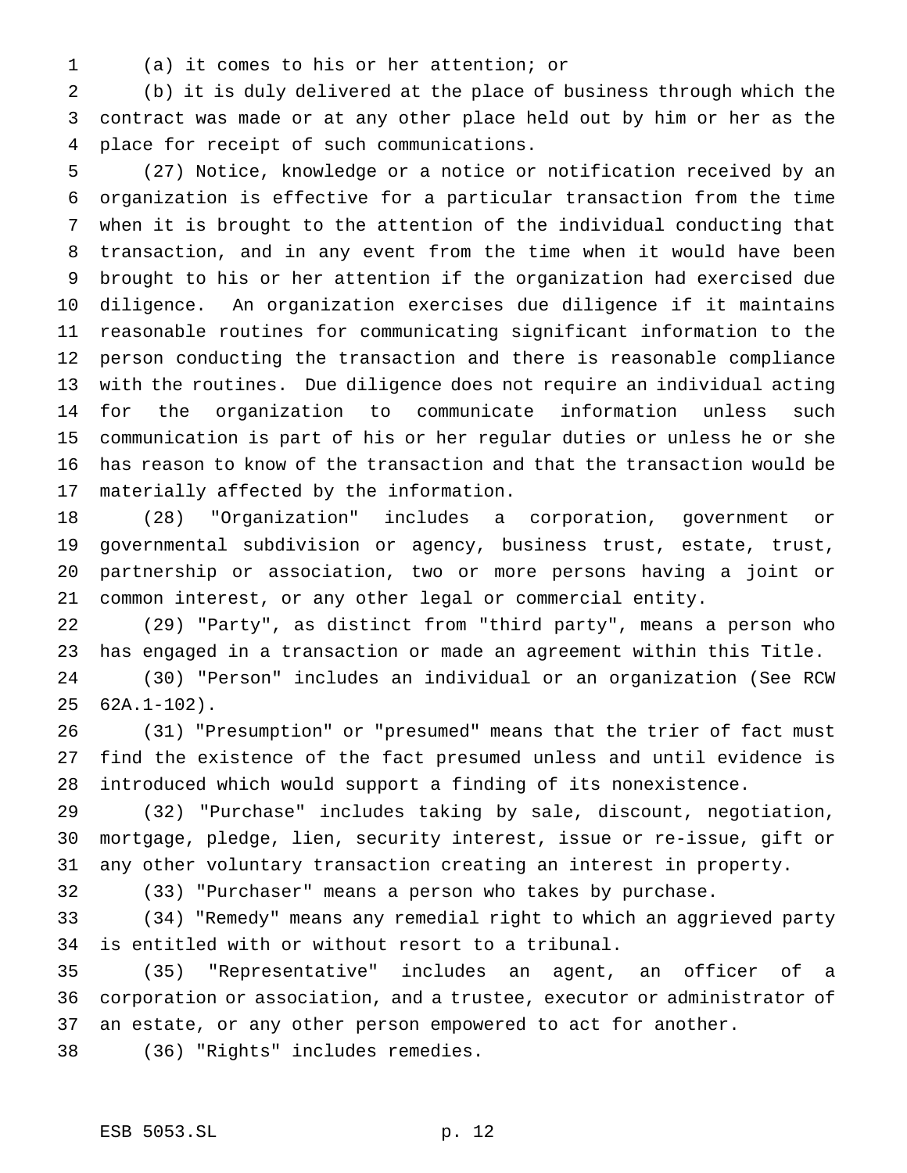(a) it comes to his or her attention; or

 (b) it is duly delivered at the place of business through which the contract was made or at any other place held out by him or her as the place for receipt of such communications.

 (27) Notice, knowledge or a notice or notification received by an organization is effective for a particular transaction from the time when it is brought to the attention of the individual conducting that transaction, and in any event from the time when it would have been brought to his or her attention if the organization had exercised due diligence. An organization exercises due diligence if it maintains reasonable routines for communicating significant information to the person conducting the transaction and there is reasonable compliance with the routines. Due diligence does not require an individual acting for the organization to communicate information unless such communication is part of his or her regular duties or unless he or she has reason to know of the transaction and that the transaction would be materially affected by the information.

 (28) "Organization" includes a corporation, government or governmental subdivision or agency, business trust, estate, trust, partnership or association, two or more persons having a joint or common interest, or any other legal or commercial entity.

 (29) "Party", as distinct from "third party", means a person who has engaged in a transaction or made an agreement within this Title.

 (30) "Person" includes an individual or an organization (See RCW 62A.1-102).

 (31) "Presumption" or "presumed" means that the trier of fact must find the existence of the fact presumed unless and until evidence is introduced which would support a finding of its nonexistence.

 (32) "Purchase" includes taking by sale, discount, negotiation, mortgage, pledge, lien, security interest, issue or re-issue, gift or any other voluntary transaction creating an interest in property.

(33) "Purchaser" means a person who takes by purchase.

 (34) "Remedy" means any remedial right to which an aggrieved party is entitled with or without resort to a tribunal.

 (35) "Representative" includes an agent, an officer of a corporation or association, and a trustee, executor or administrator of an estate, or any other person empowered to act for another.

(36) "Rights" includes remedies.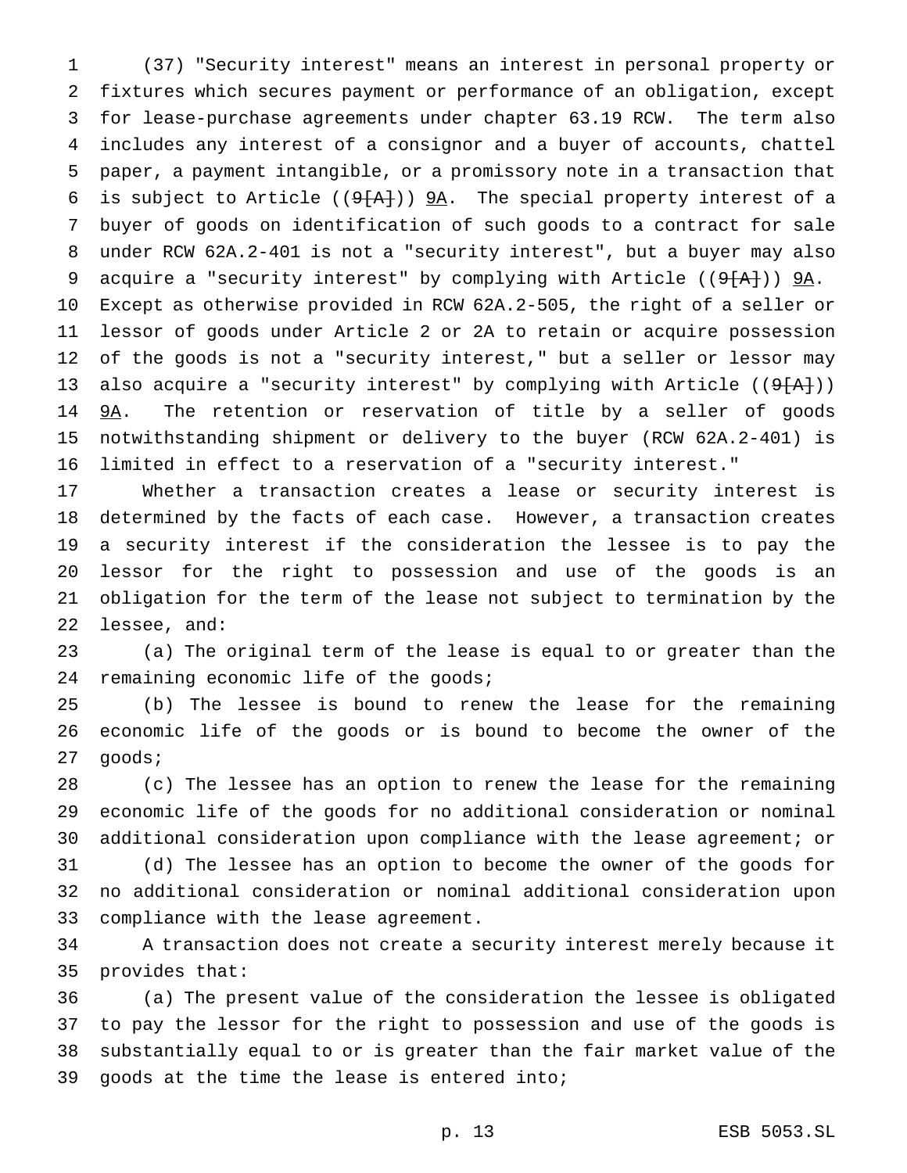(37) "Security interest" means an interest in personal property or fixtures which secures payment or performance of an obligation, except for lease-purchase agreements under chapter 63.19 RCW. The term also includes any interest of a consignor and a buyer of accounts, chattel paper, a payment intangible, or a promissory note in a transaction that 6 is subject to Article ( $(9{+}A)$ )  $9A$ . The special property interest of a buyer of goods on identification of such goods to a contract for sale under RCW 62A.2-401 is not a "security interest", but a buyer may also 9 acquire a "security interest" by complying with Article  $((9{A})^2)$   $(9A)$ . Except as otherwise provided in RCW 62A.2-505, the right of a seller or lessor of goods under Article 2 or 2A to retain or acquire possession of the goods is not a "security interest," but a seller or lessor may 13 also acquire a "security interest" by complying with Article  $((9{A})$ ) 14 9A. The retention or reservation of title by a seller of goods notwithstanding shipment or delivery to the buyer (RCW 62A.2-401) is limited in effect to a reservation of a "security interest."

 Whether a transaction creates a lease or security interest is determined by the facts of each case. However, a transaction creates a security interest if the consideration the lessee is to pay the lessor for the right to possession and use of the goods is an obligation for the term of the lease not subject to termination by the lessee, and:

 (a) The original term of the lease is equal to or greater than the 24 remaining economic life of the goods;

 (b) The lessee is bound to renew the lease for the remaining economic life of the goods or is bound to become the owner of the goods;

 (c) The lessee has an option to renew the lease for the remaining economic life of the goods for no additional consideration or nominal additional consideration upon compliance with the lease agreement; or (d) The lessee has an option to become the owner of the goods for no additional consideration or nominal additional consideration upon compliance with the lease agreement.

 A transaction does not create a security interest merely because it provides that:

 (a) The present value of the consideration the lessee is obligated to pay the lessor for the right to possession and use of the goods is substantially equal to or is greater than the fair market value of the goods at the time the lease is entered into;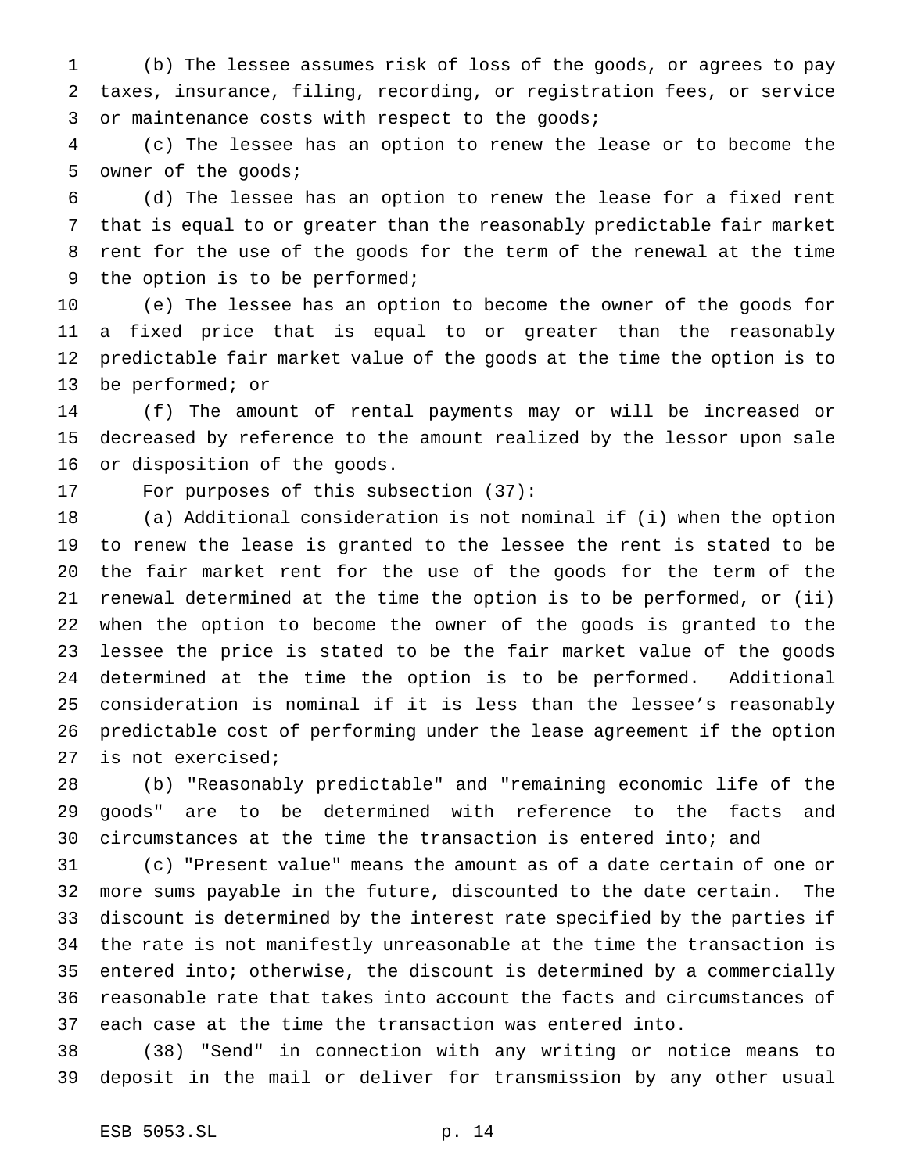(b) The lessee assumes risk of loss of the goods, or agrees to pay taxes, insurance, filing, recording, or registration fees, or service 3 or maintenance costs with respect to the goods;

 (c) The lessee has an option to renew the lease or to become the owner of the goods;

 (d) The lessee has an option to renew the lease for a fixed rent that is equal to or greater than the reasonably predictable fair market rent for the use of the goods for the term of the renewal at the time the option is to be performed;

 (e) The lessee has an option to become the owner of the goods for a fixed price that is equal to or greater than the reasonably predictable fair market value of the goods at the time the option is to be performed; or

 (f) The amount of rental payments may or will be increased or decreased by reference to the amount realized by the lessor upon sale or disposition of the goods.

For purposes of this subsection (37):

 (a) Additional consideration is not nominal if (i) when the option to renew the lease is granted to the lessee the rent is stated to be the fair market rent for the use of the goods for the term of the renewal determined at the time the option is to be performed, or (ii) when the option to become the owner of the goods is granted to the lessee the price is stated to be the fair market value of the goods determined at the time the option is to be performed. Additional consideration is nominal if it is less than the lessee's reasonably predictable cost of performing under the lease agreement if the option is not exercised;

 (b) "Reasonably predictable" and "remaining economic life of the goods" are to be determined with reference to the facts and circumstances at the time the transaction is entered into; and

 (c) "Present value" means the amount as of a date certain of one or more sums payable in the future, discounted to the date certain. The discount is determined by the interest rate specified by the parties if the rate is not manifestly unreasonable at the time the transaction is entered into; otherwise, the discount is determined by a commercially reasonable rate that takes into account the facts and circumstances of each case at the time the transaction was entered into.

 (38) "Send" in connection with any writing or notice means to deposit in the mail or deliver for transmission by any other usual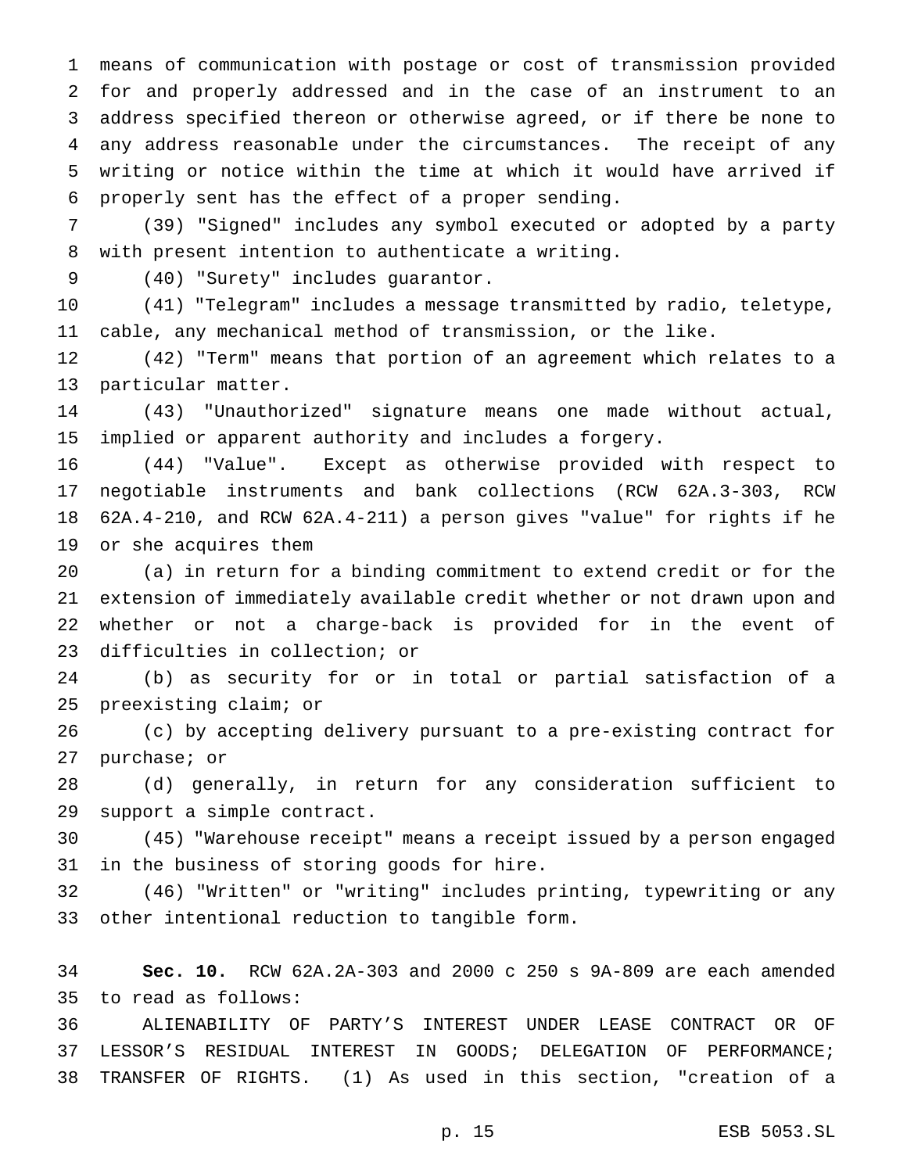means of communication with postage or cost of transmission provided for and properly addressed and in the case of an instrument to an address specified thereon or otherwise agreed, or if there be none to any address reasonable under the circumstances. The receipt of any writing or notice within the time at which it would have arrived if properly sent has the effect of a proper sending.

 (39) "Signed" includes any symbol executed or adopted by a party with present intention to authenticate a writing.

(40) "Surety" includes guarantor.

 (41) "Telegram" includes a message transmitted by radio, teletype, cable, any mechanical method of transmission, or the like.

 (42) "Term" means that portion of an agreement which relates to a particular matter.

 (43) "Unauthorized" signature means one made without actual, implied or apparent authority and includes a forgery.

 (44) "Value". Except as otherwise provided with respect to negotiable instruments and bank collections (RCW 62A.3-303, RCW 62A.4-210, and RCW 62A.4-211) a person gives "value" for rights if he or she acquires them

 (a) in return for a binding commitment to extend credit or for the extension of immediately available credit whether or not drawn upon and whether or not a charge-back is provided for in the event of difficulties in collection; or

 (b) as security for or in total or partial satisfaction of a preexisting claim; or

 (c) by accepting delivery pursuant to a pre-existing contract for purchase; or

 (d) generally, in return for any consideration sufficient to support a simple contract.

 (45) "Warehouse receipt" means a receipt issued by a person engaged in the business of storing goods for hire.

 (46) "Written" or "writing" includes printing, typewriting or any other intentional reduction to tangible form.

 **Sec. 10.** RCW 62A.2A-303 and 2000 c 250 s 9A-809 are each amended to read as follows:

 ALIENABILITY OF PARTY'S INTEREST UNDER LEASE CONTRACT OR OF LESSOR'S RESIDUAL INTEREST IN GOODS; DELEGATION OF PERFORMANCE; TRANSFER OF RIGHTS. (1) As used in this section, "creation of a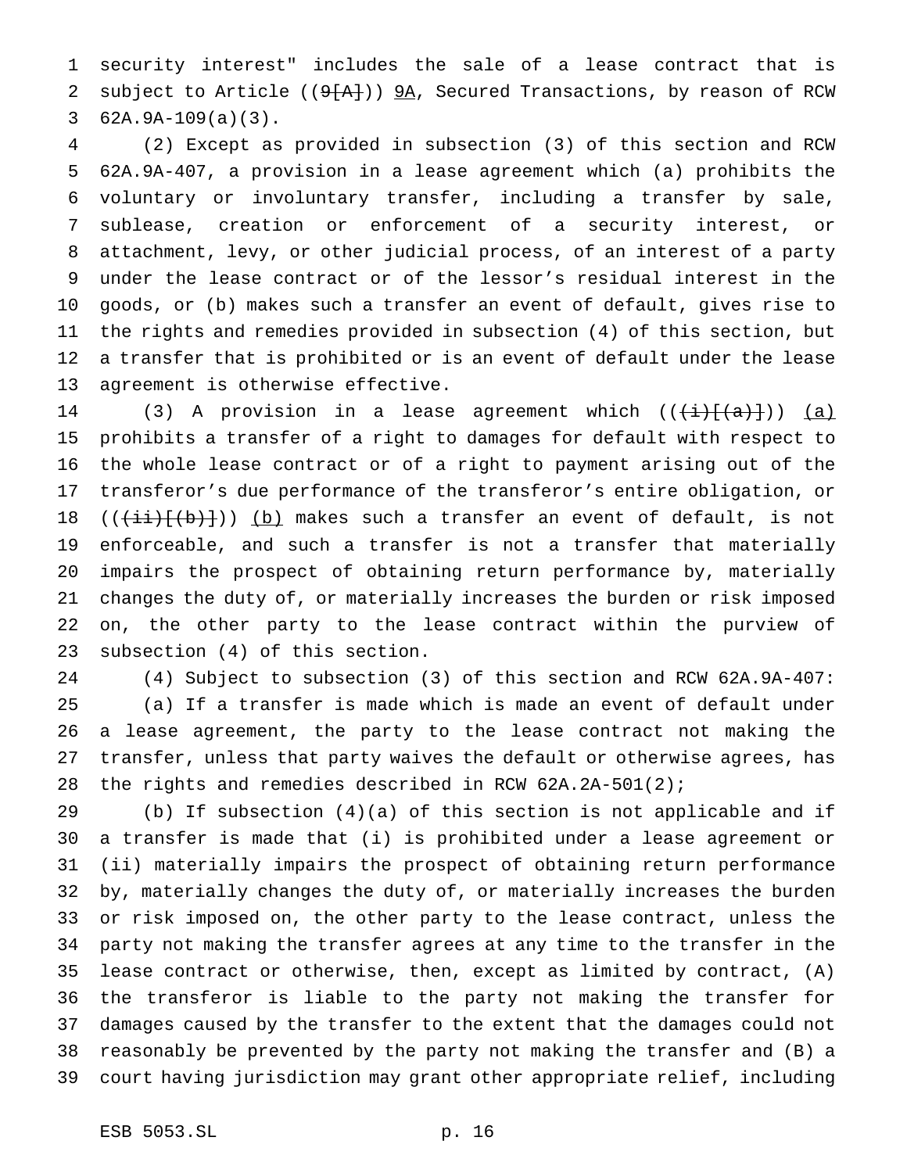security interest" includes the sale of a lease contract that is 2 subject to Article  $((9{A})^2)$   $(9A)$ , Secured Transactions, by reason of RCW 62A.9A-109(a)(3).

 (2) Except as provided in subsection (3) of this section and RCW 62A.9A-407, a provision in a lease agreement which (a) prohibits the voluntary or involuntary transfer, including a transfer by sale, sublease, creation or enforcement of a security interest, or attachment, levy, or other judicial process, of an interest of a party under the lease contract or of the lessor's residual interest in the goods, or (b) makes such a transfer an event of default, gives rise to the rights and remedies provided in subsection (4) of this section, but a transfer that is prohibited or is an event of default under the lease agreement is otherwise effective.

14 (3) A provision in a lease agreement which  $((+i) \{ (a)\})$  (a) prohibits a transfer of a right to damages for default with respect to the whole lease contract or of a right to payment arising out of the transferor's due performance of the transferor's entire obligation, or 18 ( $(\{\pm i\}, \{\leftrightarrow\})$ ) (b) makes such a transfer an event of default, is not enforceable, and such a transfer is not a transfer that materially impairs the prospect of obtaining return performance by, materially changes the duty of, or materially increases the burden or risk imposed on, the other party to the lease contract within the purview of subsection (4) of this section.

 (4) Subject to subsection (3) of this section and RCW 62A.9A-407: (a) If a transfer is made which is made an event of default under a lease agreement, the party to the lease contract not making the transfer, unless that party waives the default or otherwise agrees, has the rights and remedies described in RCW 62A.2A-501(2);

 (b) If subsection (4)(a) of this section is not applicable and if a transfer is made that (i) is prohibited under a lease agreement or (ii) materially impairs the prospect of obtaining return performance by, materially changes the duty of, or materially increases the burden or risk imposed on, the other party to the lease contract, unless the party not making the transfer agrees at any time to the transfer in the lease contract or otherwise, then, except as limited by contract, (A) the transferor is liable to the party not making the transfer for damages caused by the transfer to the extent that the damages could not reasonably be prevented by the party not making the transfer and (B) a court having jurisdiction may grant other appropriate relief, including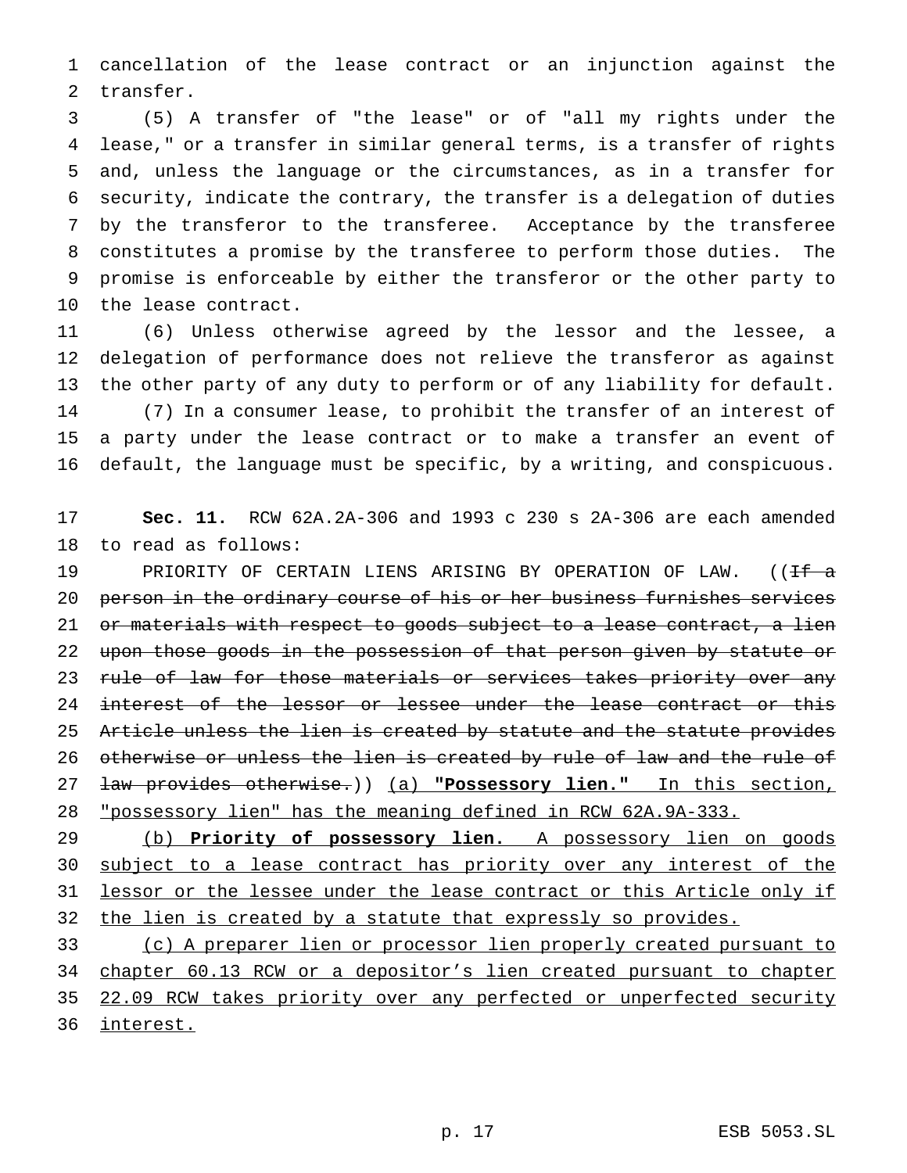cancellation of the lease contract or an injunction against the transfer.

 (5) A transfer of "the lease" or of "all my rights under the lease," or a transfer in similar general terms, is a transfer of rights and, unless the language or the circumstances, as in a transfer for security, indicate the contrary, the transfer is a delegation of duties by the transferor to the transferee. Acceptance by the transferee constitutes a promise by the transferee to perform those duties. The promise is enforceable by either the transferor or the other party to the lease contract.

 (6) Unless otherwise agreed by the lessor and the lessee, a delegation of performance does not relieve the transferor as against the other party of any duty to perform or of any liability for default. (7) In a consumer lease, to prohibit the transfer of an interest of a party under the lease contract or to make a transfer an event of default, the language must be specific, by a writing, and conspicuous.

 **Sec. 11.** RCW 62A.2A-306 and 1993 c 230 s 2A-306 are each amended to read as follows:

19 PRIORITY OF CERTAIN LIENS ARISING BY OPERATION OF LAW. ((<del>If a</del> person in the ordinary course of his or her business furnishes services 21 or materials with respect to goods subject to a lease contract, a lien upon those goods in the possession of that person given by statute or 23 rule of law for those materials or services takes priority over any 24 interest of the lessor or lessee under the lease contract or this 25 Article unless the lien is created by statute and the statute provides 26 otherwise or unless the lien is created by rule of law and the rule of law provides otherwise.)) (a) **"Possessory lien."** In this section, "possessory lien" has the meaning defined in RCW 62A.9A-333.

 (b) **Priority of possessory lien.** A possessory lien on goods 30 subject to a lease contract has priority over any interest of the 31 lessor or the lessee under the lease contract or this Article only if 32 the lien is created by a statute that expressly so provides.

 (c) A preparer lien or processor lien properly created pursuant to chapter 60.13 RCW or a depositor's lien created pursuant to chapter 35 22.09 RCW takes priority over any perfected or unperfected security 36 interest.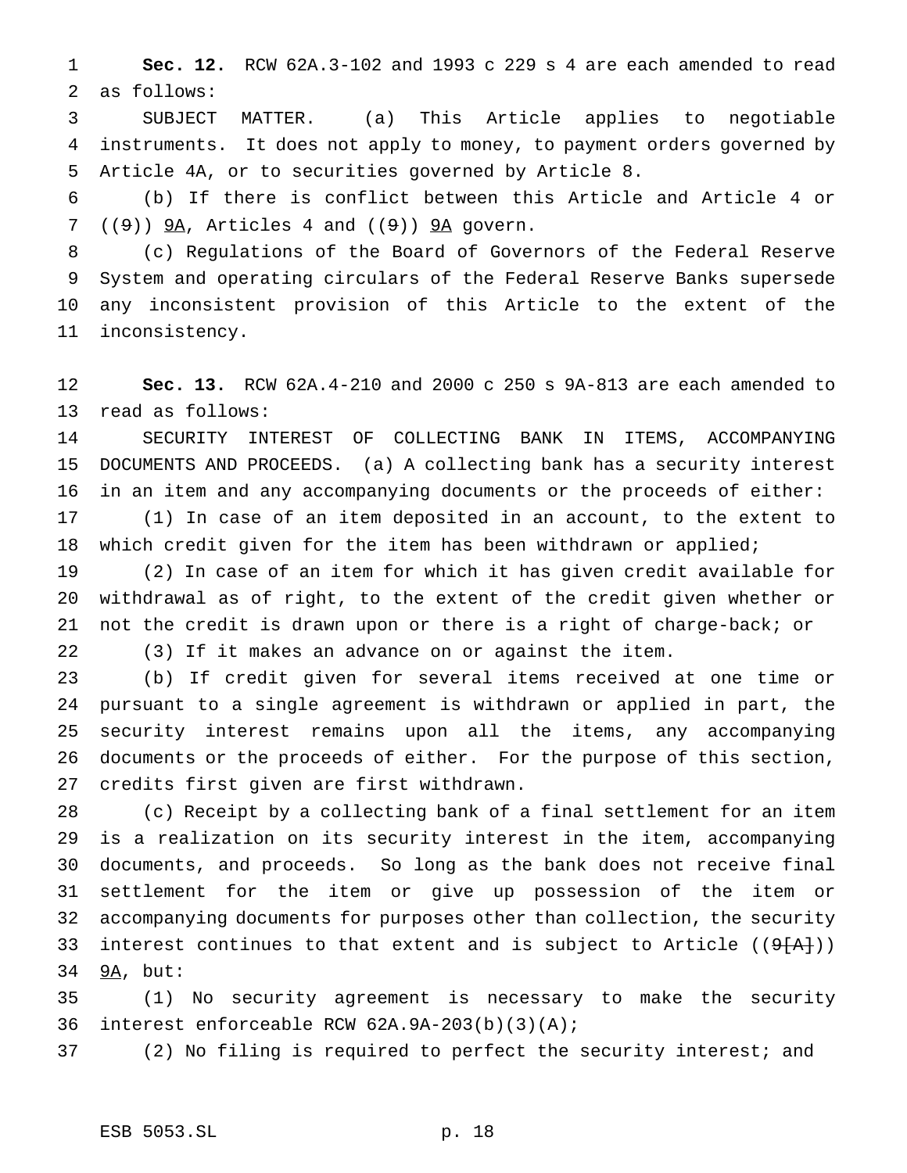**Sec. 12.** RCW 62A.3-102 and 1993 c 229 s 4 are each amended to read as follows:

 SUBJECT MATTER. (a) This Article applies to negotiable instruments. It does not apply to money, to payment orders governed by Article 4A, or to securities governed by Article 8.

 (b) If there is conflict between this Article and Article 4 or 7  $((9))$   $9A$ , Articles 4 and  $((9))$   $9A$  govern.

 (c) Regulations of the Board of Governors of the Federal Reserve System and operating circulars of the Federal Reserve Banks supersede any inconsistent provision of this Article to the extent of the inconsistency.

 **Sec. 13.** RCW 62A.4-210 and 2000 c 250 s 9A-813 are each amended to read as follows:

 SECURITY INTEREST OF COLLECTING BANK IN ITEMS, ACCOMPANYING DOCUMENTS AND PROCEEDS. (a) A collecting bank has a security interest in an item and any accompanying documents or the proceeds of either:

 (1) In case of an item deposited in an account, to the extent to which credit given for the item has been withdrawn or applied;

 (2) In case of an item for which it has given credit available for withdrawal as of right, to the extent of the credit given whether or not the credit is drawn upon or there is a right of charge-back; or (3) If it makes an advance on or against the item.

 (b) If credit given for several items received at one time or pursuant to a single agreement is withdrawn or applied in part, the security interest remains upon all the items, any accompanying documents or the proceeds of either. For the purpose of this section, credits first given are first withdrawn.

 (c) Receipt by a collecting bank of a final settlement for an item is a realization on its security interest in the item, accompanying documents, and proceeds. So long as the bank does not receive final settlement for the item or give up possession of the item or accompanying documents for purposes other than collection, the security 33 interest continues to that extent and is subject to Article  $((9{A})$ ) 34 9A, but:

 (1) No security agreement is necessary to make the security interest enforceable RCW 62A.9A-203(b)(3)(A);

(2) No filing is required to perfect the security interest; and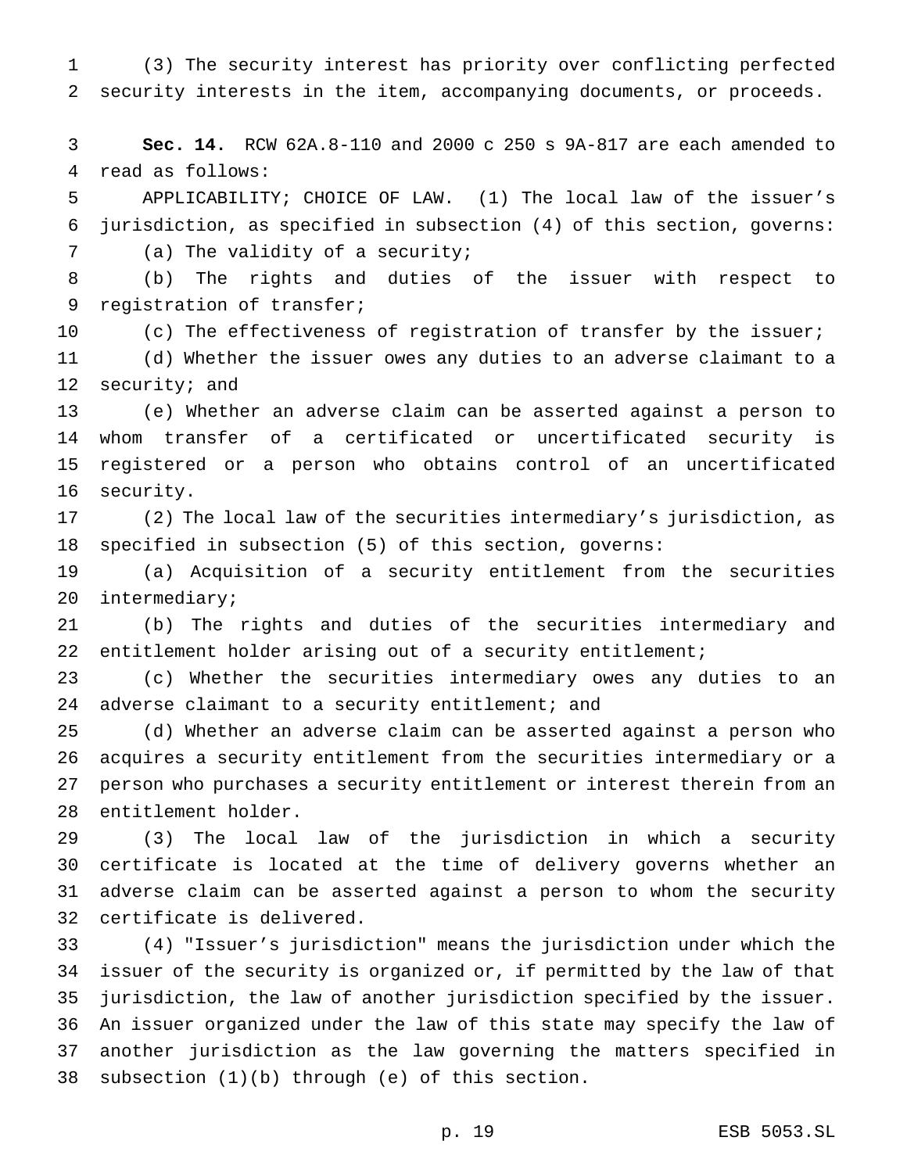(3) The security interest has priority over conflicting perfected security interests in the item, accompanying documents, or proceeds.

 **Sec. 14.** RCW 62A.8-110 and 2000 c 250 s 9A-817 are each amended to read as follows:

 APPLICABILITY; CHOICE OF LAW. (1) The local law of the issuer's jurisdiction, as specified in subsection (4) of this section, governs:

(a) The validity of a security;

 (b) The rights and duties of the issuer with respect to registration of transfer;

 (c) The effectiveness of registration of transfer by the issuer; (d) Whether the issuer owes any duties to an adverse claimant to a security; and

 (e) Whether an adverse claim can be asserted against a person to whom transfer of a certificated or uncertificated security is registered or a person who obtains control of an uncertificated security.

 (2) The local law of the securities intermediary's jurisdiction, as specified in subsection (5) of this section, governs:

 (a) Acquisition of a security entitlement from the securities intermediary;

 (b) The rights and duties of the securities intermediary and 22 entitlement holder arising out of a security entitlement;

 (c) Whether the securities intermediary owes any duties to an adverse claimant to a security entitlement; and

 (d) Whether an adverse claim can be asserted against a person who acquires a security entitlement from the securities intermediary or a person who purchases a security entitlement or interest therein from an entitlement holder.

 (3) The local law of the jurisdiction in which a security certificate is located at the time of delivery governs whether an adverse claim can be asserted against a person to whom the security certificate is delivered.

 (4) "Issuer's jurisdiction" means the jurisdiction under which the issuer of the security is organized or, if permitted by the law of that jurisdiction, the law of another jurisdiction specified by the issuer. An issuer organized under the law of this state may specify the law of another jurisdiction as the law governing the matters specified in subsection (1)(b) through (e) of this section.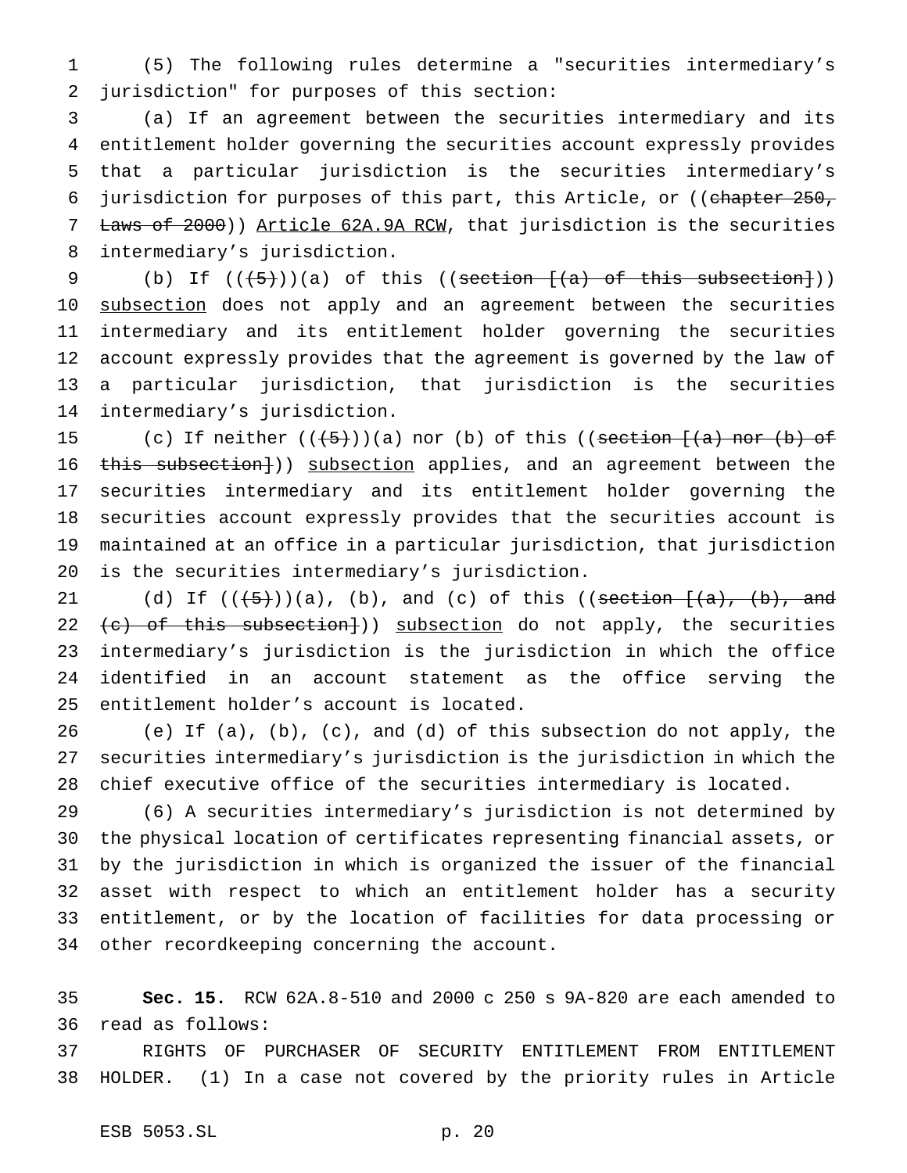(5) The following rules determine a "securities intermediary's jurisdiction" for purposes of this section:

 (a) If an agreement between the securities intermediary and its entitlement holder governing the securities account expressly provides that a particular jurisdiction is the securities intermediary's 6 jurisdiction for purposes of this part, this Article, or ((chapter 250, 7 Laws of 2000)) Article 62A.9A RCW, that jurisdiction is the securities intermediary's jurisdiction.

9 (b) If  $((+5)^{n})$  (a) of this ((section  $\{(a)$  of this subsection $\})$ ) 10 subsection does not apply and an agreement between the securities intermediary and its entitlement holder governing the securities account expressly provides that the agreement is governed by the law of a particular jurisdiction, that jurisdiction is the securities intermediary's jurisdiction.

15 (c) If neither  $((+5))$  (a) nor (b) of this ((section  $\{(a)$  nor  $(b)$  of 16 this subsection})) subsection applies, and an agreement between the securities intermediary and its entitlement holder governing the securities account expressly provides that the securities account is maintained at an office in a particular jurisdiction, that jurisdiction is the securities intermediary's jurisdiction.

21 (d) If  $((+5))$ (a), (b), and (c) of this ((section  $\{(a), (b),$  and  $(e)$  of this subsection $)$ ) subsection do not apply, the securities intermediary's jurisdiction is the jurisdiction in which the office identified in an account statement as the office serving the entitlement holder's account is located.

 (e) If (a), (b), (c), and (d) of this subsection do not apply, the securities intermediary's jurisdiction is the jurisdiction in which the chief executive office of the securities intermediary is located.

 (6) A securities intermediary's jurisdiction is not determined by the physical location of certificates representing financial assets, or by the jurisdiction in which is organized the issuer of the financial asset with respect to which an entitlement holder has a security entitlement, or by the location of facilities for data processing or other recordkeeping concerning the account.

 **Sec. 15.** RCW 62A.8-510 and 2000 c 250 s 9A-820 are each amended to read as follows:

 RIGHTS OF PURCHASER OF SECURITY ENTITLEMENT FROM ENTITLEMENT HOLDER. (1) In a case not covered by the priority rules in Article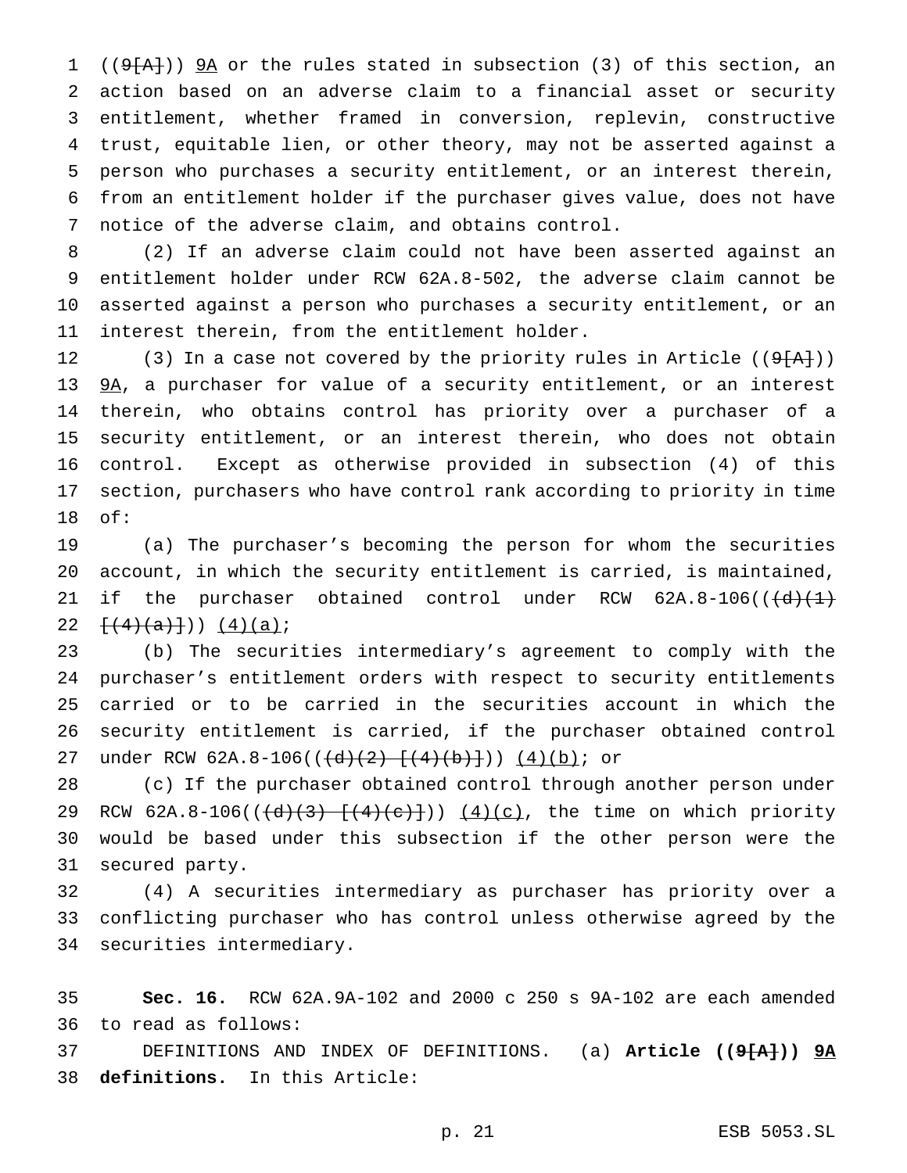1 ( $(9{A})$ )  $9A$  or the rules stated in subsection (3) of this section, an action based on an adverse claim to a financial asset or security entitlement, whether framed in conversion, replevin, constructive trust, equitable lien, or other theory, may not be asserted against a person who purchases a security entitlement, or an interest therein, from an entitlement holder if the purchaser gives value, does not have notice of the adverse claim, and obtains control.

 (2) If an adverse claim could not have been asserted against an entitlement holder under RCW 62A.8-502, the adverse claim cannot be asserted against a person who purchases a security entitlement, or an interest therein, from the entitlement holder.

12 (3) In a case not covered by the priority rules in Article  $((9{A})$ )  $9A$ , a purchaser for value of a security entitlement, or an interest therein, who obtains control has priority over a purchaser of a security entitlement, or an interest therein, who does not obtain control. Except as otherwise provided in subsection (4) of this section, purchasers who have control rank according to priority in time of:

 (a) The purchaser's becoming the person for whom the securities account, in which the security entitlement is carried, is maintained, 21 if the purchaser obtained control under RCW  $62A.8-106$  ( $\left(\frac{d}{d+1}\right)$  $\{+4+(a)+\}$ )  $(4)(a)$ ;

 (b) The securities intermediary's agreement to comply with the purchaser's entitlement orders with respect to security entitlements carried or to be carried in the securities account in which the security entitlement is carried, if the purchaser obtained control 27 under RCW 62A.8-106( $(\overline{(d)(2)}$   $\overline{(+4)(b)}$ )) (4)(b); or

 (c) If the purchaser obtained control through another person under 29 RCW  $62A.8-106((\frac{d}{3}+3) - \frac{4(c)}{3}))(\frac{4}{c})$ , the time on which priority would be based under this subsection if the other person were the secured party.

 (4) A securities intermediary as purchaser has priority over a conflicting purchaser who has control unless otherwise agreed by the securities intermediary.

 **Sec. 16.** RCW 62A.9A-102 and 2000 c 250 s 9A-102 are each amended to read as follows:

 DEFINITIONS AND INDEX OF DEFINITIONS. (a) **Article ((9[A])) 9A definitions.** In this Article:

p. 21 ESB 5053.SL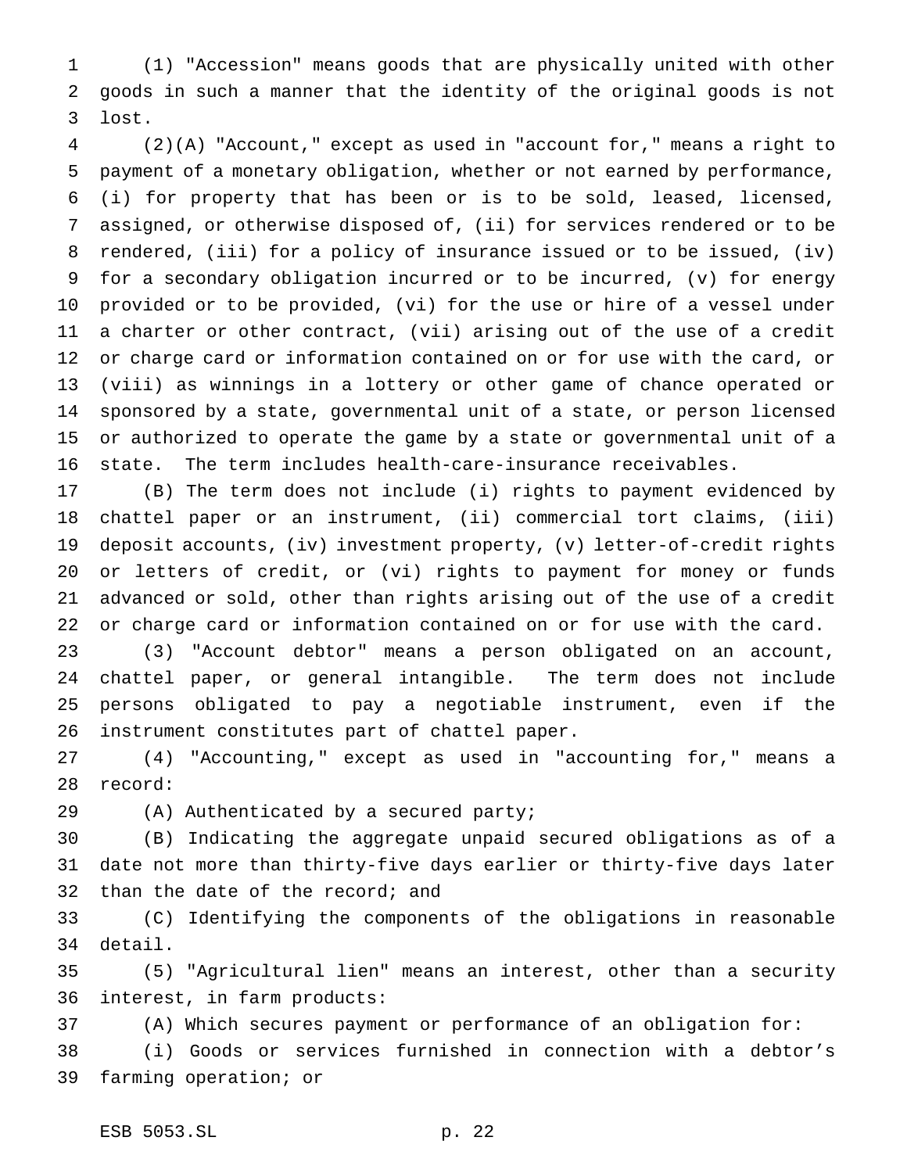(1) "Accession" means goods that are physically united with other goods in such a manner that the identity of the original goods is not lost.

 (2)(A) "Account," except as used in "account for," means a right to payment of a monetary obligation, whether or not earned by performance, (i) for property that has been or is to be sold, leased, licensed, assigned, or otherwise disposed of, (ii) for services rendered or to be rendered, (iii) for a policy of insurance issued or to be issued, (iv) for a secondary obligation incurred or to be incurred, (v) for energy provided or to be provided, (vi) for the use or hire of a vessel under a charter or other contract, (vii) arising out of the use of a credit or charge card or information contained on or for use with the card, or (viii) as winnings in a lottery or other game of chance operated or sponsored by a state, governmental unit of a state, or person licensed or authorized to operate the game by a state or governmental unit of a state. The term includes health-care-insurance receivables.

 (B) The term does not include (i) rights to payment evidenced by chattel paper or an instrument, (ii) commercial tort claims, (iii) deposit accounts, (iv) investment property, (v) letter-of-credit rights or letters of credit, or (vi) rights to payment for money or funds advanced or sold, other than rights arising out of the use of a credit or charge card or information contained on or for use with the card.

 (3) "Account debtor" means a person obligated on an account, chattel paper, or general intangible. The term does not include persons obligated to pay a negotiable instrument, even if the instrument constitutes part of chattel paper.

 (4) "Accounting," except as used in "accounting for," means a record:

(A) Authenticated by a secured party;

 (B) Indicating the aggregate unpaid secured obligations as of a date not more than thirty-five days earlier or thirty-five days later than the date of the record; and

 (C) Identifying the components of the obligations in reasonable detail.

 (5) "Agricultural lien" means an interest, other than a security interest, in farm products:

(A) Which secures payment or performance of an obligation for:

 (i) Goods or services furnished in connection with a debtor's farming operation; or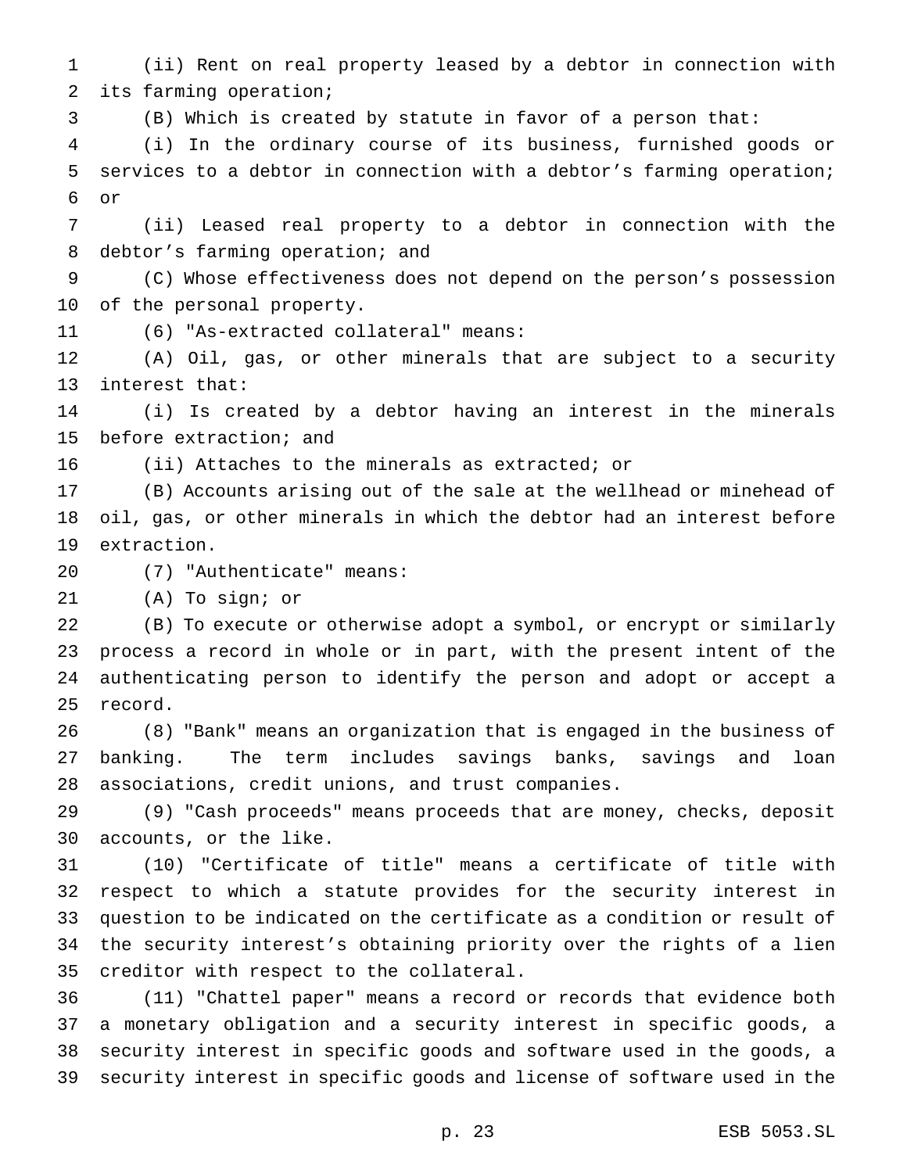(ii) Rent on real property leased by a debtor in connection with its farming operation;

(B) Which is created by statute in favor of a person that:

 (i) In the ordinary course of its business, furnished goods or services to a debtor in connection with a debtor's farming operation; or

 (ii) Leased real property to a debtor in connection with the debtor's farming operation; and

 (C) Whose effectiveness does not depend on the person's possession of the personal property.

(6) "As-extracted collateral" means:

 (A) Oil, gas, or other minerals that are subject to a security interest that:

 (i) Is created by a debtor having an interest in the minerals before extraction; and

(ii) Attaches to the minerals as extracted; or

 (B) Accounts arising out of the sale at the wellhead or minehead of oil, gas, or other minerals in which the debtor had an interest before extraction.

(7) "Authenticate" means:

(A) To sign; or

 (B) To execute or otherwise adopt a symbol, or encrypt or similarly process a record in whole or in part, with the present intent of the authenticating person to identify the person and adopt or accept a record.

 (8) "Bank" means an organization that is engaged in the business of banking. The term includes savings banks, savings and loan associations, credit unions, and trust companies.

 (9) "Cash proceeds" means proceeds that are money, checks, deposit accounts, or the like.

 (10) "Certificate of title" means a certificate of title with respect to which a statute provides for the security interest in question to be indicated on the certificate as a condition or result of the security interest's obtaining priority over the rights of a lien creditor with respect to the collateral.

 (11) "Chattel paper" means a record or records that evidence both a monetary obligation and a security interest in specific goods, a security interest in specific goods and software used in the goods, a security interest in specific goods and license of software used in the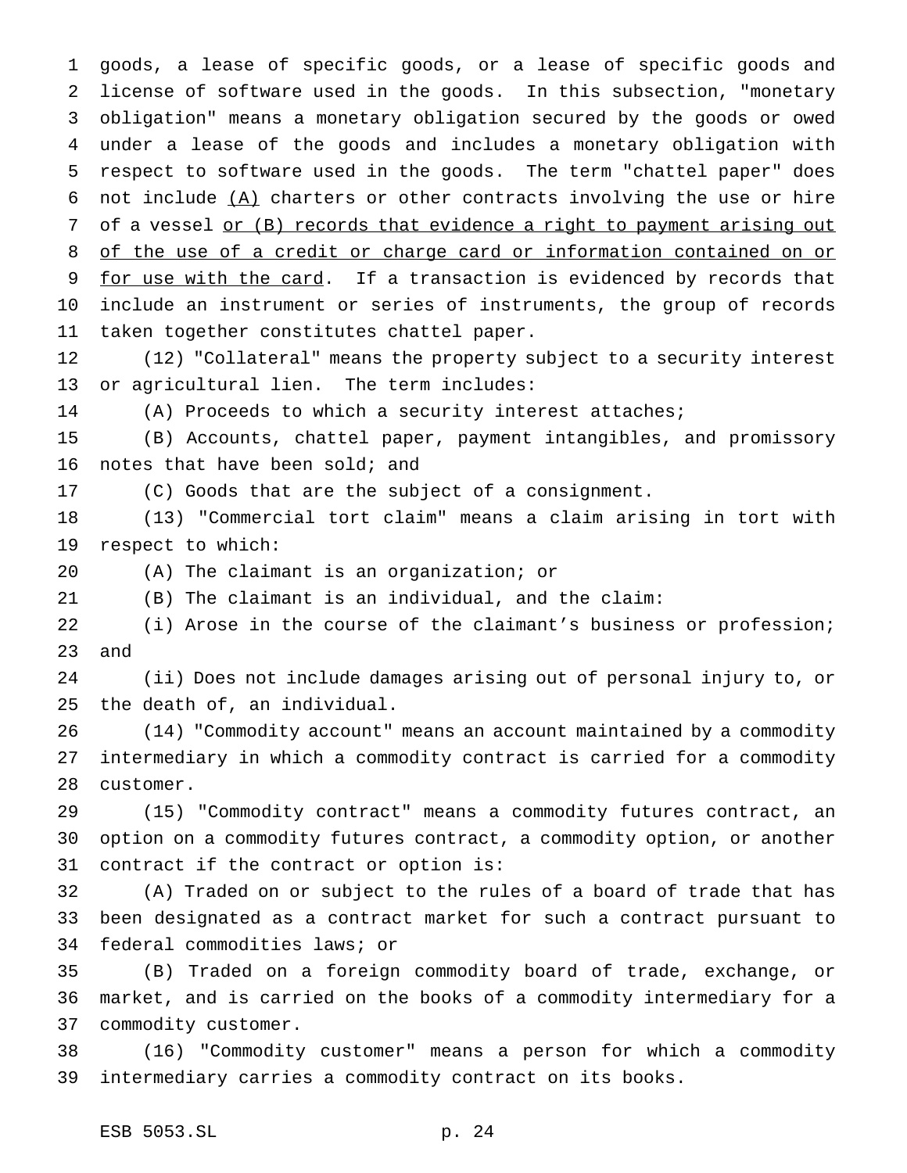goods, a lease of specific goods, or a lease of specific goods and license of software used in the goods. In this subsection, "monetary obligation" means a monetary obligation secured by the goods or owed under a lease of the goods and includes a monetary obligation with respect to software used in the goods. The term "chattel paper" does 6 not include  $(A)$  charters or other contracts involving the use or hire 7 of a vessel or (B) records that evidence a right to payment arising out of the use of a credit or charge card or information contained on or 9 for use with the card. If a transaction is evidenced by records that include an instrument or series of instruments, the group of records taken together constitutes chattel paper.

 (12) "Collateral" means the property subject to a security interest or agricultural lien. The term includes:

(A) Proceeds to which a security interest attaches;

 (B) Accounts, chattel paper, payment intangibles, and promissory notes that have been sold; and

(C) Goods that are the subject of a consignment.

 (13) "Commercial tort claim" means a claim arising in tort with respect to which:

(A) The claimant is an organization; or

(B) The claimant is an individual, and the claim:

 (i) Arose in the course of the claimant's business or profession; and

 (ii) Does not include damages arising out of personal injury to, or the death of, an individual.

 (14) "Commodity account" means an account maintained by a commodity intermediary in which a commodity contract is carried for a commodity customer.

 (15) "Commodity contract" means a commodity futures contract, an option on a commodity futures contract, a commodity option, or another contract if the contract or option is:

 (A) Traded on or subject to the rules of a board of trade that has been designated as a contract market for such a contract pursuant to federal commodities laws; or

 (B) Traded on a foreign commodity board of trade, exchange, or market, and is carried on the books of a commodity intermediary for a commodity customer.

 (16) "Commodity customer" means a person for which a commodity intermediary carries a commodity contract on its books.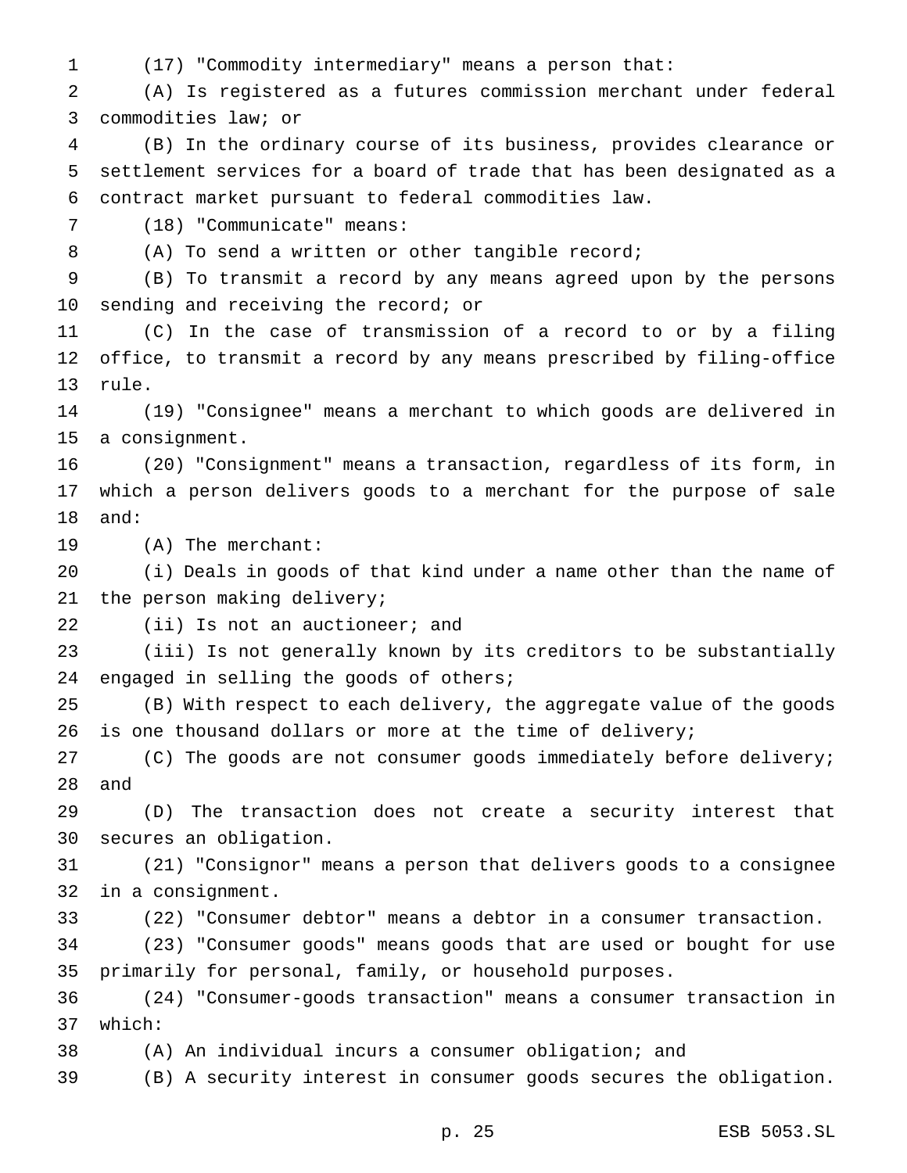(17) "Commodity intermediary" means a person that:

 (A) Is registered as a futures commission merchant under federal commodities law; or

 (B) In the ordinary course of its business, provides clearance or settlement services for a board of trade that has been designated as a contract market pursuant to federal commodities law.

(18) "Communicate" means:

8 (A) To send a written or other tangible record;

 (B) To transmit a record by any means agreed upon by the persons sending and receiving the record; or

 (C) In the case of transmission of a record to or by a filing office, to transmit a record by any means prescribed by filing-office rule.

 (19) "Consignee" means a merchant to which goods are delivered in a consignment.

 (20) "Consignment" means a transaction, regardless of its form, in which a person delivers goods to a merchant for the purpose of sale and:

(A) The merchant:

 (i) Deals in goods of that kind under a name other than the name of the person making delivery;

(ii) Is not an auctioneer; and

 (iii) Is not generally known by its creditors to be substantially 24 engaged in selling the goods of others;

 (B) With respect to each delivery, the aggregate value of the goods is one thousand dollars or more at the time of delivery;

27 (C) The goods are not consumer goods immediately before delivery; and

 (D) The transaction does not create a security interest that secures an obligation.

 (21) "Consignor" means a person that delivers goods to a consignee in a consignment.

(22) "Consumer debtor" means a debtor in a consumer transaction.

 (23) "Consumer goods" means goods that are used or bought for use primarily for personal, family, or household purposes.

 (24) "Consumer-goods transaction" means a consumer transaction in which:

(A) An individual incurs a consumer obligation; and

(B) A security interest in consumer goods secures the obligation.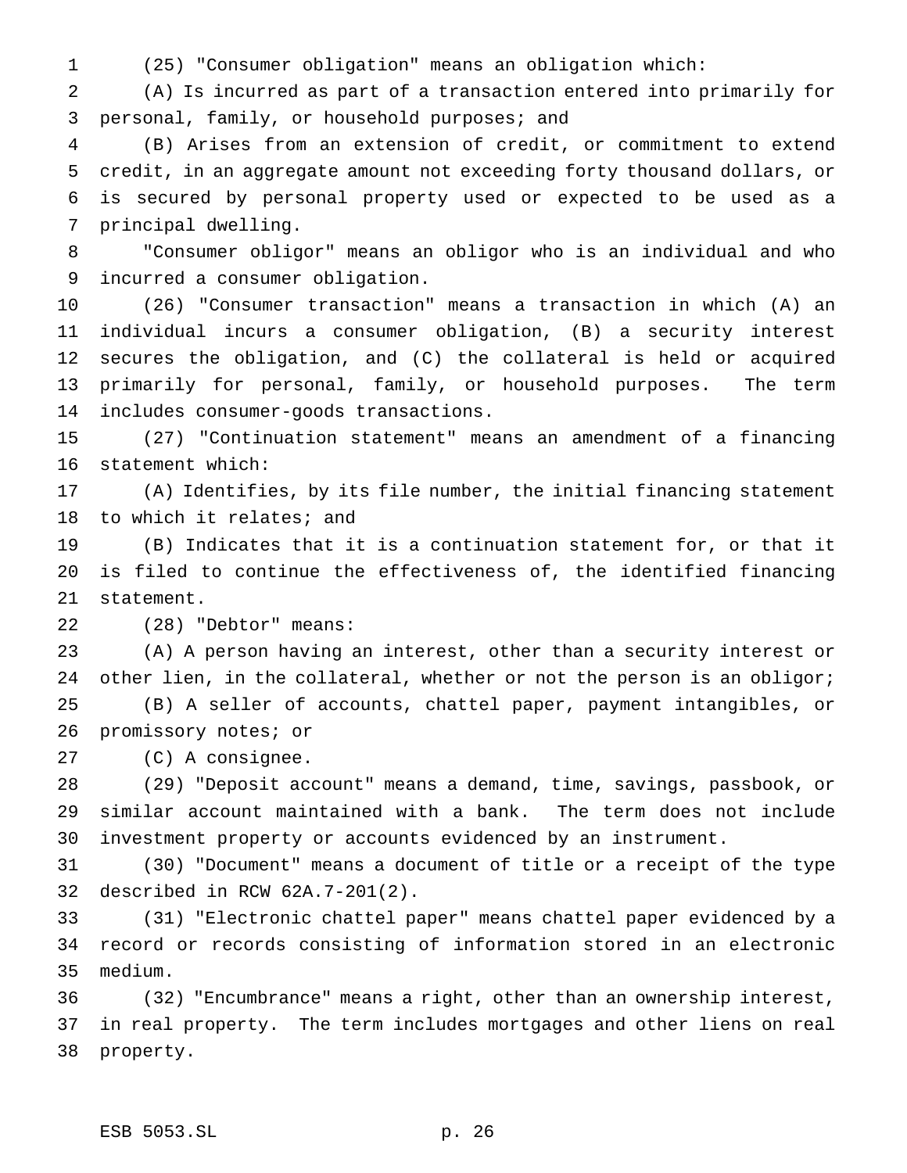(25) "Consumer obligation" means an obligation which:

 (A) Is incurred as part of a transaction entered into primarily for personal, family, or household purposes; and

 (B) Arises from an extension of credit, or commitment to extend credit, in an aggregate amount not exceeding forty thousand dollars, or is secured by personal property used or expected to be used as a principal dwelling.

 "Consumer obligor" means an obligor who is an individual and who incurred a consumer obligation.

 (26) "Consumer transaction" means a transaction in which (A) an individual incurs a consumer obligation, (B) a security interest secures the obligation, and (C) the collateral is held or acquired primarily for personal, family, or household purposes. The term includes consumer-goods transactions.

 (27) "Continuation statement" means an amendment of a financing statement which:

 (A) Identifies, by its file number, the initial financing statement to which it relates; and

 (B) Indicates that it is a continuation statement for, or that it is filed to continue the effectiveness of, the identified financing statement.

(28) "Debtor" means:

 (A) A person having an interest, other than a security interest or 24 other lien, in the collateral, whether or not the person is an obligor; (B) A seller of accounts, chattel paper, payment intangibles, or promissory notes; or

(C) A consignee.

 (29) "Deposit account" means a demand, time, savings, passbook, or similar account maintained with a bank. The term does not include investment property or accounts evidenced by an instrument.

 (30) "Document" means a document of title or a receipt of the type described in RCW 62A.7-201(2).

 (31) "Electronic chattel paper" means chattel paper evidenced by a record or records consisting of information stored in an electronic medium.

 (32) "Encumbrance" means a right, other than an ownership interest, in real property. The term includes mortgages and other liens on real property.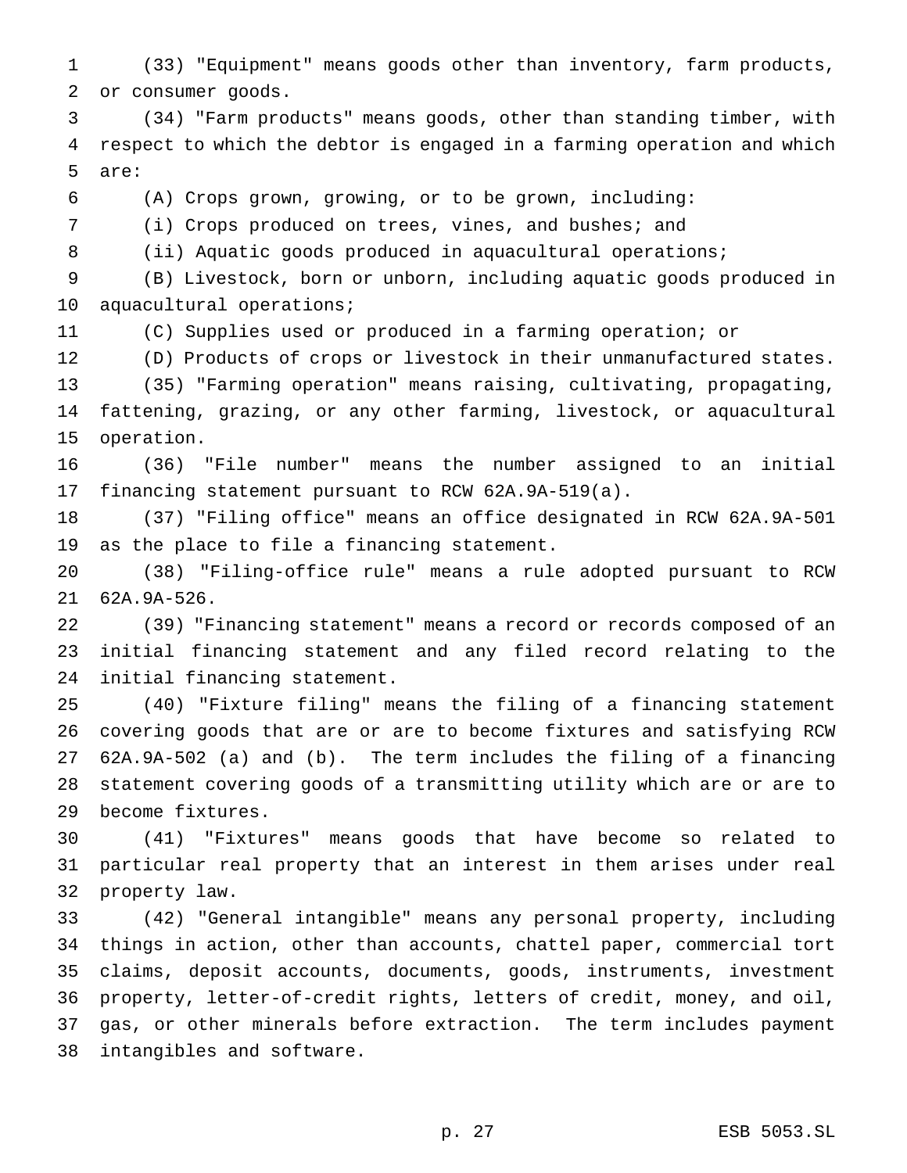(33) "Equipment" means goods other than inventory, farm products, or consumer goods.

 (34) "Farm products" means goods, other than standing timber, with respect to which the debtor is engaged in a farming operation and which are:

(A) Crops grown, growing, or to be grown, including:

(i) Crops produced on trees, vines, and bushes; and

8 (ii) Aquatic goods produced in aquacultural operations;

 (B) Livestock, born or unborn, including aquatic goods produced in aquacultural operations;

(C) Supplies used or produced in a farming operation; or

 (D) Products of crops or livestock in their unmanufactured states. (35) "Farming operation" means raising, cultivating, propagating, fattening, grazing, or any other farming, livestock, or aquacultural operation.

 (36) "File number" means the number assigned to an initial financing statement pursuant to RCW 62A.9A-519(a).

 (37) "Filing office" means an office designated in RCW 62A.9A-501 as the place to file a financing statement.

 (38) "Filing-office rule" means a rule adopted pursuant to RCW 62A.9A-526.

 (39) "Financing statement" means a record or records composed of an initial financing statement and any filed record relating to the initial financing statement.

 (40) "Fixture filing" means the filing of a financing statement covering goods that are or are to become fixtures and satisfying RCW 62A.9A-502 (a) and (b). The term includes the filing of a financing statement covering goods of a transmitting utility which are or are to become fixtures.

 (41) "Fixtures" means goods that have become so related to particular real property that an interest in them arises under real property law.

 (42) "General intangible" means any personal property, including things in action, other than accounts, chattel paper, commercial tort claims, deposit accounts, documents, goods, instruments, investment property, letter-of-credit rights, letters of credit, money, and oil, gas, or other minerals before extraction. The term includes payment intangibles and software.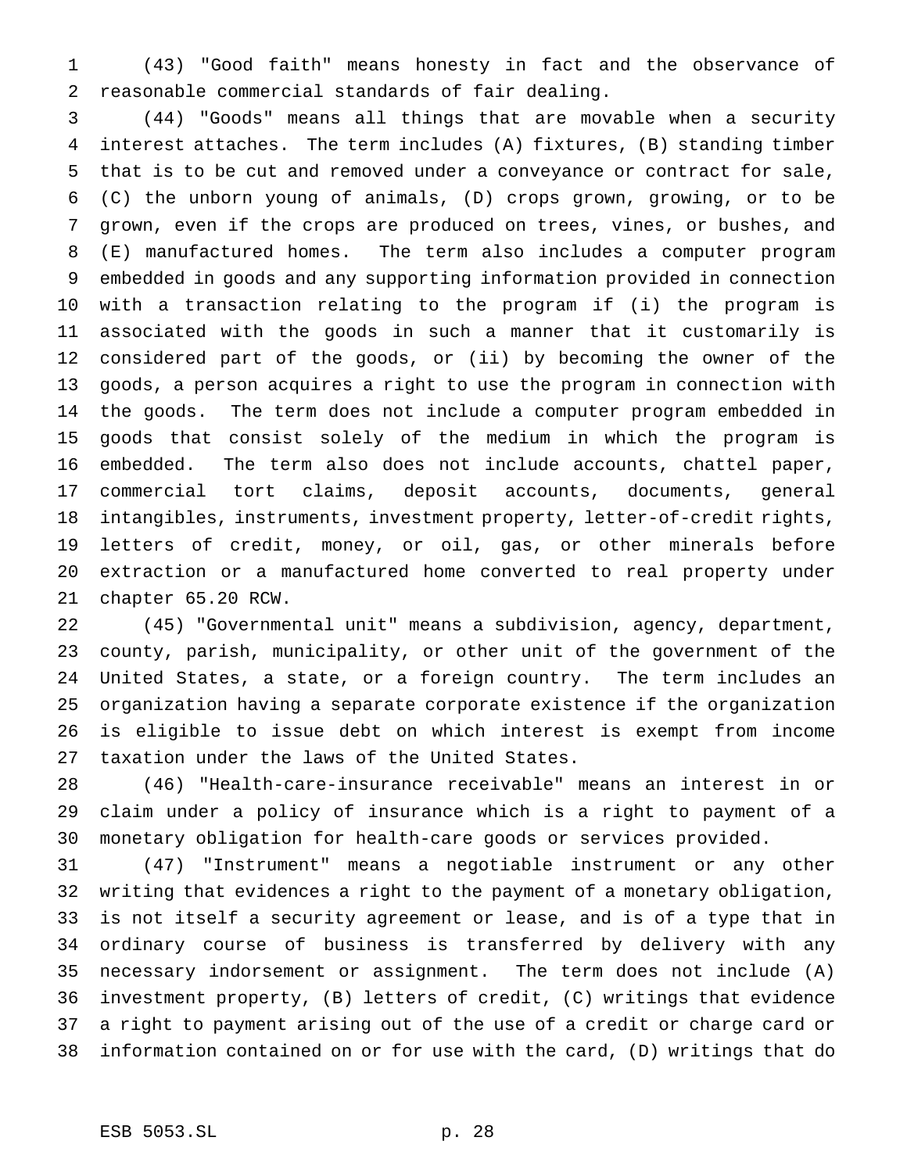(43) "Good faith" means honesty in fact and the observance of reasonable commercial standards of fair dealing.

 (44) "Goods" means all things that are movable when a security interest attaches. The term includes (A) fixtures, (B) standing timber that is to be cut and removed under a conveyance or contract for sale, (C) the unborn young of animals, (D) crops grown, growing, or to be grown, even if the crops are produced on trees, vines, or bushes, and (E) manufactured homes. The term also includes a computer program embedded in goods and any supporting information provided in connection with a transaction relating to the program if (i) the program is associated with the goods in such a manner that it customarily is considered part of the goods, or (ii) by becoming the owner of the goods, a person acquires a right to use the program in connection with the goods. The term does not include a computer program embedded in goods that consist solely of the medium in which the program is embedded. The term also does not include accounts, chattel paper, commercial tort claims, deposit accounts, documents, general intangibles, instruments, investment property, letter-of-credit rights, letters of credit, money, or oil, gas, or other minerals before extraction or a manufactured home converted to real property under chapter 65.20 RCW.

 (45) "Governmental unit" means a subdivision, agency, department, county, parish, municipality, or other unit of the government of the United States, a state, or a foreign country. The term includes an organization having a separate corporate existence if the organization is eligible to issue debt on which interest is exempt from income taxation under the laws of the United States.

 (46) "Health-care-insurance receivable" means an interest in or claim under a policy of insurance which is a right to payment of a monetary obligation for health-care goods or services provided.

 (47) "Instrument" means a negotiable instrument or any other writing that evidences a right to the payment of a monetary obligation, is not itself a security agreement or lease, and is of a type that in ordinary course of business is transferred by delivery with any necessary indorsement or assignment. The term does not include (A) investment property, (B) letters of credit, (C) writings that evidence a right to payment arising out of the use of a credit or charge card or information contained on or for use with the card, (D) writings that do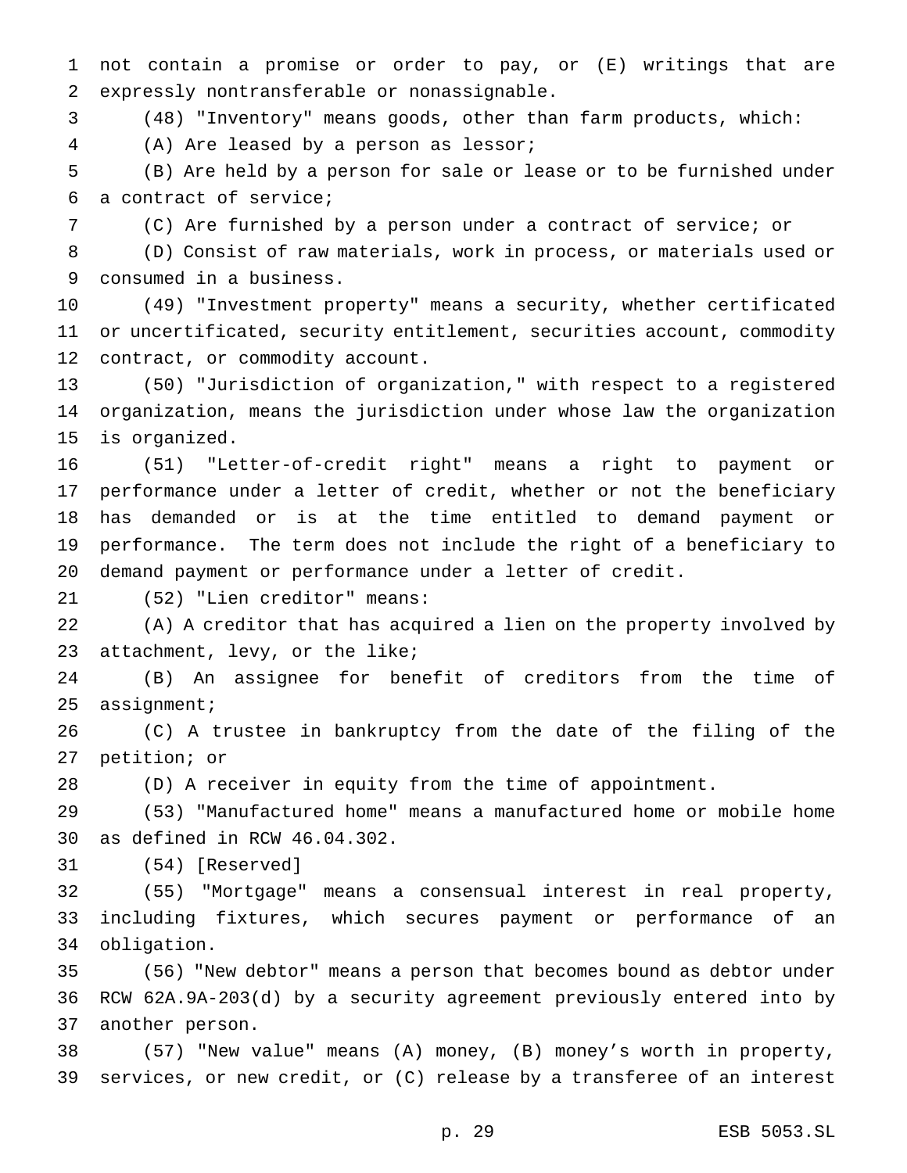not contain a promise or order to pay, or (E) writings that are expressly nontransferable or nonassignable.

(48) "Inventory" means goods, other than farm products, which:

(A) Are leased by a person as lessor;

 (B) Are held by a person for sale or lease or to be furnished under a contract of service;

(C) Are furnished by a person under a contract of service; or

 (D) Consist of raw materials, work in process, or materials used or consumed in a business.

 (49) "Investment property" means a security, whether certificated or uncertificated, security entitlement, securities account, commodity contract, or commodity account.

 (50) "Jurisdiction of organization," with respect to a registered organization, means the jurisdiction under whose law the organization is organized.

 (51) "Letter-of-credit right" means a right to payment or performance under a letter of credit, whether or not the beneficiary has demanded or is at the time entitled to demand payment or performance. The term does not include the right of a beneficiary to demand payment or performance under a letter of credit.

(52) "Lien creditor" means:

 (A) A creditor that has acquired a lien on the property involved by 23 attachment, levy, or the like;

 (B) An assignee for benefit of creditors from the time of assignment;

 (C) A trustee in bankruptcy from the date of the filing of the petition; or

(D) A receiver in equity from the time of appointment.

 (53) "Manufactured home" means a manufactured home or mobile home as defined in RCW 46.04.302.

(54) [Reserved]

 (55) "Mortgage" means a consensual interest in real property, including fixtures, which secures payment or performance of an obligation.

 (56) "New debtor" means a person that becomes bound as debtor under RCW 62A.9A-203(d) by a security agreement previously entered into by another person.

 (57) "New value" means (A) money, (B) money's worth in property, services, or new credit, or (C) release by a transferee of an interest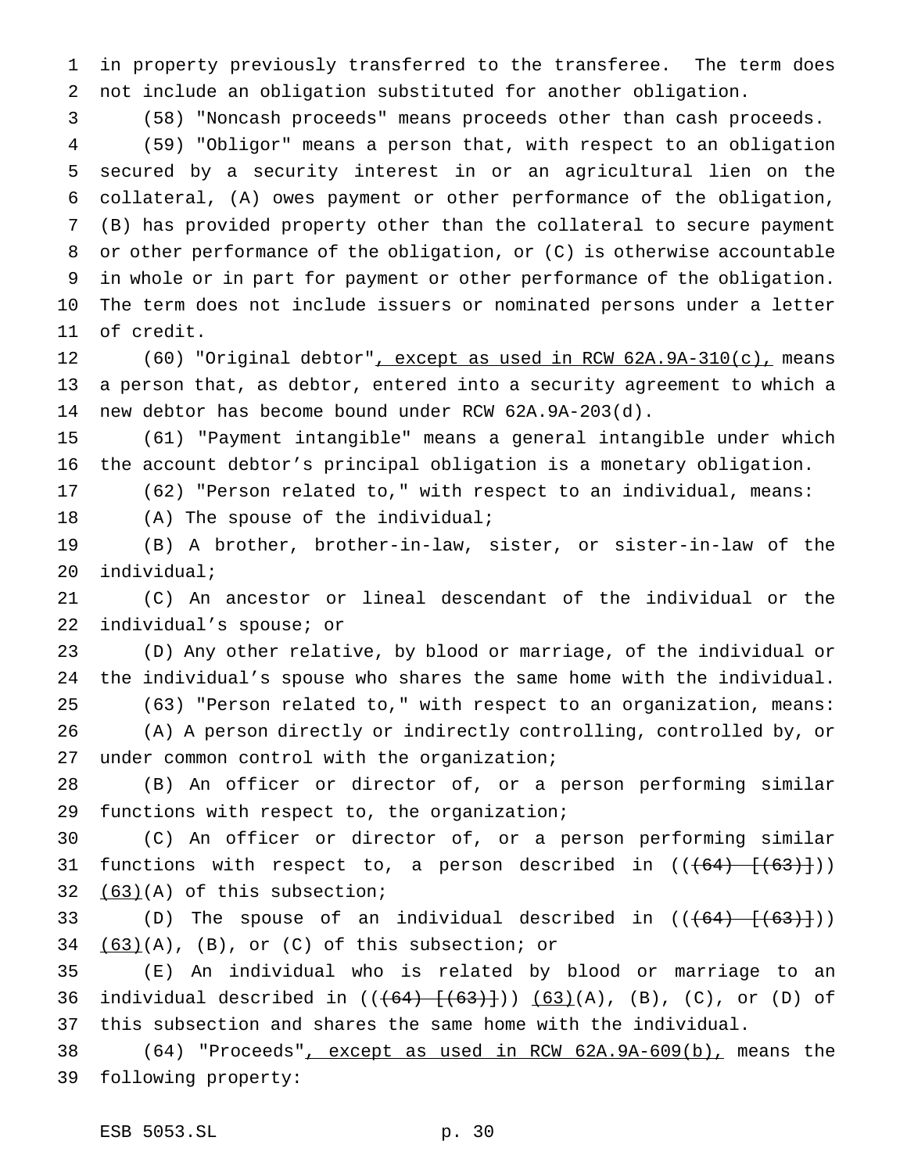in property previously transferred to the transferee. The term does not include an obligation substituted for another obligation.

(58) "Noncash proceeds" means proceeds other than cash proceeds.

 (59) "Obligor" means a person that, with respect to an obligation secured by a security interest in or an agricultural lien on the collateral, (A) owes payment or other performance of the obligation, (B) has provided property other than the collateral to secure payment or other performance of the obligation, or (C) is otherwise accountable in whole or in part for payment or other performance of the obligation. The term does not include issuers or nominated persons under a letter of credit.

12 (60) "Original debtor", except as used in RCW 62A.9A-310(c), means a person that, as debtor, entered into a security agreement to which a new debtor has become bound under RCW 62A.9A-203(d).

 (61) "Payment intangible" means a general intangible under which the account debtor's principal obligation is a monetary obligation.

(62) "Person related to," with respect to an individual, means:

(A) The spouse of the individual;

 (B) A brother, brother-in-law, sister, or sister-in-law of the individual;

 (C) An ancestor or lineal descendant of the individual or the individual's spouse; or

 (D) Any other relative, by blood or marriage, of the individual or the individual's spouse who shares the same home with the individual.

(63) "Person related to," with respect to an organization, means:

(A) A person directly or indirectly controlling, controlled by, or

under common control with the organization;

 (B) An officer or director of, or a person performing similar functions with respect to, the organization;

 (C) An officer or director of, or a person performing similar 31 functions with respect to, a person described in  $((64) - (63) +$ )) (63)(A) of this subsection;

33  $(D)$  The spouse of an individual described in  $((64) + (63) +)$  $34 \quad (63)(A)$ , (B), or (C) of this subsection; or

 (E) An individual who is related by blood or marriage to an 36 individual described in  $((64)$   $((63)$  ))  $(63)$  (A), (B), (C), or (D) of this subsection and shares the same home with the individual.

 (64) "Proceeds", except as used in RCW 62A.9A-609(b), means the following property: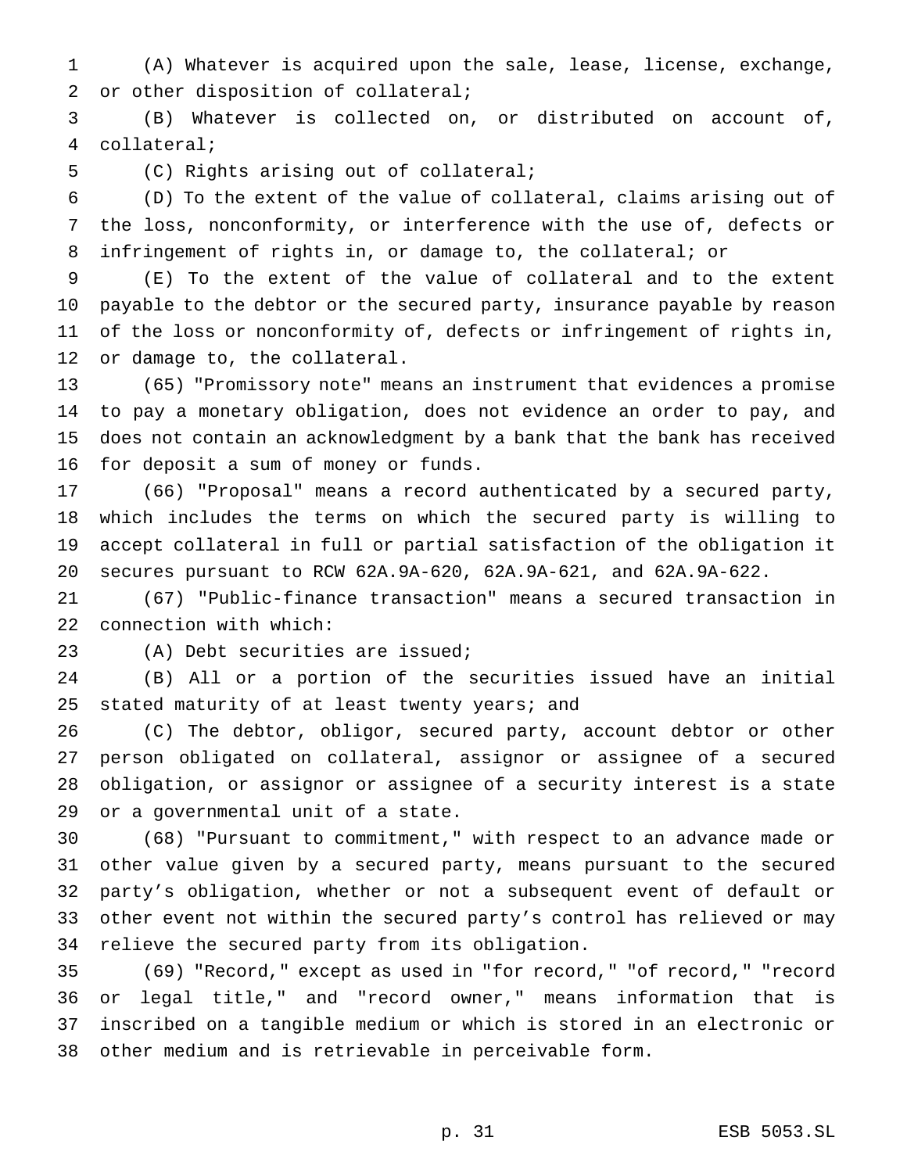(A) Whatever is acquired upon the sale, lease, license, exchange, or other disposition of collateral;

 (B) Whatever is collected on, or distributed on account of, collateral;

(C) Rights arising out of collateral;

 (D) To the extent of the value of collateral, claims arising out of the loss, nonconformity, or interference with the use of, defects or infringement of rights in, or damage to, the collateral; or

 (E) To the extent of the value of collateral and to the extent payable to the debtor or the secured party, insurance payable by reason of the loss or nonconformity of, defects or infringement of rights in, or damage to, the collateral.

 (65) "Promissory note" means an instrument that evidences a promise to pay a monetary obligation, does not evidence an order to pay, and does not contain an acknowledgment by a bank that the bank has received for deposit a sum of money or funds.

 (66) "Proposal" means a record authenticated by a secured party, which includes the terms on which the secured party is willing to accept collateral in full or partial satisfaction of the obligation it secures pursuant to RCW 62A.9A-620, 62A.9A-621, and 62A.9A-622.

 (67) "Public-finance transaction" means a secured transaction in connection with which:

(A) Debt securities are issued;

 (B) All or a portion of the securities issued have an initial 25 stated maturity of at least twenty years; and

 (C) The debtor, obligor, secured party, account debtor or other person obligated on collateral, assignor or assignee of a secured obligation, or assignor or assignee of a security interest is a state or a governmental unit of a state.

 (68) "Pursuant to commitment," with respect to an advance made or other value given by a secured party, means pursuant to the secured party's obligation, whether or not a subsequent event of default or other event not within the secured party's control has relieved or may relieve the secured party from its obligation.

 (69) "Record," except as used in "for record," "of record," "record or legal title," and "record owner," means information that is inscribed on a tangible medium or which is stored in an electronic or other medium and is retrievable in perceivable form.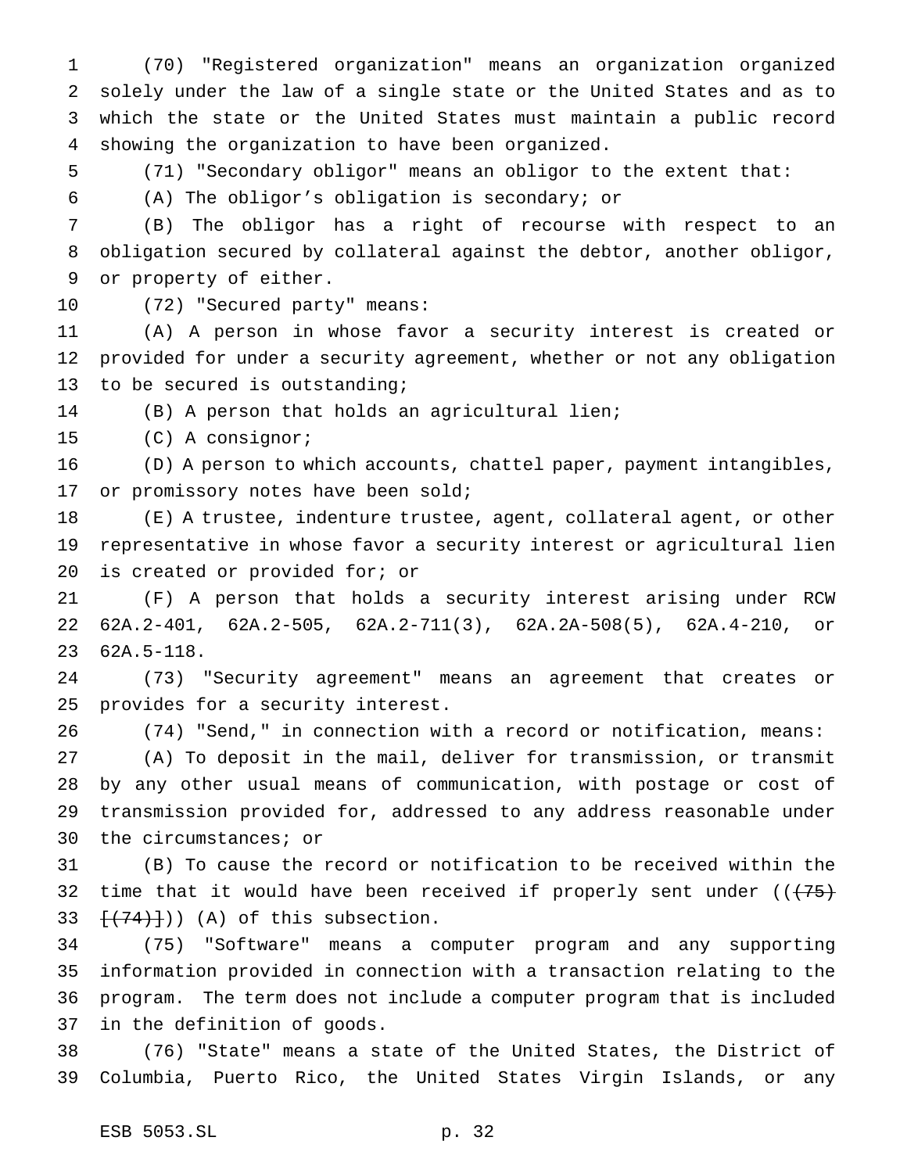(70) "Registered organization" means an organization organized solely under the law of a single state or the United States and as to which the state or the United States must maintain a public record showing the organization to have been organized.

(71) "Secondary obligor" means an obligor to the extent that:

(A) The obligor's obligation is secondary; or

 (B) The obligor has a right of recourse with respect to an obligation secured by collateral against the debtor, another obligor, or property of either.

(72) "Secured party" means:

 (A) A person in whose favor a security interest is created or provided for under a security agreement, whether or not any obligation to be secured is outstanding;

(B) A person that holds an agricultural lien;

(C) A consignor;

 (D) A person to which accounts, chattel paper, payment intangibles, 17 or promissory notes have been sold;

 (E) A trustee, indenture trustee, agent, collateral agent, or other representative in whose favor a security interest or agricultural lien is created or provided for; or

 (F) A person that holds a security interest arising under RCW 62A.2-401, 62A.2-505, 62A.2-711(3), 62A.2A-508(5), 62A.4-210, or 62A.5-118.

 (73) "Security agreement" means an agreement that creates or provides for a security interest.

(74) "Send," in connection with a record or notification, means:

 (A) To deposit in the mail, deliver for transmission, or transmit by any other usual means of communication, with postage or cost of transmission provided for, addressed to any address reasonable under the circumstances; or

 (B) To cause the record or notification to be received within the 32 time that it would have been received if properly sent under  $((+75)$ 33  $+(74)$ )) (A) of this subsection.

 (75) "Software" means a computer program and any supporting information provided in connection with a transaction relating to the program. The term does not include a computer program that is included in the definition of goods.

 (76) "State" means a state of the United States, the District of Columbia, Puerto Rico, the United States Virgin Islands, or any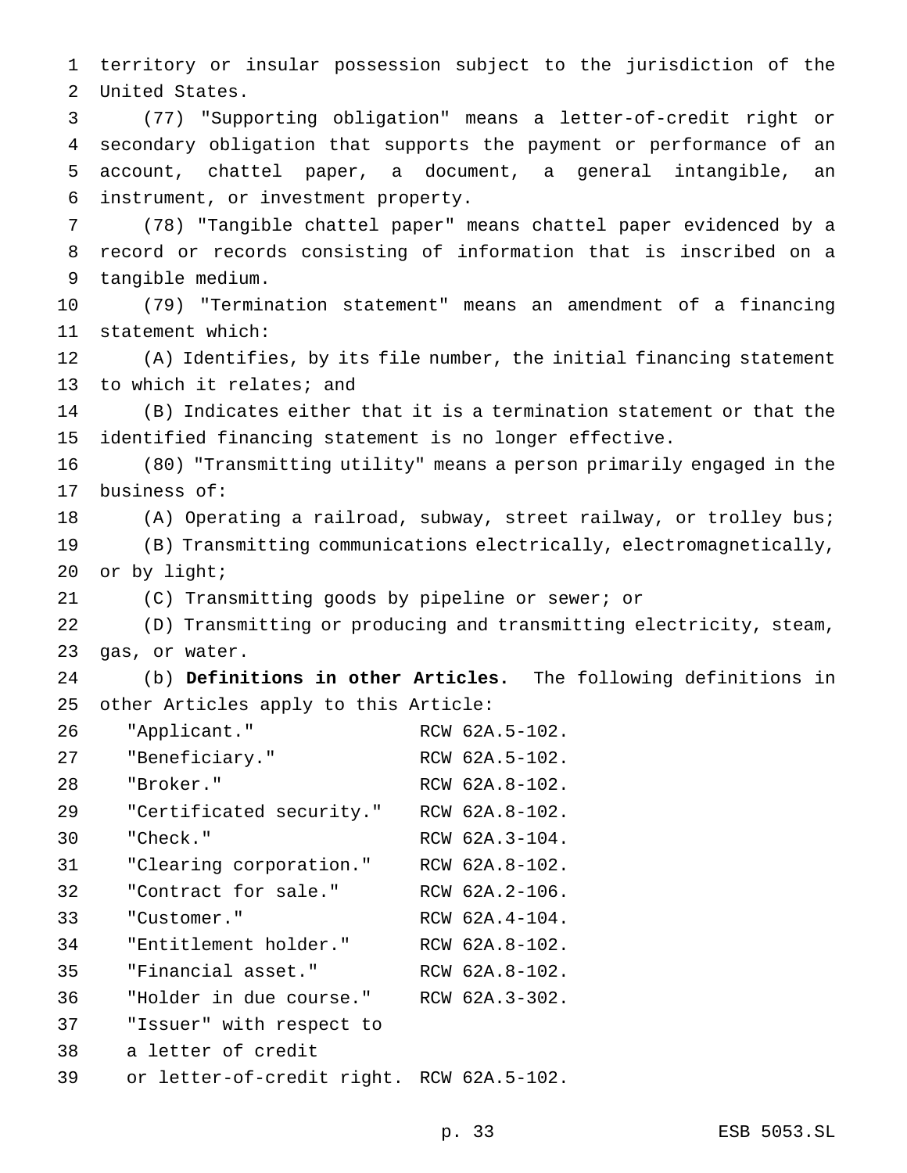territory or insular possession subject to the jurisdiction of the United States.

 (77) "Supporting obligation" means a letter-of-credit right or secondary obligation that supports the payment or performance of an account, chattel paper, a document, a general intangible, an instrument, or investment property.

 (78) "Tangible chattel paper" means chattel paper evidenced by a record or records consisting of information that is inscribed on a tangible medium.

 (79) "Termination statement" means an amendment of a financing statement which:

 (A) Identifies, by its file number, the initial financing statement to which it relates; and

 (B) Indicates either that it is a termination statement or that the identified financing statement is no longer effective.

 (80) "Transmitting utility" means a person primarily engaged in the business of:

 (A) Operating a railroad, subway, street railway, or trolley bus; (B) Transmitting communications electrically, electromagnetically, or by light;

(C) Transmitting goods by pipeline or sewer; or

 (D) Transmitting or producing and transmitting electricity, steam, gas, or water.

 (b) **Definitions in other Articles.** The following definitions in other Articles apply to this Article:

| 26 | "Applicant."                              | RCW 62A.5-102. |
|----|-------------------------------------------|----------------|
| 27 | "Beneficiary."                            | RCW 62A.5-102. |
| 28 | "Broker."                                 | RCW 62A.8-102. |
| 29 | "Certificated security."                  | RCW 62A.8-102. |
| 30 | "Check."                                  | RCW 62A.3-104. |
| 31 | "Clearing corporation."                   | RCW 62A.8-102. |
| 32 | "Contract for sale."                      | RCW 62A.2-106. |
| 33 | "Customer."                               | RCW 62A.4-104. |
| 34 | "Entitlement holder."                     | RCW 62A.8-102. |
| 35 | "Financial asset."                        | RCW 62A.8-102. |
| 36 | "Holder in due course."                   | RCW 62A.3-302. |
| 37 | "Issuer" with respect to                  |                |
| 38 | a letter of credit                        |                |
| 39 | or letter-of-credit right. RCW 62A.5-102. |                |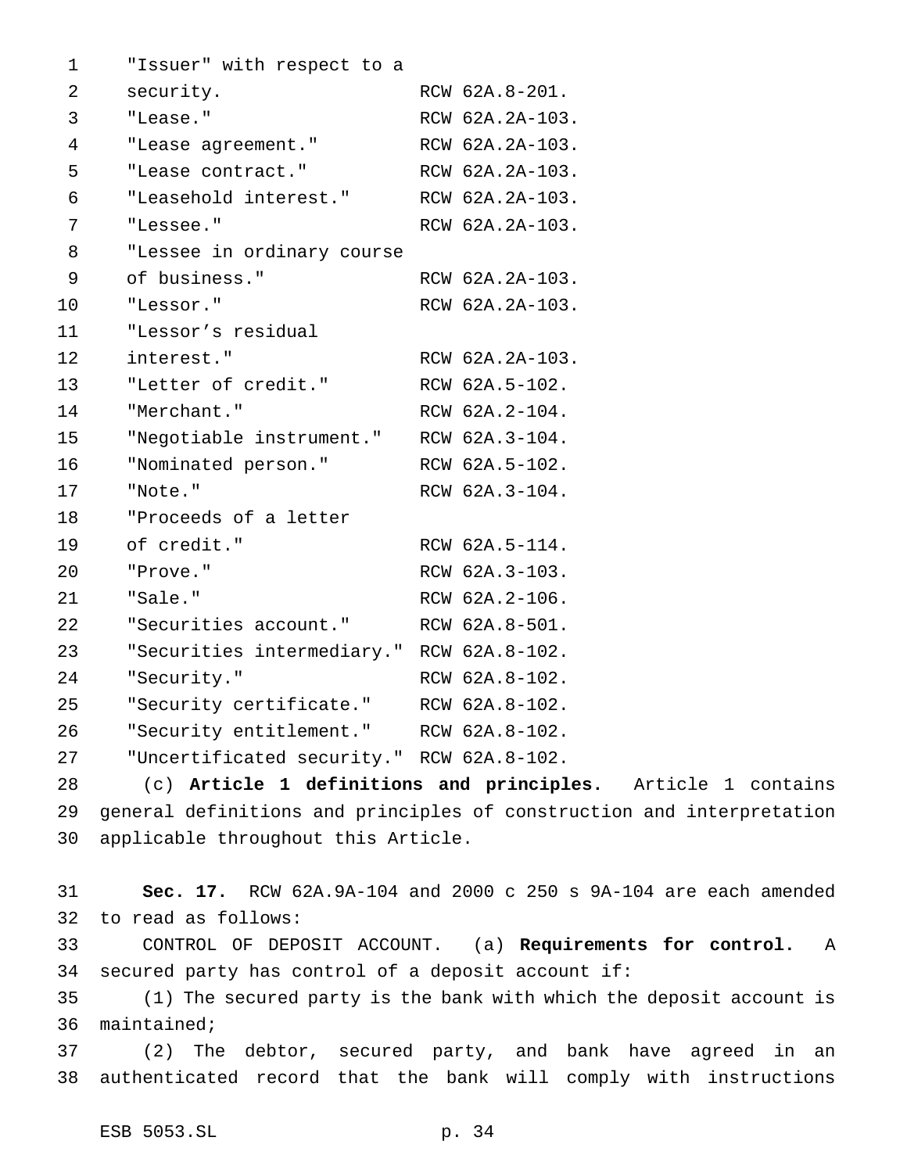| 1              | "Issuer" with respect to a |                 |
|----------------|----------------------------|-----------------|
| 2              | security.                  | RCW 62A.8-201.  |
| 3              | "Lease."                   | RCW 62A.2A-103. |
| $\overline{4}$ | "Lease agreement."         | RCW 62A.2A-103. |
| 5              | "Lease contract."          | RCW 62A.2A-103. |
| 6              | "Leasehold interest."      | RCW 62A.2A-103. |
| 7              | "Lessee."                  | RCW 62A.2A-103. |
| 8              | "Lessee in ordinary course |                 |
| 9              | of business."              | RCW 62A.2A-103. |
| 10             | "Lessor."                  | RCW 62A.2A-103. |
| 11             | "Lessor's residual         |                 |
| 12             | interest."                 | RCW 62A.2A-103. |
| 13             | "Letter of credit."        | RCW 62A.5-102.  |
| 14             | "Merchant."                | RCW 62A.2-104.  |
| 15             | "Negotiable instrument."   | RCW 62A.3-104.  |
| 16             | "Nominated person."        | RCW 62A.5-102.  |
| 17             | "Note."                    | RCW 62A.3-104.  |
| 18             | "Proceeds of a letter      |                 |
| 19             | of credit."                | RCW 62A.5-114.  |
| 20             | "Prove."                   | RCW 62A.3-103.  |
| 21             | "Sale."                    | RCW 62A.2-106.  |
| 22             | "Securities account."      | RCW 62A.8-501.  |
| 23             | "Securities intermediary." | RCW 62A.8-102.  |
| 24             | "Security."                | RCW 62A.8-102.  |
| 25             | "Security certificate."    | RCW 62A.8-102.  |
| 26             | "Security entitlement."    | RCW 62A.8-102.  |
| 27             | "Uncertificated security." | RCW 62A.8-102.  |
|                |                            |                 |

 (c) **Article 1 definitions and principles.** Article 1 contains general definitions and principles of construction and interpretation applicable throughout this Article.

 **Sec. 17.** RCW 62A.9A-104 and 2000 c 250 s 9A-104 are each amended to read as follows:

 CONTROL OF DEPOSIT ACCOUNT. (a) **Requirements for control.** A secured party has control of a deposit account if:

 (1) The secured party is the bank with which the deposit account is maintained;

 (2) The debtor, secured party, and bank have agreed in an authenticated record that the bank will comply with instructions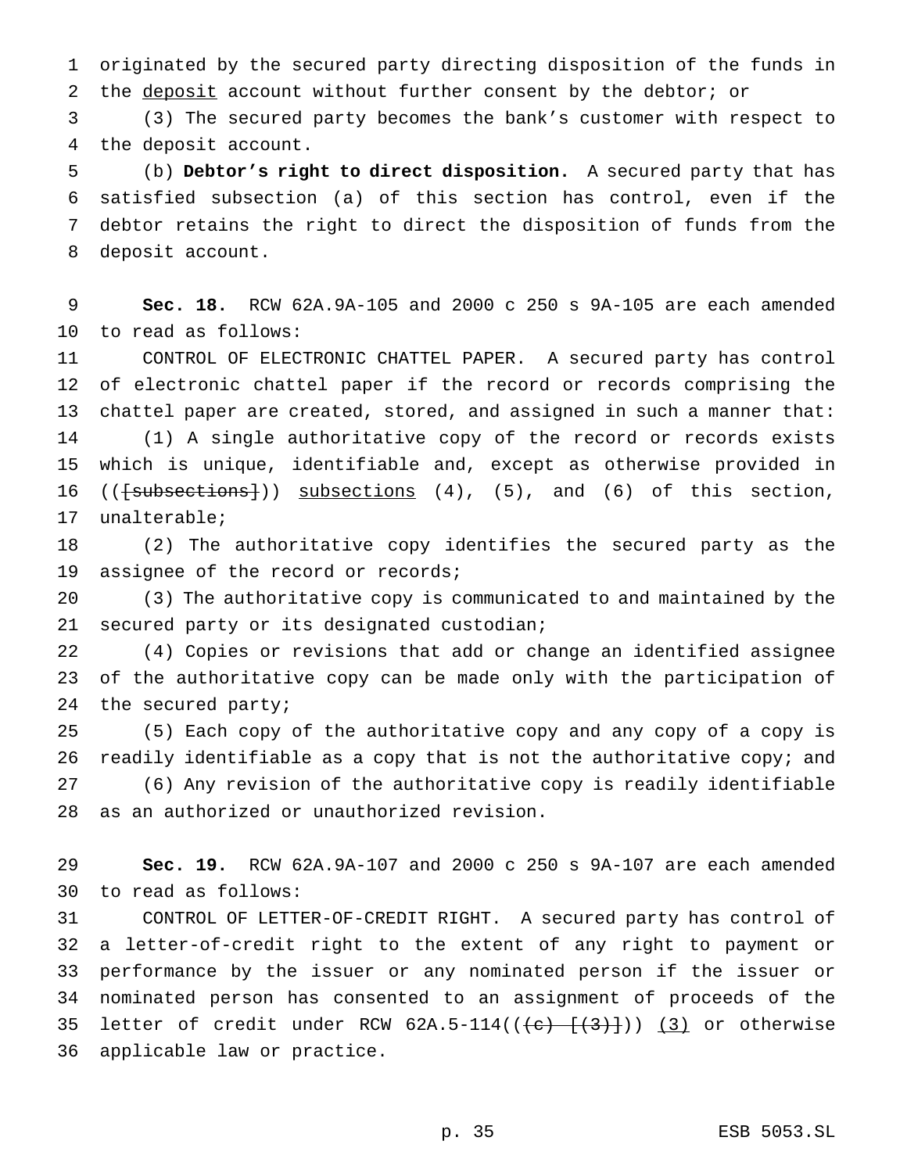originated by the secured party directing disposition of the funds in 2 the deposit account without further consent by the debtor; or

 (3) The secured party becomes the bank's customer with respect to the deposit account.

 (b) **Debtor's right to direct disposition.** A secured party that has satisfied subsection (a) of this section has control, even if the debtor retains the right to direct the disposition of funds from the deposit account.

 **Sec. 18.** RCW 62A.9A-105 and 2000 c 250 s 9A-105 are each amended to read as follows:

 CONTROL OF ELECTRONIC CHATTEL PAPER. A secured party has control of electronic chattel paper if the record or records comprising the chattel paper are created, stored, and assigned in such a manner that: (1) A single authoritative copy of the record or records exists which is unique, identifiable and, except as otherwise provided in 16 (( ${\text{subsections}}$ )) subsections (4), (5), and (6) of this section, unalterable;

 (2) The authoritative copy identifies the secured party as the assignee of the record or records;

 (3) The authoritative copy is communicated to and maintained by the secured party or its designated custodian;

 (4) Copies or revisions that add or change an identified assignee of the authoritative copy can be made only with the participation of the secured party;

 (5) Each copy of the authoritative copy and any copy of a copy is 26 readily identifiable as a copy that is not the authoritative copy; and (6) Any revision of the authoritative copy is readily identifiable as an authorized or unauthorized revision.

 **Sec. 19.** RCW 62A.9A-107 and 2000 c 250 s 9A-107 are each amended to read as follows:

 CONTROL OF LETTER-OF-CREDIT RIGHT. A secured party has control of a letter-of-credit right to the extent of any right to payment or performance by the issuer or any nominated person if the issuer or nominated person has consented to an assignment of proceeds of the 35 letter of credit under RCW  $62A.5-114((\leftarrow +\frac{1}{3})+))$  (3) or otherwise applicable law or practice.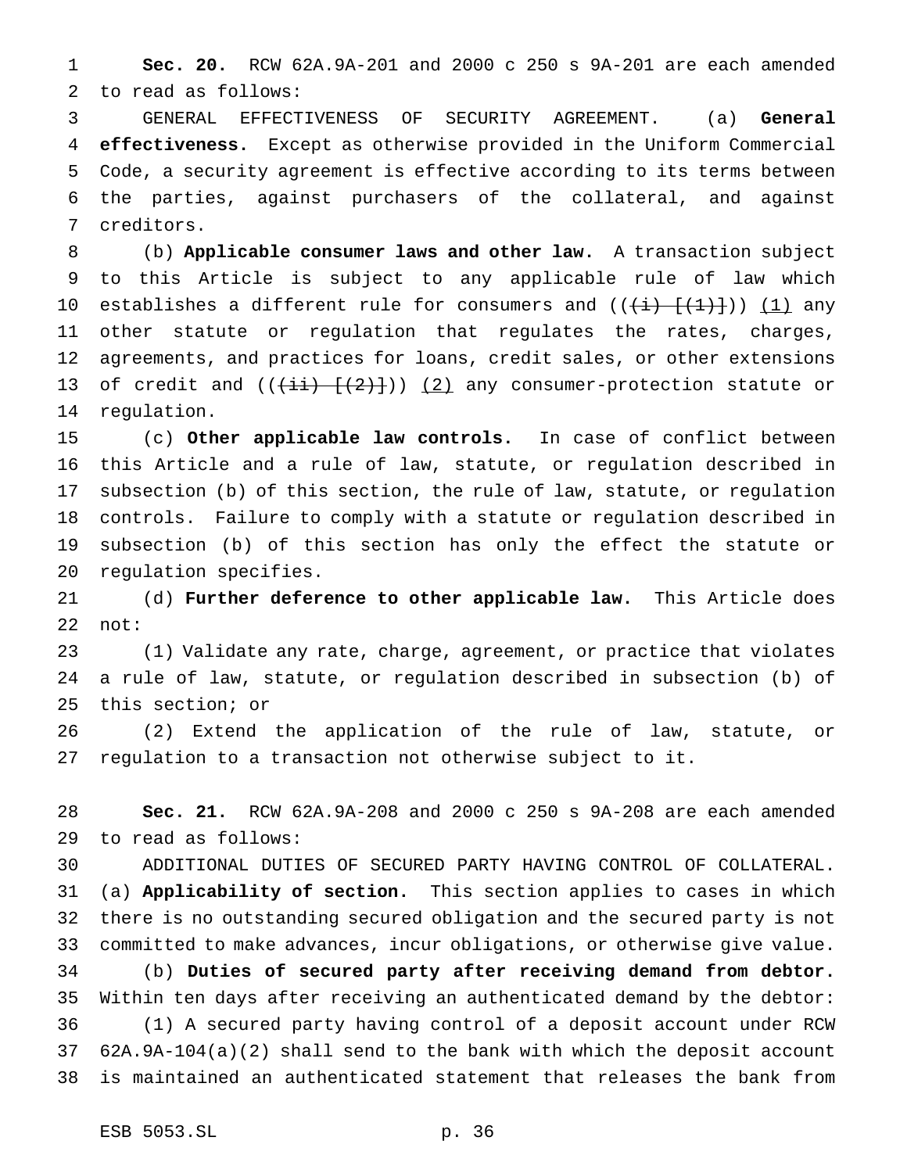**Sec. 20.** RCW 62A.9A-201 and 2000 c 250 s 9A-201 are each amended to read as follows:

 GENERAL EFFECTIVENESS OF SECURITY AGREEMENT. (a) **General effectiveness.** Except as otherwise provided in the Uniform Commercial Code, a security agreement is effective according to its terms between the parties, against purchasers of the collateral, and against creditors.

 (b) **Applicable consumer laws and other law.** A transaction subject to this Article is subject to any applicable rule of law which 10 establishes a different rule for consumers and  $((+i) + ((1+i)))(1)$  any other statute or regulation that regulates the rates, charges, agreements, and practices for loans, credit sales, or other extensions 13 of credit and  $((+i+1)+(2)+))$   $(2)$  any consumer-protection statute or regulation.

 (c) **Other applicable law controls.** In case of conflict between this Article and a rule of law, statute, or regulation described in subsection (b) of this section, the rule of law, statute, or regulation controls. Failure to comply with a statute or regulation described in subsection (b) of this section has only the effect the statute or regulation specifies.

 (d) **Further deference to other applicable law.** This Article does not:

 (1) Validate any rate, charge, agreement, or practice that violates a rule of law, statute, or regulation described in subsection (b) of this section; or

 (2) Extend the application of the rule of law, statute, or regulation to a transaction not otherwise subject to it.

 **Sec. 21.** RCW 62A.9A-208 and 2000 c 250 s 9A-208 are each amended to read as follows:

ADDITIONAL DUTIES OF SECURED PARTY HAVING CONTROL OF COLLATERAL.

 (a) **Applicability of section.** This section applies to cases in which there is no outstanding secured obligation and the secured party is not committed to make advances, incur obligations, or otherwise give value.

 (b) **Duties of secured party after receiving demand from debtor.** Within ten days after receiving an authenticated demand by the debtor: (1) A secured party having control of a deposit account under RCW 62A.9A-104(a)(2) shall send to the bank with which the deposit account is maintained an authenticated statement that releases the bank from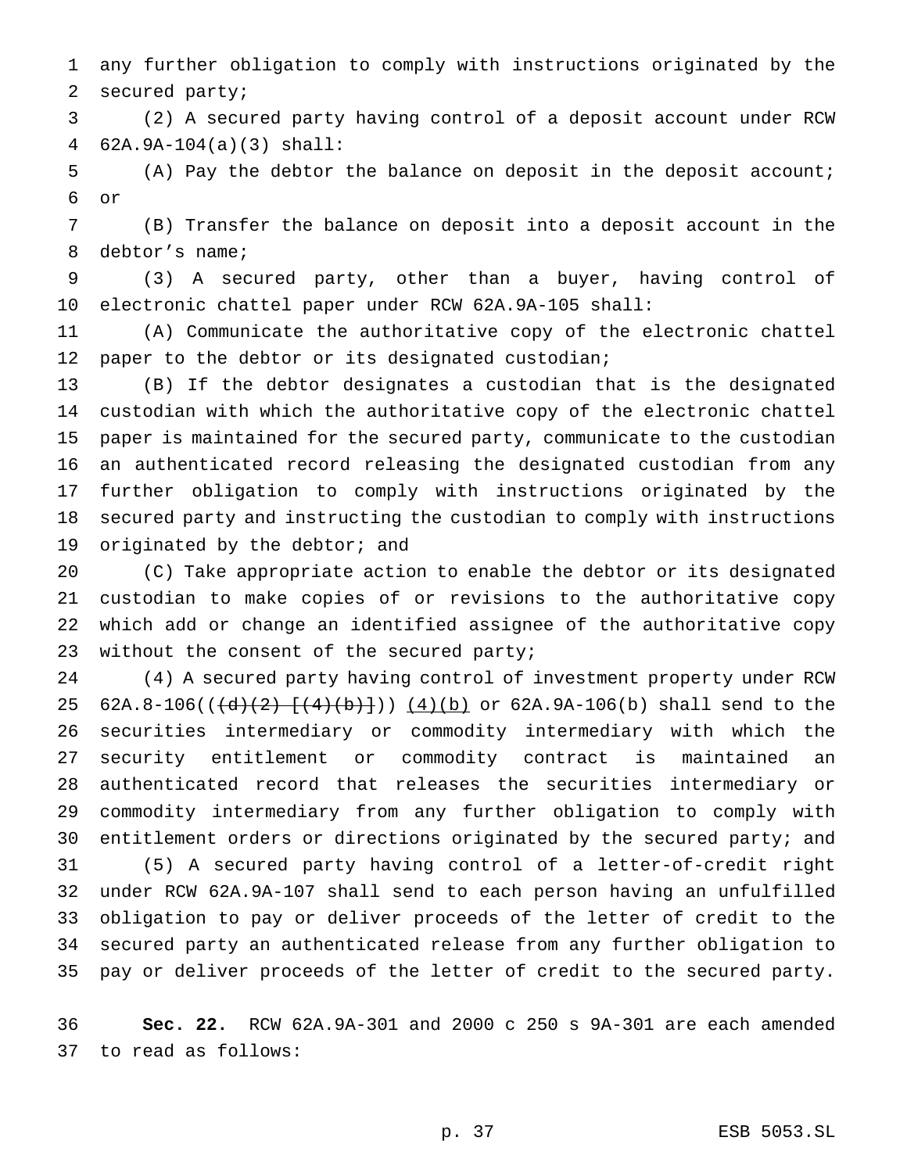any further obligation to comply with instructions originated by the secured party;

 (2) A secured party having control of a deposit account under RCW 62A.9A-104(a)(3) shall:

 (A) Pay the debtor the balance on deposit in the deposit account; or

 (B) Transfer the balance on deposit into a deposit account in the debtor's name;

 (3) A secured party, other than a buyer, having control of electronic chattel paper under RCW 62A.9A-105 shall:

 (A) Communicate the authoritative copy of the electronic chattel 12 paper to the debtor or its designated custodian;

 (B) If the debtor designates a custodian that is the designated custodian with which the authoritative copy of the electronic chattel paper is maintained for the secured party, communicate to the custodian an authenticated record releasing the designated custodian from any further obligation to comply with instructions originated by the secured party and instructing the custodian to comply with instructions originated by the debtor; and

 (C) Take appropriate action to enable the debtor or its designated custodian to make copies of or revisions to the authoritative copy which add or change an identified assignee of the authoritative copy 23 without the consent of the secured party;

 (4) A secured party having control of investment property under RCW 25 62A.8-106( $(\overline{(d)}(2)$   $\overline{(+4)}(b)$ ))  $(4)(b)$  or 62A.9A-106(b) shall send to the securities intermediary or commodity intermediary with which the security entitlement or commodity contract is maintained an authenticated record that releases the securities intermediary or commodity intermediary from any further obligation to comply with entitlement orders or directions originated by the secured party; and (5) A secured party having control of a letter-of-credit right under RCW 62A.9A-107 shall send to each person having an unfulfilled obligation to pay or deliver proceeds of the letter of credit to the secured party an authenticated release from any further obligation to pay or deliver proceeds of the letter of credit to the secured party.

 **Sec. 22.** RCW 62A.9A-301 and 2000 c 250 s 9A-301 are each amended to read as follows: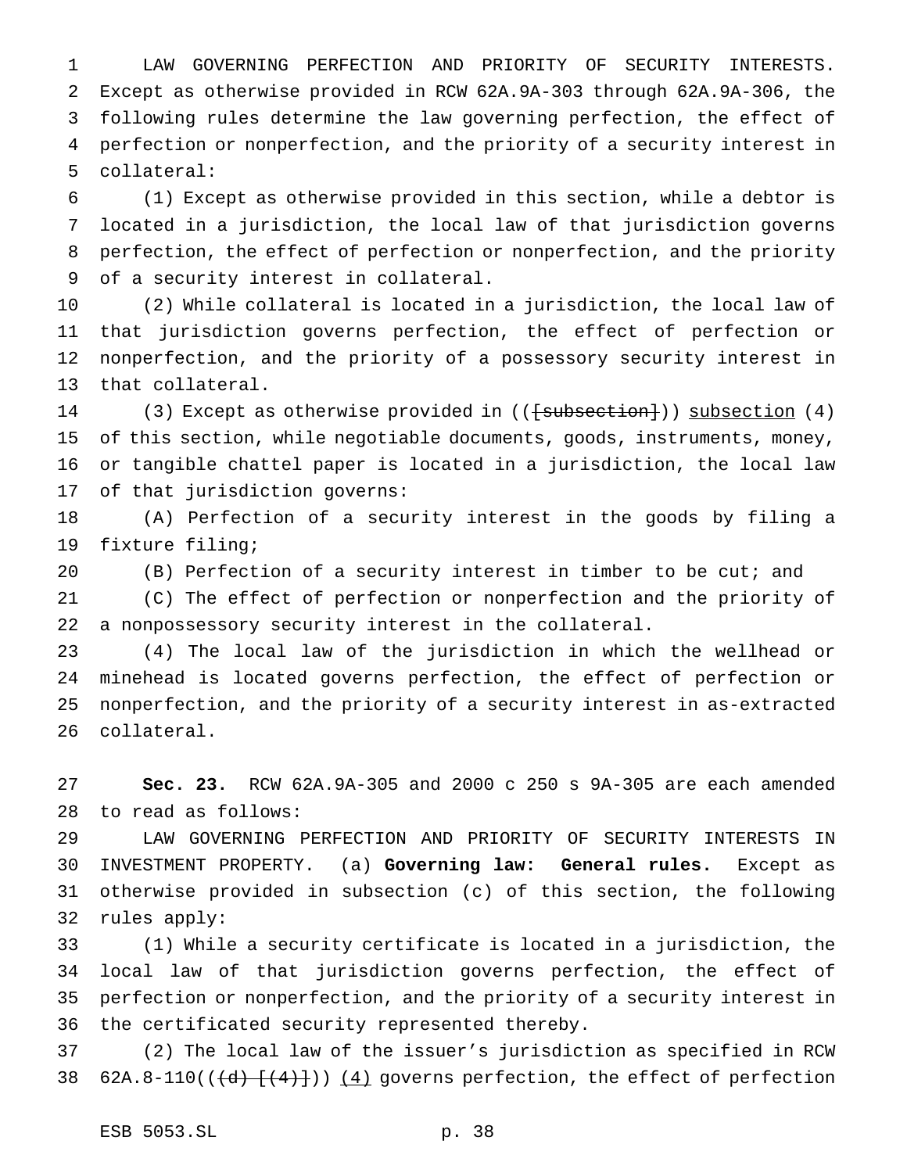LAW GOVERNING PERFECTION AND PRIORITY OF SECURITY INTERESTS. Except as otherwise provided in RCW 62A.9A-303 through 62A.9A-306, the following rules determine the law governing perfection, the effect of perfection or nonperfection, and the priority of a security interest in collateral:

 (1) Except as otherwise provided in this section, while a debtor is located in a jurisdiction, the local law of that jurisdiction governs perfection, the effect of perfection or nonperfection, and the priority of a security interest in collateral.

 (2) While collateral is located in a jurisdiction, the local law of that jurisdiction governs perfection, the effect of perfection or nonperfection, and the priority of a possessory security interest in that collateral.

14 (3) Except as otherwise provided in (( $\{\text{subsection}\}(4)$ ) of this section, while negotiable documents, goods, instruments, money, or tangible chattel paper is located in a jurisdiction, the local law of that jurisdiction governs:

 (A) Perfection of a security interest in the goods by filing a fixture filing;

 (B) Perfection of a security interest in timber to be cut; and (C) The effect of perfection or nonperfection and the priority of a nonpossessory security interest in the collateral.

 (4) The local law of the jurisdiction in which the wellhead or minehead is located governs perfection, the effect of perfection or nonperfection, and the priority of a security interest in as-extracted collateral.

 **Sec. 23.** RCW 62A.9A-305 and 2000 c 250 s 9A-305 are each amended to read as follows:

 LAW GOVERNING PERFECTION AND PRIORITY OF SECURITY INTERESTS IN INVESTMENT PROPERTY. (a) **Governing law: General rules.** Except as otherwise provided in subsection (c) of this section, the following rules apply:

 (1) While a security certificate is located in a jurisdiction, the local law of that jurisdiction governs perfection, the effect of perfection or nonperfection, and the priority of a security interest in the certificated security represented thereby.

 (2) The local law of the issuer's jurisdiction as specified in RCW 38 62A.8-110( $(\overline{(4)}$  $(\overline{4})$ ))  $(4)$  governs perfection, the effect of perfection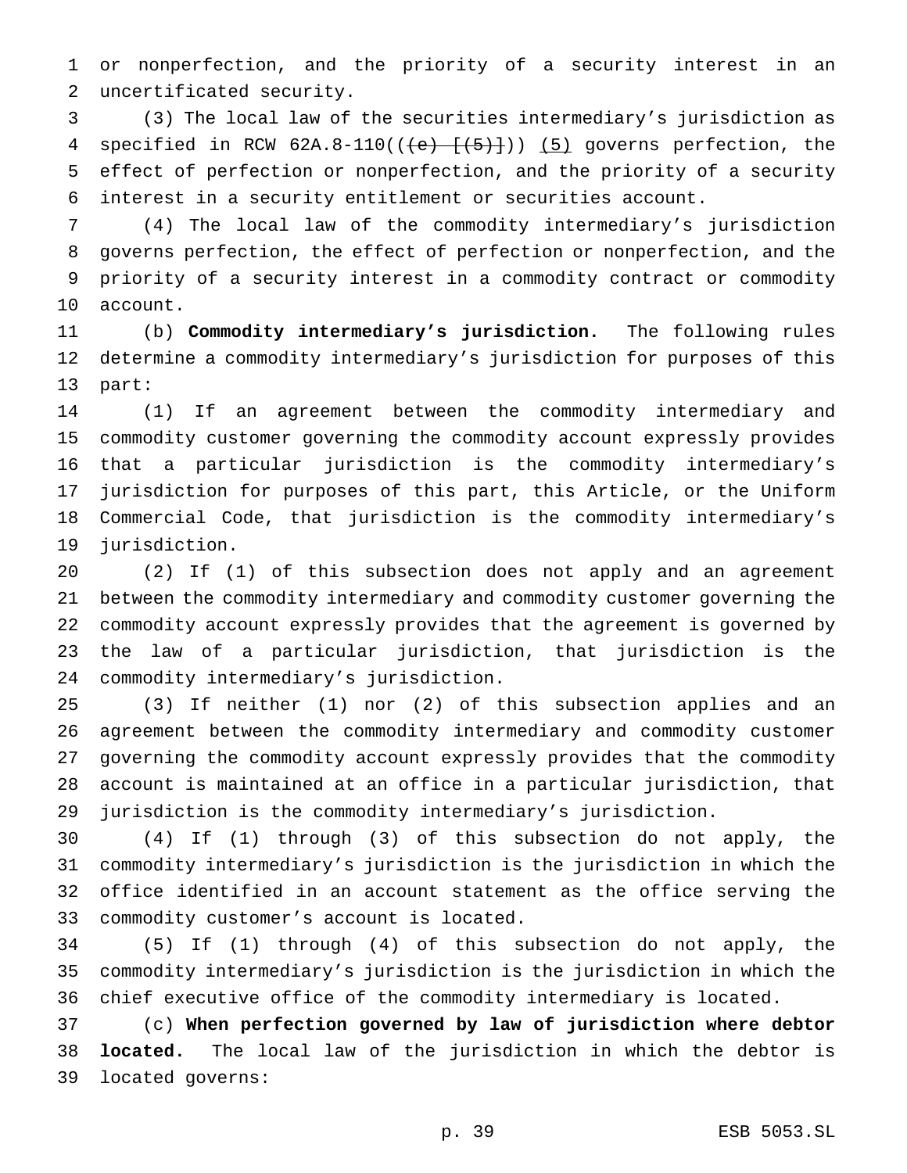or nonperfection, and the priority of a security interest in an uncertificated security.

 (3) The local law of the securities intermediary's jurisdiction as 4 specified in RCW  $62A.8-110((e)$   $(6+1)$ ) (5) governs perfection, the effect of perfection or nonperfection, and the priority of a security interest in a security entitlement or securities account.

 (4) The local law of the commodity intermediary's jurisdiction governs perfection, the effect of perfection or nonperfection, and the priority of a security interest in a commodity contract or commodity account.

 (b) **Commodity intermediary's jurisdiction.** The following rules determine a commodity intermediary's jurisdiction for purposes of this part:

 (1) If an agreement between the commodity intermediary and commodity customer governing the commodity account expressly provides that a particular jurisdiction is the commodity intermediary's jurisdiction for purposes of this part, this Article, or the Uniform Commercial Code, that jurisdiction is the commodity intermediary's jurisdiction.

 (2) If (1) of this subsection does not apply and an agreement between the commodity intermediary and commodity customer governing the commodity account expressly provides that the agreement is governed by the law of a particular jurisdiction, that jurisdiction is the commodity intermediary's jurisdiction.

 (3) If neither (1) nor (2) of this subsection applies and an agreement between the commodity intermediary and commodity customer governing the commodity account expressly provides that the commodity account is maintained at an office in a particular jurisdiction, that jurisdiction is the commodity intermediary's jurisdiction.

 (4) If (1) through (3) of this subsection do not apply, the commodity intermediary's jurisdiction is the jurisdiction in which the office identified in an account statement as the office serving the commodity customer's account is located.

 (5) If (1) through (4) of this subsection do not apply, the commodity intermediary's jurisdiction is the jurisdiction in which the chief executive office of the commodity intermediary is located.

 (c) **When perfection governed by law of jurisdiction where debtor located.** The local law of the jurisdiction in which the debtor is located governs: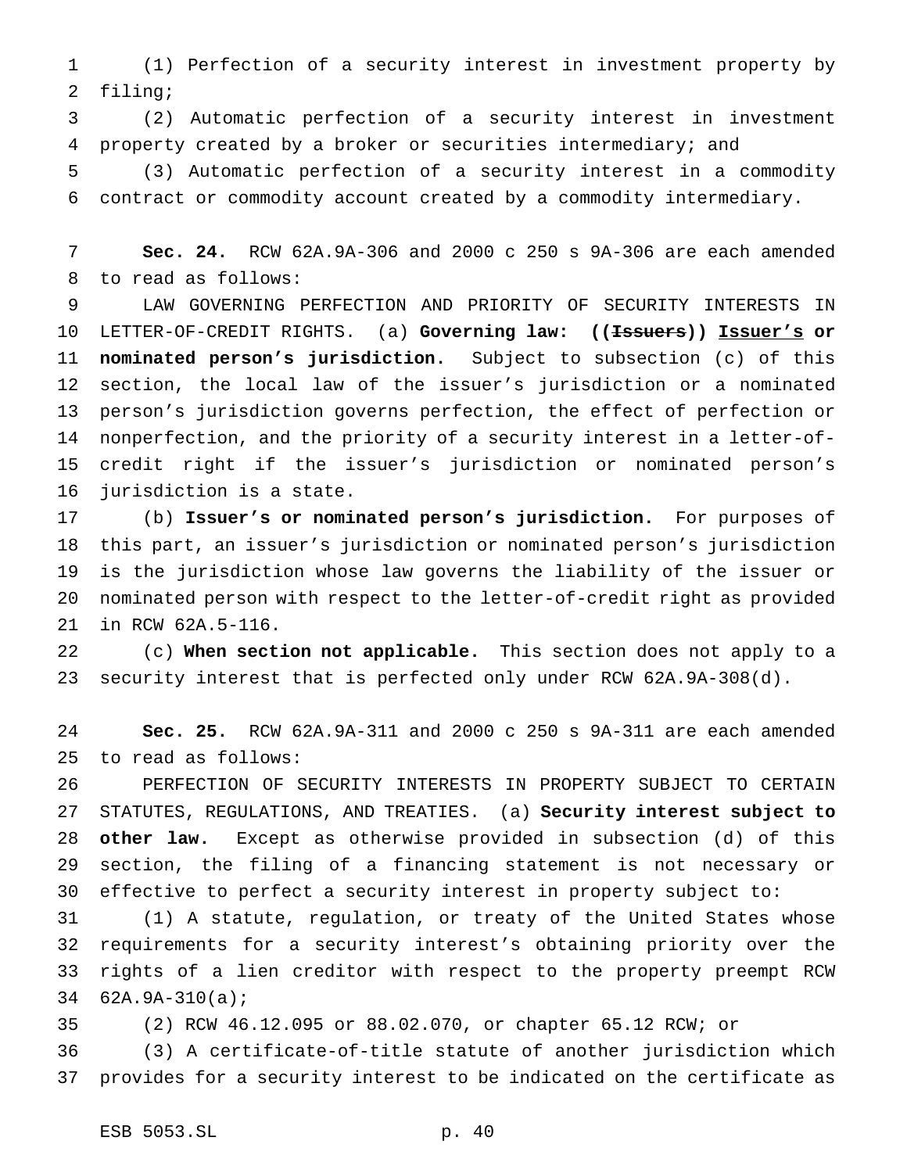(1) Perfection of a security interest in investment property by filing;

 (2) Automatic perfection of a security interest in investment property created by a broker or securities intermediary; and

 (3) Automatic perfection of a security interest in a commodity contract or commodity account created by a commodity intermediary.

 **Sec. 24.** RCW 62A.9A-306 and 2000 c 250 s 9A-306 are each amended to read as follows:

 LAW GOVERNING PERFECTION AND PRIORITY OF SECURITY INTERESTS IN LETTER-OF-CREDIT RIGHTS. (a) **Governing law: ((Issuers)) Issuer's or nominated person's jurisdiction.** Subject to subsection (c) of this section, the local law of the issuer's jurisdiction or a nominated person's jurisdiction governs perfection, the effect of perfection or nonperfection, and the priority of a security interest in a letter-of- credit right if the issuer's jurisdiction or nominated person's jurisdiction is a state.

 (b) **Issuer's or nominated person's jurisdiction.** For purposes of this part, an issuer's jurisdiction or nominated person's jurisdiction is the jurisdiction whose law governs the liability of the issuer or nominated person with respect to the letter-of-credit right as provided in RCW 62A.5-116.

 (c) **When section not applicable.** This section does not apply to a security interest that is perfected only under RCW 62A.9A-308(d).

 **Sec. 25.** RCW 62A.9A-311 and 2000 c 250 s 9A-311 are each amended to read as follows:

 PERFECTION OF SECURITY INTERESTS IN PROPERTY SUBJECT TO CERTAIN STATUTES, REGULATIONS, AND TREATIES. (a) **Security interest subject to other law.** Except as otherwise provided in subsection (d) of this section, the filing of a financing statement is not necessary or effective to perfect a security interest in property subject to:

 (1) A statute, regulation, or treaty of the United States whose requirements for a security interest's obtaining priority over the rights of a lien creditor with respect to the property preempt RCW 62A.9A-310(a);

(2) RCW 46.12.095 or 88.02.070, or chapter 65.12 RCW; or

 (3) A certificate-of-title statute of another jurisdiction which provides for a security interest to be indicated on the certificate as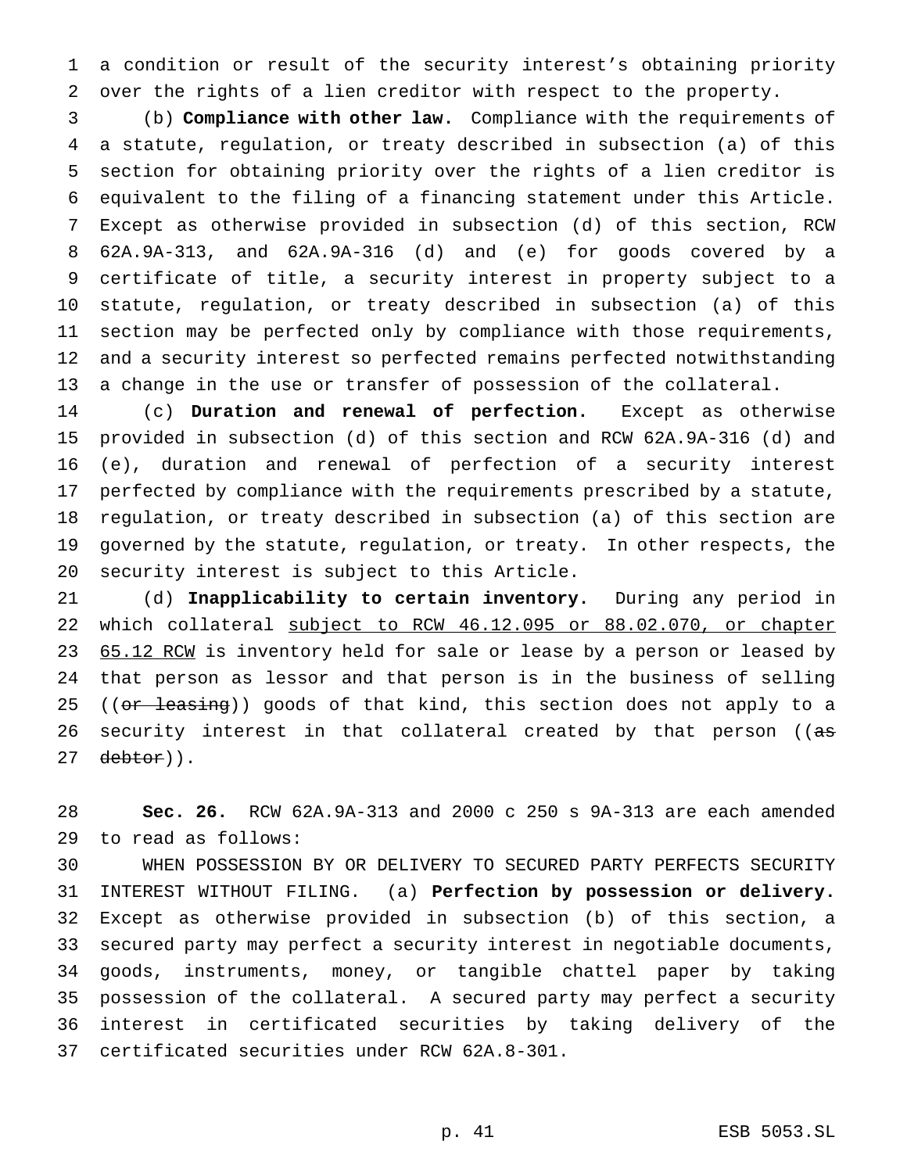a condition or result of the security interest's obtaining priority over the rights of a lien creditor with respect to the property.

 (b) **Compliance with other law.** Compliance with the requirements of a statute, regulation, or treaty described in subsection (a) of this section for obtaining priority over the rights of a lien creditor is equivalent to the filing of a financing statement under this Article. Except as otherwise provided in subsection (d) of this section, RCW 62A.9A-313, and 62A.9A-316 (d) and (e) for goods covered by a certificate of title, a security interest in property subject to a statute, regulation, or treaty described in subsection (a) of this section may be perfected only by compliance with those requirements, and a security interest so perfected remains perfected notwithstanding a change in the use or transfer of possession of the collateral.

 (c) **Duration and renewal of perfection.** Except as otherwise provided in subsection (d) of this section and RCW 62A.9A-316 (d) and (e), duration and renewal of perfection of a security interest perfected by compliance with the requirements prescribed by a statute, regulation, or treaty described in subsection (a) of this section are governed by the statute, regulation, or treaty. In other respects, the security interest is subject to this Article.

 (d) **Inapplicability to certain inventory.** During any period in 22 which collateral subject to RCW 46.12.095 or 88.02.070, or chapter 23 65.12 RCW is inventory held for sale or lease by a person or leased by that person as lessor and that person is in the business of selling 25 ((or leasing)) goods of that kind, this section does not apply to a 26 security interest in that collateral created by that person ((as debtor)).

 **Sec. 26.** RCW 62A.9A-313 and 2000 c 250 s 9A-313 are each amended to read as follows:

 WHEN POSSESSION BY OR DELIVERY TO SECURED PARTY PERFECTS SECURITY INTEREST WITHOUT FILING. (a) **Perfection by possession or delivery.** Except as otherwise provided in subsection (b) of this section, a secured party may perfect a security interest in negotiable documents, goods, instruments, money, or tangible chattel paper by taking possession of the collateral. A secured party may perfect a security interest in certificated securities by taking delivery of the certificated securities under RCW 62A.8-301.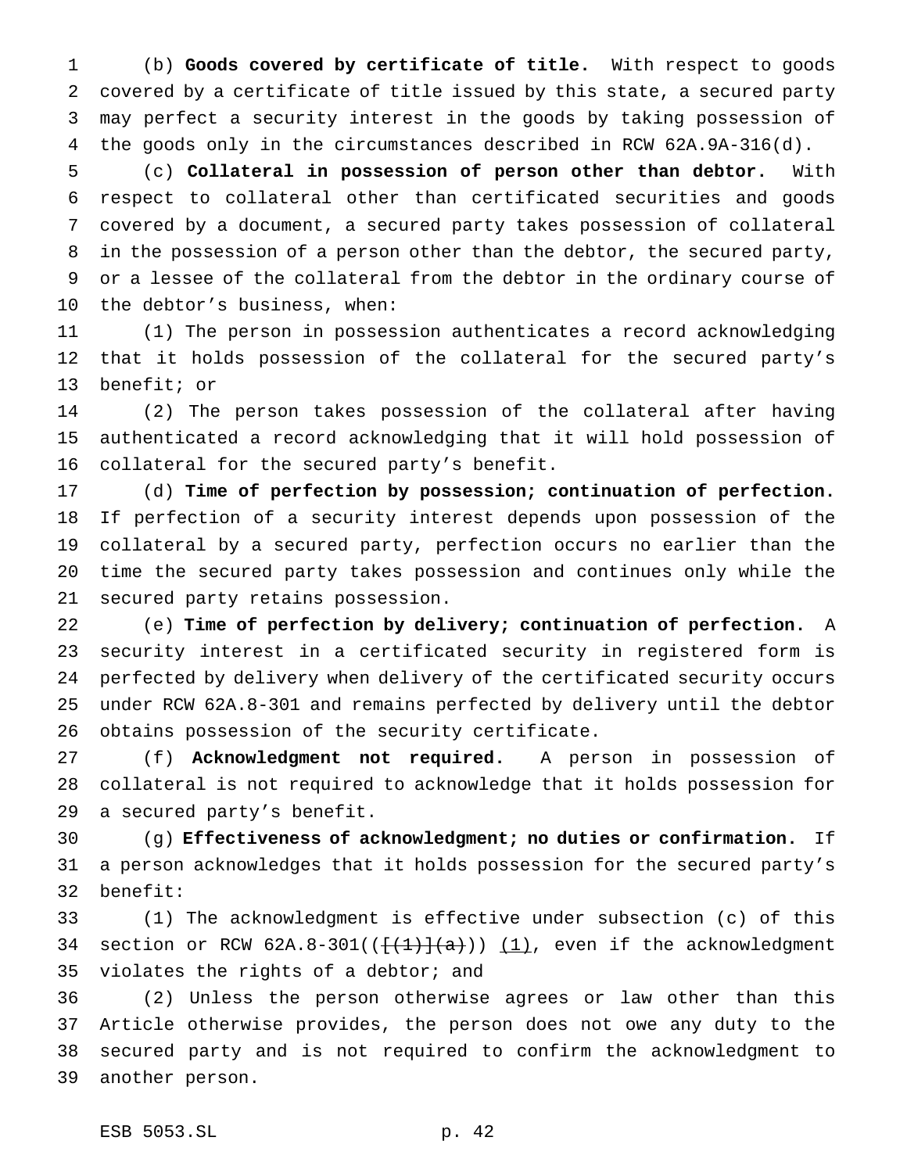(b) **Goods covered by certificate of title.** With respect to goods covered by a certificate of title issued by this state, a secured party may perfect a security interest in the goods by taking possession of the goods only in the circumstances described in RCW 62A.9A-316(d).

 (c) **Collateral in possession of person other than debtor.** With respect to collateral other than certificated securities and goods covered by a document, a secured party takes possession of collateral in the possession of a person other than the debtor, the secured party, or a lessee of the collateral from the debtor in the ordinary course of the debtor's business, when:

 (1) The person in possession authenticates a record acknowledging that it holds possession of the collateral for the secured party's benefit; or

 (2) The person takes possession of the collateral after having authenticated a record acknowledging that it will hold possession of collateral for the secured party's benefit.

 (d) **Time of perfection by possession; continuation of perfection.** If perfection of a security interest depends upon possession of the collateral by a secured party, perfection occurs no earlier than the time the secured party takes possession and continues only while the secured party retains possession.

 (e) **Time of perfection by delivery; continuation of perfection.** A security interest in a certificated security in registered form is perfected by delivery when delivery of the certificated security occurs under RCW 62A.8-301 and remains perfected by delivery until the debtor obtains possession of the security certificate.

 (f) **Acknowledgment not required.** A person in possession of collateral is not required to acknowledge that it holds possession for a secured party's benefit.

 (g) **Effectiveness of acknowledgment; no duties or confirmation.** If a person acknowledges that it holds possession for the secured party's benefit:

 (1) The acknowledgment is effective under subsection (c) of this 34 section or RCW  $62A.8-301((\frac{1}{1})\frac{1}{a})) (1)$ , even if the acknowledgment violates the rights of a debtor; and

 (2) Unless the person otherwise agrees or law other than this Article otherwise provides, the person does not owe any duty to the secured party and is not required to confirm the acknowledgment to another person.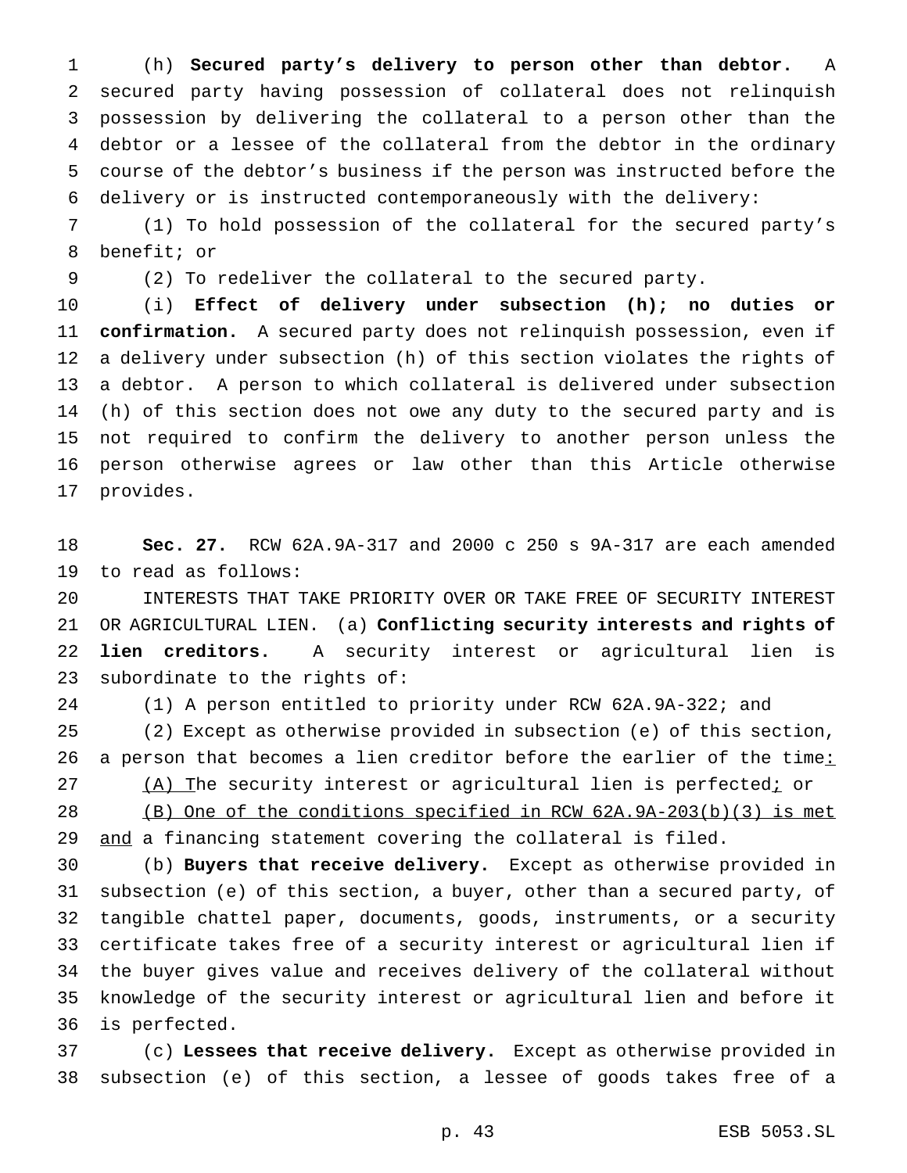(h) **Secured party's delivery to person other than debtor.** A secured party having possession of collateral does not relinquish possession by delivering the collateral to a person other than the debtor or a lessee of the collateral from the debtor in the ordinary course of the debtor's business if the person was instructed before the delivery or is instructed contemporaneously with the delivery:

 (1) To hold possession of the collateral for the secured party's benefit; or

(2) To redeliver the collateral to the secured party.

 (i) **Effect of delivery under subsection (h); no duties or confirmation.** A secured party does not relinquish possession, even if a delivery under subsection (h) of this section violates the rights of a debtor. A person to which collateral is delivered under subsection (h) of this section does not owe any duty to the secured party and is not required to confirm the delivery to another person unless the person otherwise agrees or law other than this Article otherwise provides.

 **Sec. 27.** RCW 62A.9A-317 and 2000 c 250 s 9A-317 are each amended to read as follows:

 INTERESTS THAT TAKE PRIORITY OVER OR TAKE FREE OF SECURITY INTEREST OR AGRICULTURAL LIEN. (a) **Conflicting security interests and rights of lien creditors.** A security interest or agricultural lien is subordinate to the rights of:

(1) A person entitled to priority under RCW 62A.9A-322; and

 (2) Except as otherwise provided in subsection (e) of this section, a person that becomes a lien creditor before the earlier of the time: (A) The security interest or agricultural lien is perfected; or (B) One of the conditions specified in RCW 62A.9A-203(b)(3) is met 29 and a financing statement covering the collateral is filed.

 (b) **Buyers that receive delivery.** Except as otherwise provided in subsection (e) of this section, a buyer, other than a secured party, of tangible chattel paper, documents, goods, instruments, or a security certificate takes free of a security interest or agricultural lien if the buyer gives value and receives delivery of the collateral without knowledge of the security interest or agricultural lien and before it is perfected.

 (c) **Lessees that receive delivery.** Except as otherwise provided in subsection (e) of this section, a lessee of goods takes free of a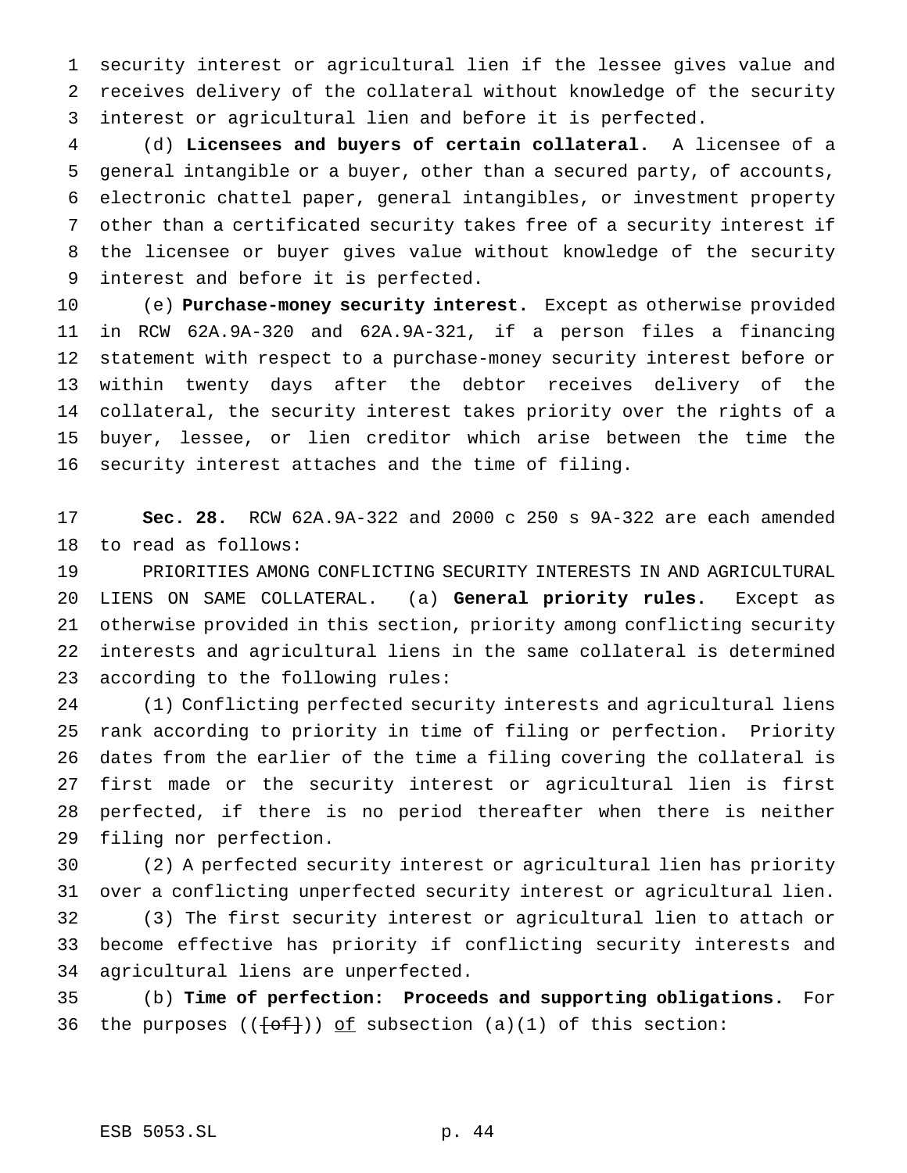security interest or agricultural lien if the lessee gives value and receives delivery of the collateral without knowledge of the security interest or agricultural lien and before it is perfected.

 (d) **Licensees and buyers of certain collateral.** A licensee of a general intangible or a buyer, other than a secured party, of accounts, electronic chattel paper, general intangibles, or investment property other than a certificated security takes free of a security interest if the licensee or buyer gives value without knowledge of the security interest and before it is perfected.

 (e) **Purchase-money security interest.** Except as otherwise provided in RCW 62A.9A-320 and 62A.9A-321, if a person files a financing statement with respect to a purchase-money security interest before or within twenty days after the debtor receives delivery of the collateral, the security interest takes priority over the rights of a buyer, lessee, or lien creditor which arise between the time the security interest attaches and the time of filing.

 **Sec. 28.** RCW 62A.9A-322 and 2000 c 250 s 9A-322 are each amended to read as follows:

 PRIORITIES AMONG CONFLICTING SECURITY INTERESTS IN AND AGRICULTURAL LIENS ON SAME COLLATERAL. (a) **General priority rules.** Except as otherwise provided in this section, priority among conflicting security interests and agricultural liens in the same collateral is determined according to the following rules:

 (1) Conflicting perfected security interests and agricultural liens rank according to priority in time of filing or perfection. Priority dates from the earlier of the time a filing covering the collateral is first made or the security interest or agricultural lien is first perfected, if there is no period thereafter when there is neither filing nor perfection.

 (2) A perfected security interest or agricultural lien has priority over a conflicting unperfected security interest or agricultural lien.

 (3) The first security interest or agricultural lien to attach or become effective has priority if conflicting security interests and agricultural liens are unperfected.

 (b) **Time of perfection: Proceeds and supporting obligations.** For 36 the purposes  $((6f))$  of subsection  $(a)(1)$  of this section: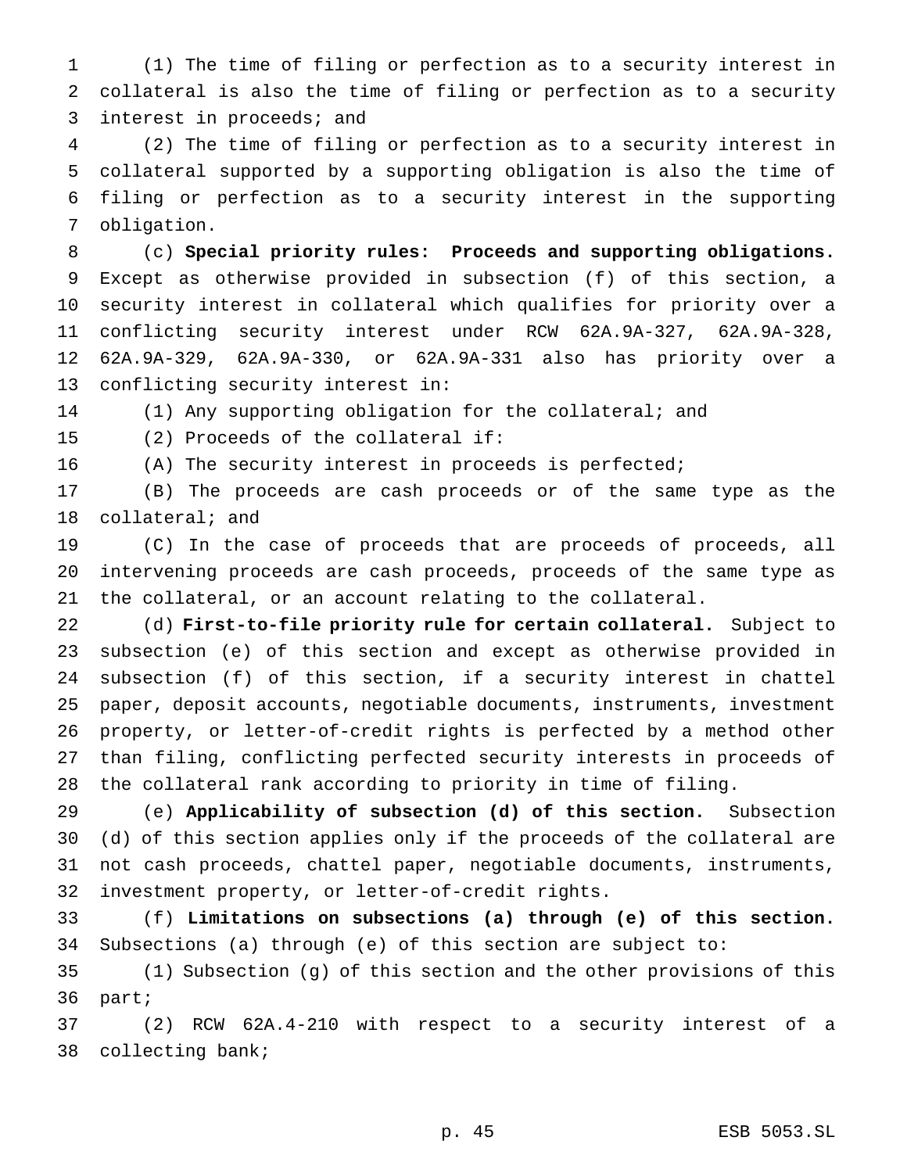(1) The time of filing or perfection as to a security interest in collateral is also the time of filing or perfection as to a security interest in proceeds; and

 (2) The time of filing or perfection as to a security interest in collateral supported by a supporting obligation is also the time of filing or perfection as to a security interest in the supporting obligation.

 (c) **Special priority rules: Proceeds and supporting obligations.** Except as otherwise provided in subsection (f) of this section, a security interest in collateral which qualifies for priority over a conflicting security interest under RCW 62A.9A-327, 62A.9A-328, 62A.9A-329, 62A.9A-330, or 62A.9A-331 also has priority over a conflicting security interest in:

(1) Any supporting obligation for the collateral; and

(2) Proceeds of the collateral if:

(A) The security interest in proceeds is perfected;

 (B) The proceeds are cash proceeds or of the same type as the collateral; and

 (C) In the case of proceeds that are proceeds of proceeds, all intervening proceeds are cash proceeds, proceeds of the same type as the collateral, or an account relating to the collateral.

 (d) **First-to-file priority rule for certain collateral.** Subject to subsection (e) of this section and except as otherwise provided in subsection (f) of this section, if a security interest in chattel paper, deposit accounts, negotiable documents, instruments, investment property, or letter-of-credit rights is perfected by a method other than filing, conflicting perfected security interests in proceeds of the collateral rank according to priority in time of filing.

 (e) **Applicability of subsection (d) of this section.** Subsection (d) of this section applies only if the proceeds of the collateral are not cash proceeds, chattel paper, negotiable documents, instruments, investment property, or letter-of-credit rights.

 (f) **Limitations on subsections (a) through (e) of this section.** Subsections (a) through (e) of this section are subject to:

 (1) Subsection (g) of this section and the other provisions of this part;

 (2) RCW 62A.4-210 with respect to a security interest of a collecting bank;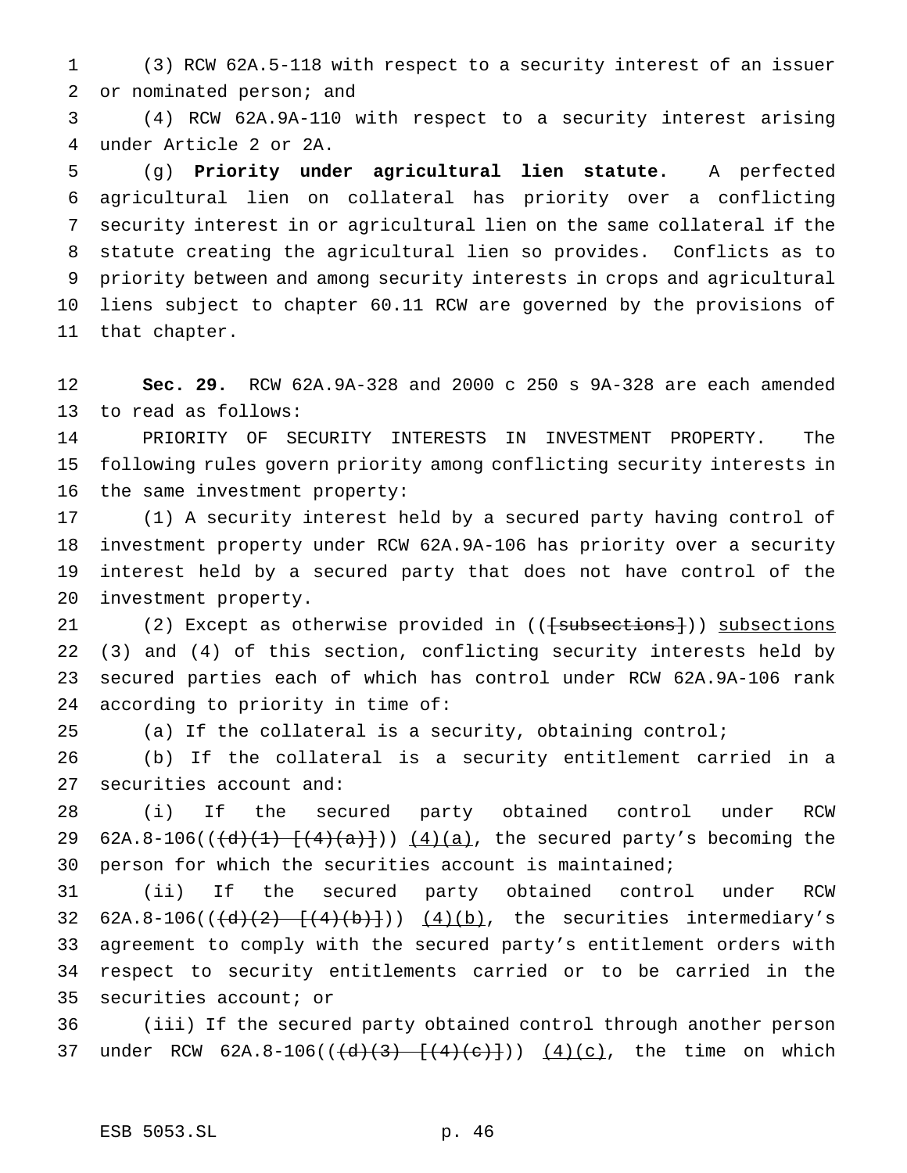(3) RCW 62A.5-118 with respect to a security interest of an issuer or nominated person; and

 (4) RCW 62A.9A-110 with respect to a security interest arising under Article 2 or 2A.

 (g) **Priority under agricultural lien statute.** A perfected agricultural lien on collateral has priority over a conflicting security interest in or agricultural lien on the same collateral if the statute creating the agricultural lien so provides. Conflicts as to priority between and among security interests in crops and agricultural liens subject to chapter 60.11 RCW are governed by the provisions of that chapter.

 **Sec. 29.** RCW 62A.9A-328 and 2000 c 250 s 9A-328 are each amended to read as follows:

 PRIORITY OF SECURITY INTERESTS IN INVESTMENT PROPERTY. The following rules govern priority among conflicting security interests in the same investment property:

 (1) A security interest held by a secured party having control of investment property under RCW 62A.9A-106 has priority over a security interest held by a secured party that does not have control of the investment property.

21 (2) Except as otherwise provided in ((<del>[subsections]</del>)) subsections (3) and (4) of this section, conflicting security interests held by secured parties each of which has control under RCW 62A.9A-106 rank according to priority in time of:

(a) If the collateral is a security, obtaining control;

 (b) If the collateral is a security entitlement carried in a securities account and:

 (i) If the secured party obtained control under RCW 29 62A.8-106( $(\{d\},\{1\},\{4\},\{a\})$ )  $(4)(a)$ , the secured party's becoming the person for which the securities account is maintained;

 (ii) If the secured party obtained control under RCW 32 62A.8-106( $(\overline{(4)}\overline{(2)}$   $\overline{(\overline{(4)}\overline{(b)}})$ )  $\overline{(4)}\overline{(b)}$ , the securities intermediary's agreement to comply with the secured party's entitlement orders with respect to security entitlements carried or to be carried in the securities account; or

 (iii) If the secured party obtained control through another person 37 under RCW  $62A.8-106((\{d\},\{3\} - \{(4\},\{c\}))) (4)(c)$ , the time on which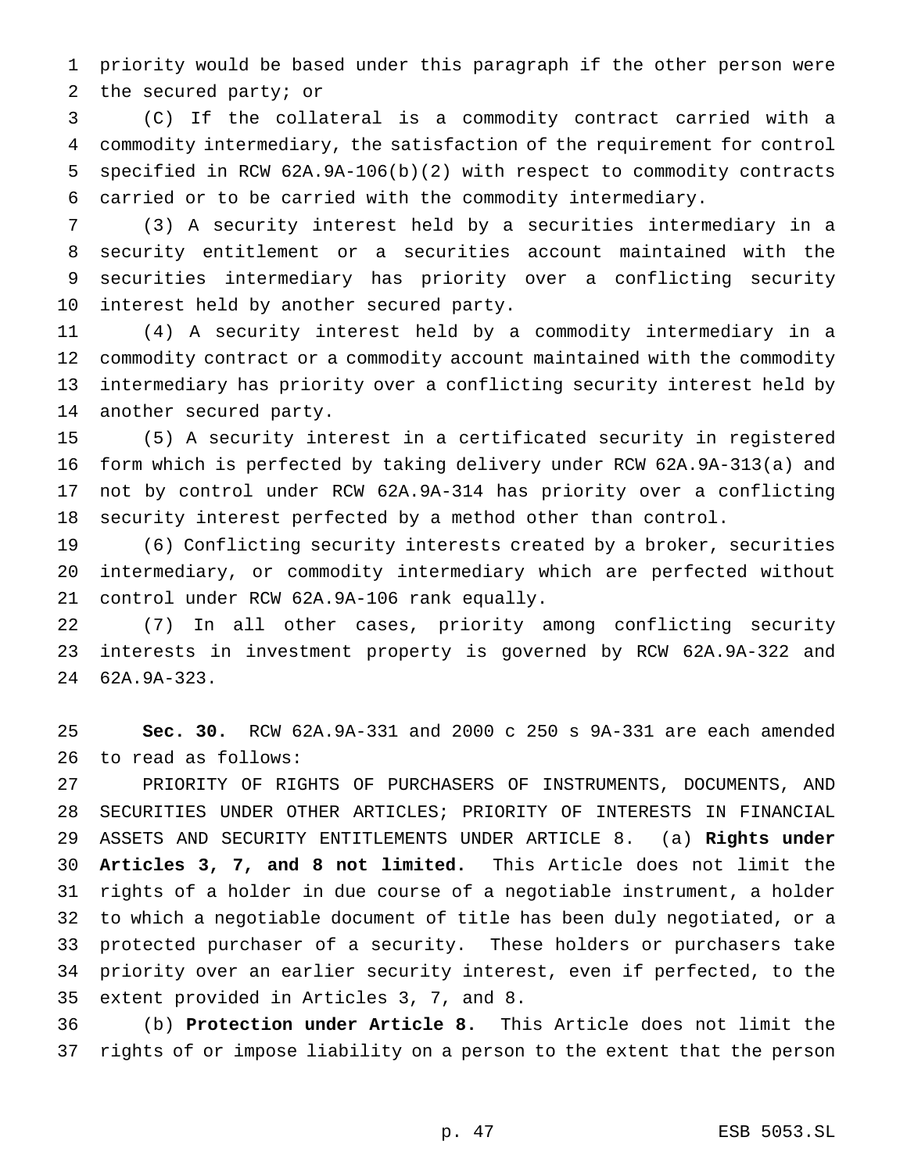priority would be based under this paragraph if the other person were the secured party; or

 (C) If the collateral is a commodity contract carried with a commodity intermediary, the satisfaction of the requirement for control specified in RCW 62A.9A-106(b)(2) with respect to commodity contracts carried or to be carried with the commodity intermediary.

 (3) A security interest held by a securities intermediary in a security entitlement or a securities account maintained with the securities intermediary has priority over a conflicting security interest held by another secured party.

 (4) A security interest held by a commodity intermediary in a commodity contract or a commodity account maintained with the commodity intermediary has priority over a conflicting security interest held by another secured party.

 (5) A security interest in a certificated security in registered form which is perfected by taking delivery under RCW 62A.9A-313(a) and not by control under RCW 62A.9A-314 has priority over a conflicting security interest perfected by a method other than control.

 (6) Conflicting security interests created by a broker, securities intermediary, or commodity intermediary which are perfected without control under RCW 62A.9A-106 rank equally.

 (7) In all other cases, priority among conflicting security interests in investment property is governed by RCW 62A.9A-322 and 62A.9A-323.

 **Sec. 30.** RCW 62A.9A-331 and 2000 c 250 s 9A-331 are each amended to read as follows:

 PRIORITY OF RIGHTS OF PURCHASERS OF INSTRUMENTS, DOCUMENTS, AND SECURITIES UNDER OTHER ARTICLES; PRIORITY OF INTERESTS IN FINANCIAL ASSETS AND SECURITY ENTITLEMENTS UNDER ARTICLE 8. (a) **Rights under Articles 3, 7, and 8 not limited.** This Article does not limit the rights of a holder in due course of a negotiable instrument, a holder to which a negotiable document of title has been duly negotiated, or a protected purchaser of a security. These holders or purchasers take priority over an earlier security interest, even if perfected, to the extent provided in Articles 3, 7, and 8.

 (b) **Protection under Article 8.** This Article does not limit the rights of or impose liability on a person to the extent that the person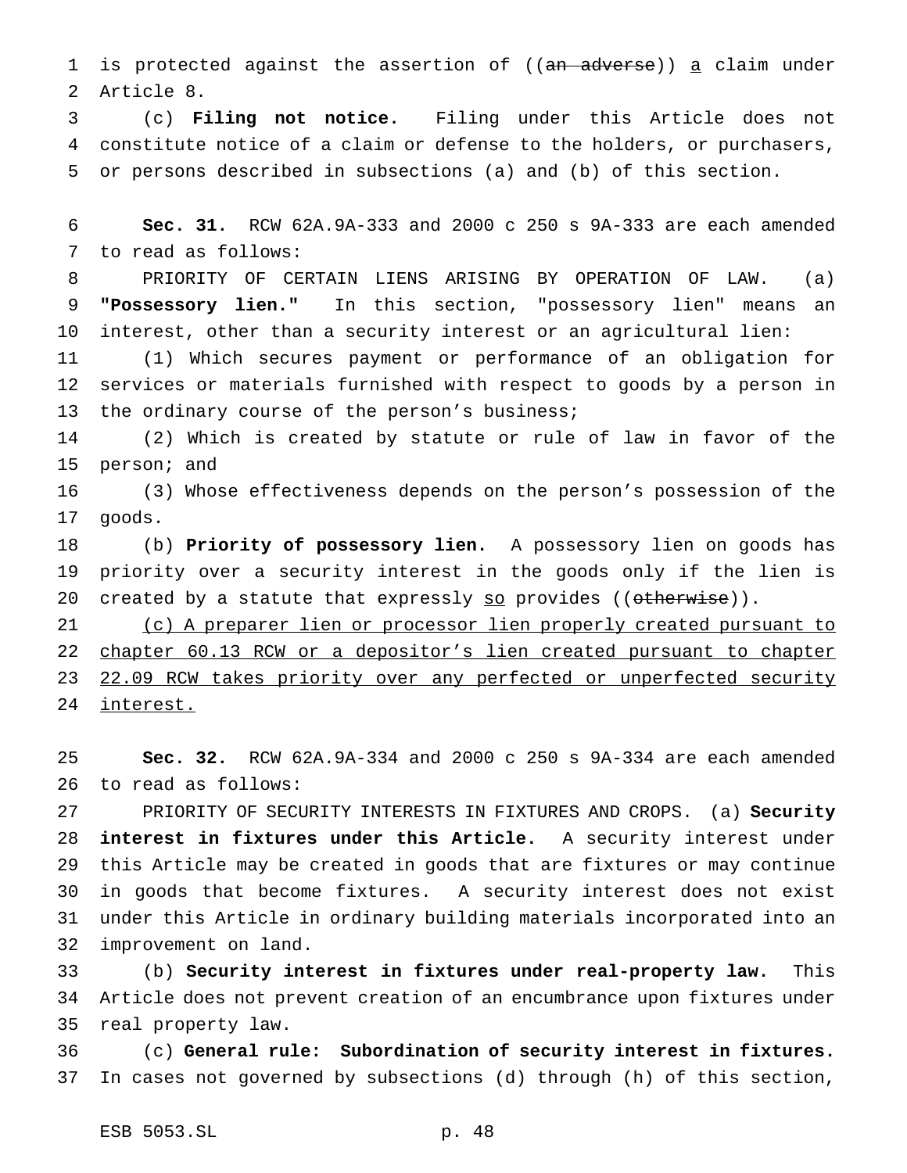1 is protected against the assertion of ((an adverse)) a claim under Article 8.

 (c) **Filing not notice.** Filing under this Article does not constitute notice of a claim or defense to the holders, or purchasers, or persons described in subsections (a) and (b) of this section.

 **Sec. 31.** RCW 62A.9A-333 and 2000 c 250 s 9A-333 are each amended to read as follows:

 PRIORITY OF CERTAIN LIENS ARISING BY OPERATION OF LAW. (a) **"Possessory lien."** In this section, "possessory lien" means an interest, other than a security interest or an agricultural lien:

 (1) Which secures payment or performance of an obligation for services or materials furnished with respect to goods by a person in 13 the ordinary course of the person's business;

 (2) Which is created by statute or rule of law in favor of the person; and

 (3) Whose effectiveness depends on the person's possession of the goods.

 (b) **Priority of possessory lien.** A possessory lien on goods has priority over a security interest in the goods only if the lien is 20 created by a statute that expressly so provides  $($  (otherwise)).

 (c) A preparer lien or processor lien properly created pursuant to chapter 60.13 RCW or a depositor's lien created pursuant to chapter 22.09 RCW takes priority over any perfected or unperfected security interest.

 **Sec. 32.** RCW 62A.9A-334 and 2000 c 250 s 9A-334 are each amended to read as follows:

 PRIORITY OF SECURITY INTERESTS IN FIXTURES AND CROPS. (a) **Security interest in fixtures under this Article.** A security interest under this Article may be created in goods that are fixtures or may continue in goods that become fixtures. A security interest does not exist under this Article in ordinary building materials incorporated into an improvement on land.

 (b) **Security interest in fixtures under real-property law.** This Article does not prevent creation of an encumbrance upon fixtures under real property law.

 (c) **General rule: Subordination of security interest in fixtures.** In cases not governed by subsections (d) through (h) of this section,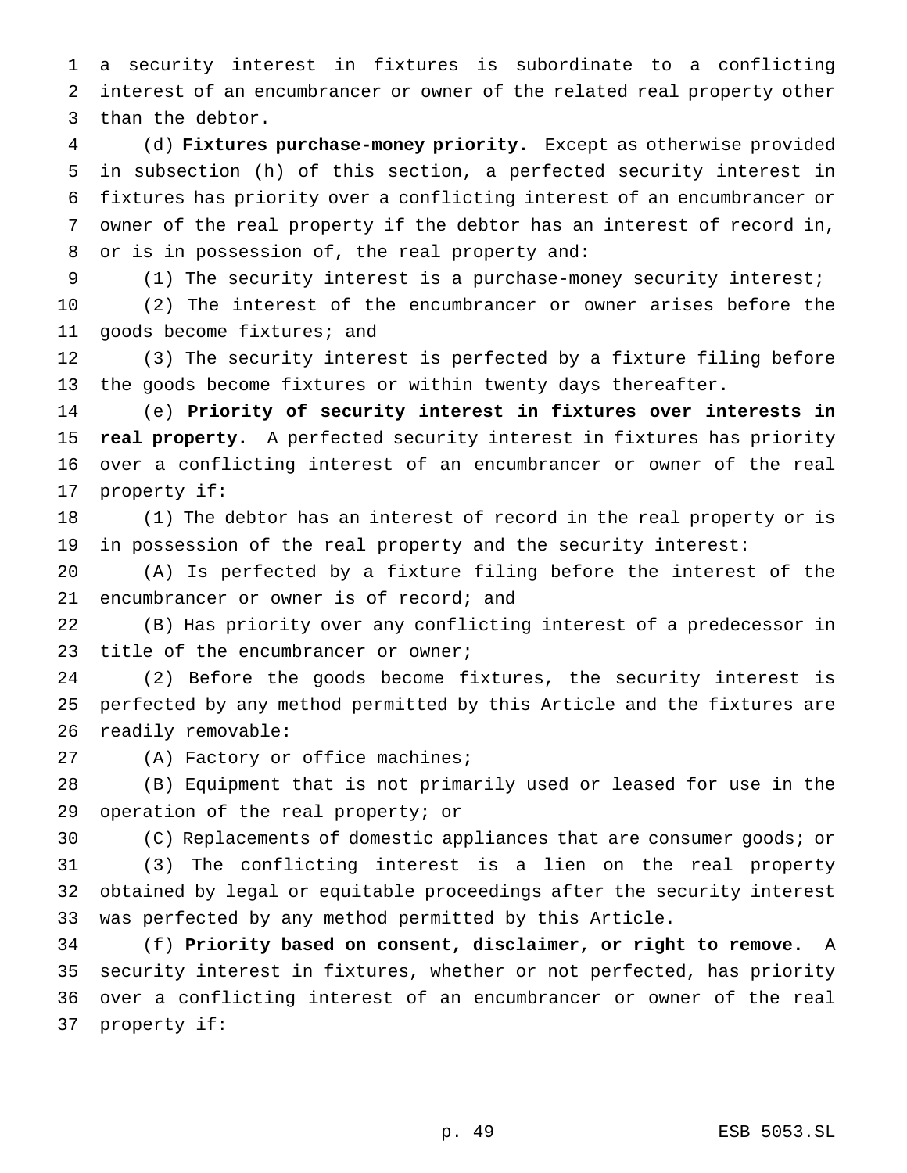a security interest in fixtures is subordinate to a conflicting interest of an encumbrancer or owner of the related real property other than the debtor.

 (d) **Fixtures purchase-money priority.** Except as otherwise provided in subsection (h) of this section, a perfected security interest in fixtures has priority over a conflicting interest of an encumbrancer or owner of the real property if the debtor has an interest of record in, or is in possession of, the real property and:

(1) The security interest is a purchase-money security interest;

 (2) The interest of the encumbrancer or owner arises before the goods become fixtures; and

 (3) The security interest is perfected by a fixture filing before the goods become fixtures or within twenty days thereafter.

 (e) **Priority of security interest in fixtures over interests in real property.** A perfected security interest in fixtures has priority over a conflicting interest of an encumbrancer or owner of the real property if:

 (1) The debtor has an interest of record in the real property or is in possession of the real property and the security interest:

 (A) Is perfected by a fixture filing before the interest of the 21 encumbrancer or owner is of record; and

 (B) Has priority over any conflicting interest of a predecessor in title of the encumbrancer or owner;

 (2) Before the goods become fixtures, the security interest is perfected by any method permitted by this Article and the fixtures are readily removable:

(A) Factory or office machines;

 (B) Equipment that is not primarily used or leased for use in the operation of the real property; or

 (C) Replacements of domestic appliances that are consumer goods; or (3) The conflicting interest is a lien on the real property obtained by legal or equitable proceedings after the security interest was perfected by any method permitted by this Article.

 (f) **Priority based on consent, disclaimer, or right to remove.** A security interest in fixtures, whether or not perfected, has priority over a conflicting interest of an encumbrancer or owner of the real property if: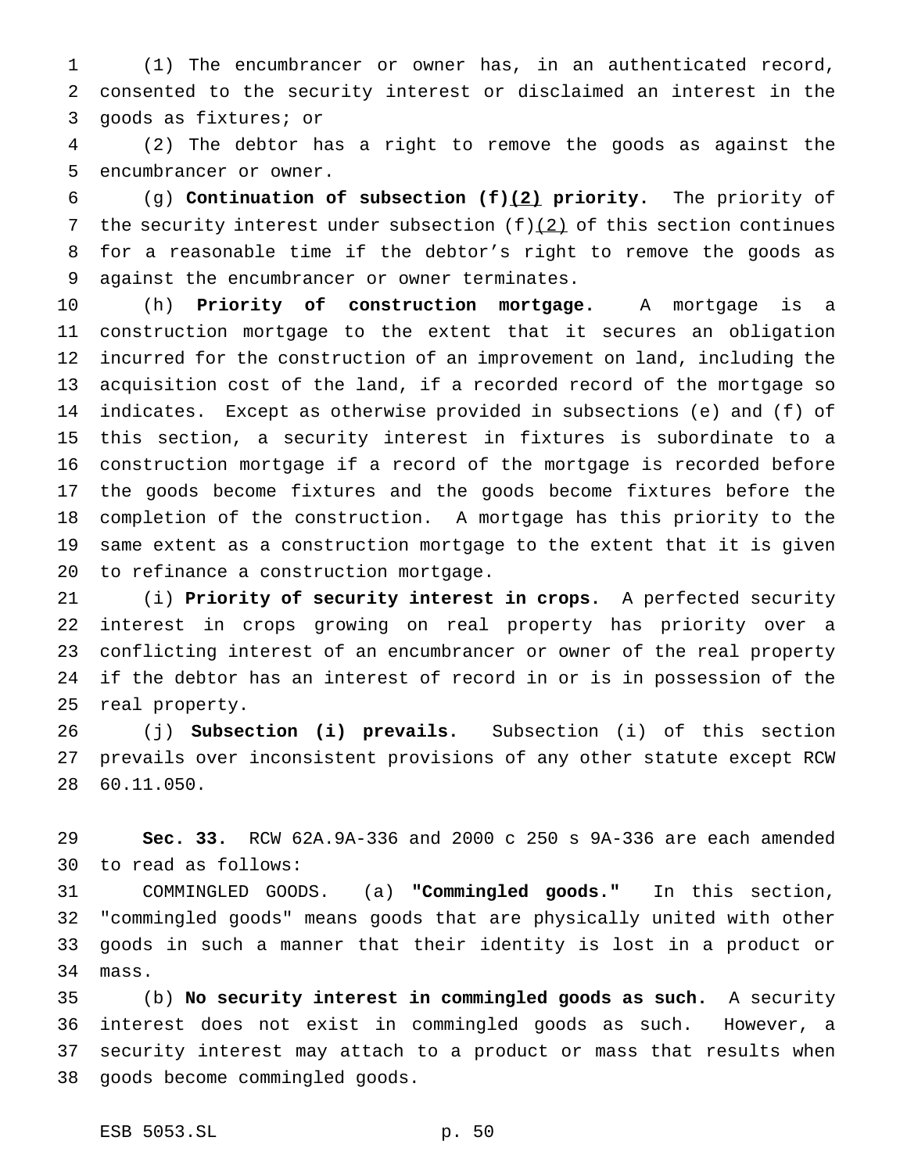(1) The encumbrancer or owner has, in an authenticated record, consented to the security interest or disclaimed an interest in the goods as fixtures; or

 (2) The debtor has a right to remove the goods as against the encumbrancer or owner.

 (g) **Continuation of subsection (f)(2) priority.** The priority of 7 the security interest under subsection  $(f)(2)$  of this section continues for a reasonable time if the debtor's right to remove the goods as against the encumbrancer or owner terminates.

 (h) **Priority of construction mortgage.** A mortgage is a construction mortgage to the extent that it secures an obligation incurred for the construction of an improvement on land, including the acquisition cost of the land, if a recorded record of the mortgage so indicates. Except as otherwise provided in subsections (e) and (f) of this section, a security interest in fixtures is subordinate to a construction mortgage if a record of the mortgage is recorded before the goods become fixtures and the goods become fixtures before the completion of the construction. A mortgage has this priority to the same extent as a construction mortgage to the extent that it is given to refinance a construction mortgage.

 (i) **Priority of security interest in crops.** A perfected security interest in crops growing on real property has priority over a conflicting interest of an encumbrancer or owner of the real property if the debtor has an interest of record in or is in possession of the real property.

 (j) **Subsection (i) prevails.** Subsection (i) of this section prevails over inconsistent provisions of any other statute except RCW 60.11.050.

 **Sec. 33.** RCW 62A.9A-336 and 2000 c 250 s 9A-336 are each amended to read as follows:

 COMMINGLED GOODS. (a) **"Commingled goods."** In this section, "commingled goods" means goods that are physically united with other goods in such a manner that their identity is lost in a product or mass.

 (b) **No security interest in commingled goods as such.** A security interest does not exist in commingled goods as such. However, a security interest may attach to a product or mass that results when goods become commingled goods.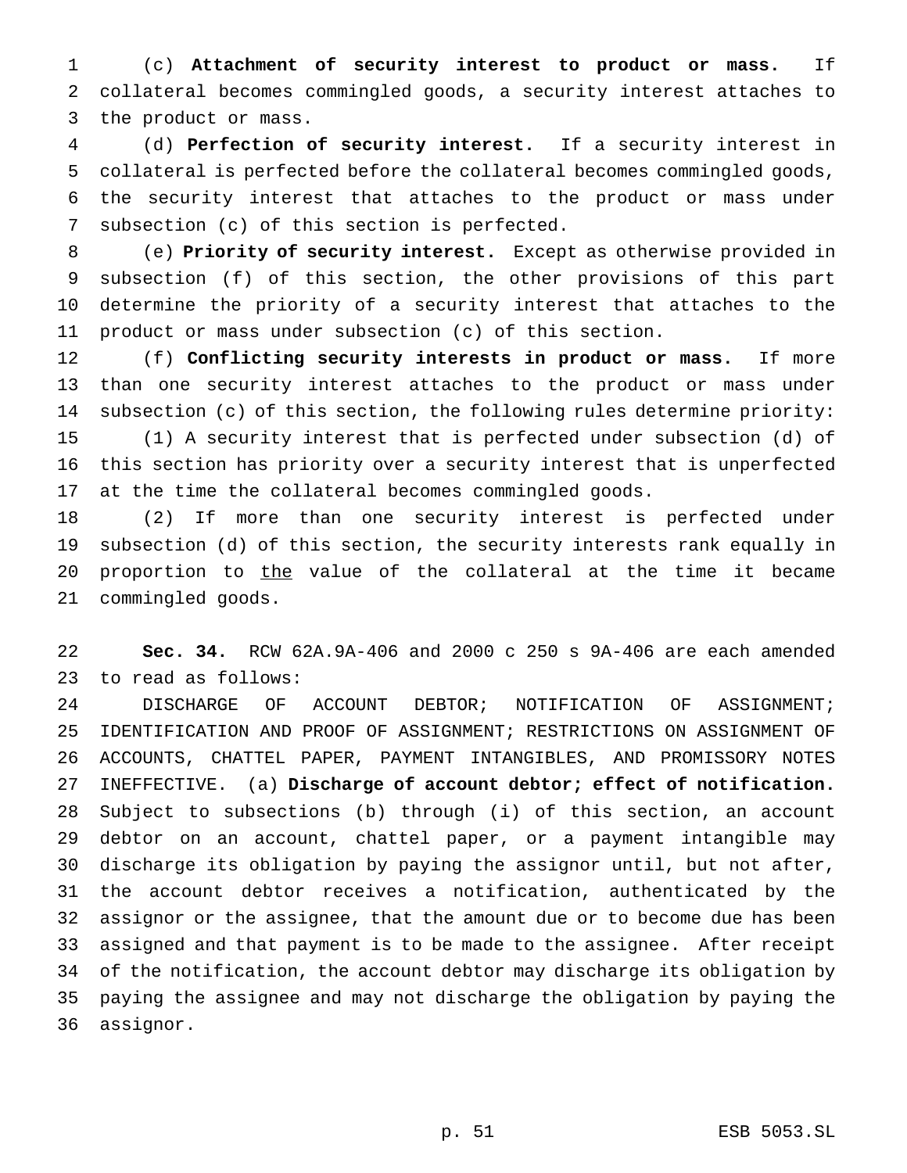(c) **Attachment of security interest to product or mass.** If collateral becomes commingled goods, a security interest attaches to the product or mass.

 (d) **Perfection of security interest.** If a security interest in collateral is perfected before the collateral becomes commingled goods, the security interest that attaches to the product or mass under subsection (c) of this section is perfected.

 (e) **Priority of security interest.** Except as otherwise provided in subsection (f) of this section, the other provisions of this part determine the priority of a security interest that attaches to the product or mass under subsection (c) of this section.

 (f) **Conflicting security interests in product or mass.** If more than one security interest attaches to the product or mass under subsection (c) of this section, the following rules determine priority: (1) A security interest that is perfected under subsection (d) of this section has priority over a security interest that is unperfected at the time the collateral becomes commingled goods.

 (2) If more than one security interest is perfected under subsection (d) of this section, the security interests rank equally in 20 proportion to the value of the collateral at the time it became commingled goods.

 **Sec. 34.** RCW 62A.9A-406 and 2000 c 250 s 9A-406 are each amended to read as follows:

 DISCHARGE OF ACCOUNT DEBTOR; NOTIFICATION OF ASSIGNMENT; IDENTIFICATION AND PROOF OF ASSIGNMENT; RESTRICTIONS ON ASSIGNMENT OF ACCOUNTS, CHATTEL PAPER, PAYMENT INTANGIBLES, AND PROMISSORY NOTES INEFFECTIVE. (a) **Discharge of account debtor; effect of notification.** Subject to subsections (b) through (i) of this section, an account debtor on an account, chattel paper, or a payment intangible may discharge its obligation by paying the assignor until, but not after, the account debtor receives a notification, authenticated by the assignor or the assignee, that the amount due or to become due has been assigned and that payment is to be made to the assignee. After receipt of the notification, the account debtor may discharge its obligation by paying the assignee and may not discharge the obligation by paying the assignor.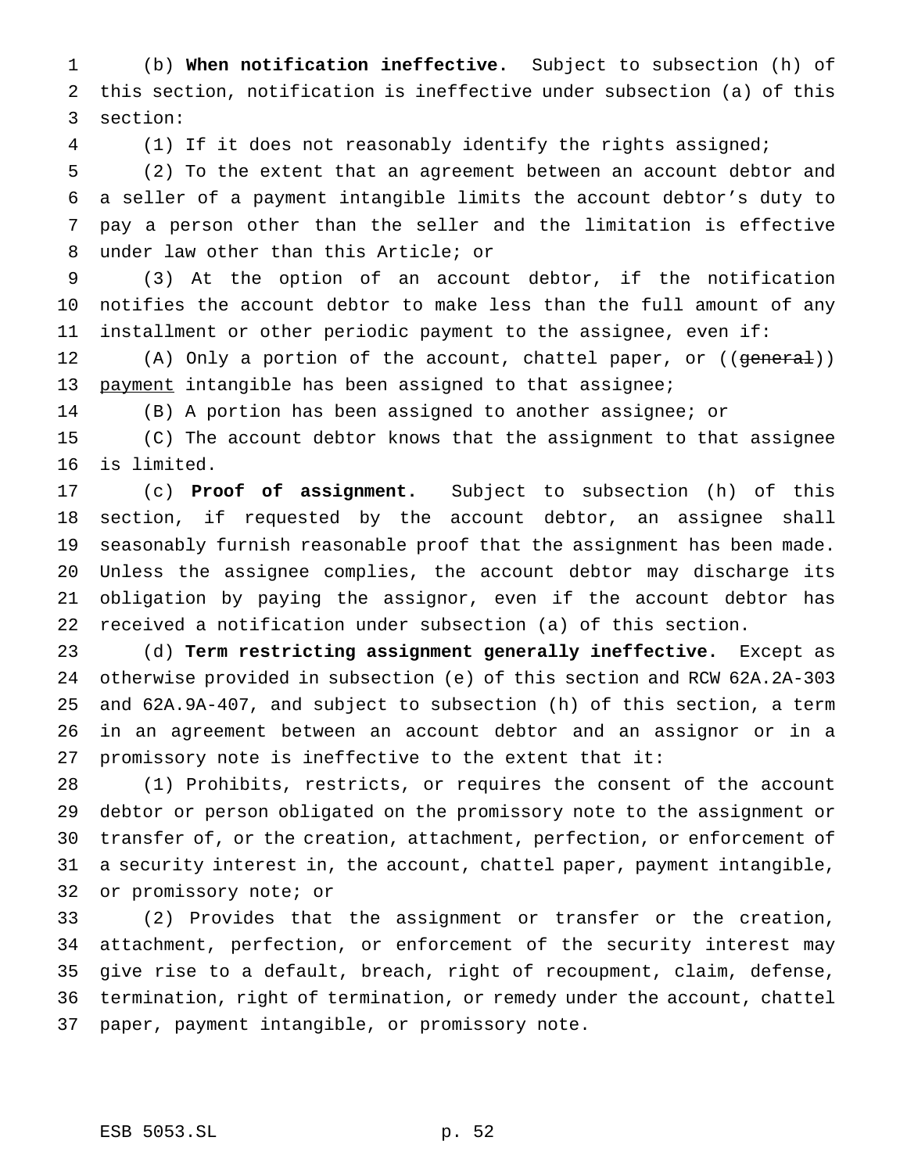(b) **When notification ineffective.** Subject to subsection (h) of this section, notification is ineffective under subsection (a) of this section:

(1) If it does not reasonably identify the rights assigned;

 (2) To the extent that an agreement between an account debtor and a seller of a payment intangible limits the account debtor's duty to pay a person other than the seller and the limitation is effective under law other than this Article; or

 (3) At the option of an account debtor, if the notification notifies the account debtor to make less than the full amount of any installment or other periodic payment to the assignee, even if:

12 (A) Only a portion of the account, chattel paper, or ((general)) 13 payment intangible has been assigned to that assignee;

(B) A portion has been assigned to another assignee; or

 (C) The account debtor knows that the assignment to that assignee is limited.

 (c) **Proof of assignment.** Subject to subsection (h) of this section, if requested by the account debtor, an assignee shall seasonably furnish reasonable proof that the assignment has been made. Unless the assignee complies, the account debtor may discharge its obligation by paying the assignor, even if the account debtor has received a notification under subsection (a) of this section.

 (d) **Term restricting assignment generally ineffective.** Except as otherwise provided in subsection (e) of this section and RCW 62A.2A-303 and 62A.9A-407, and subject to subsection (h) of this section, a term in an agreement between an account debtor and an assignor or in a promissory note is ineffective to the extent that it:

 (1) Prohibits, restricts, or requires the consent of the account debtor or person obligated on the promissory note to the assignment or transfer of, or the creation, attachment, perfection, or enforcement of a security interest in, the account, chattel paper, payment intangible, or promissory note; or

 (2) Provides that the assignment or transfer or the creation, attachment, perfection, or enforcement of the security interest may give rise to a default, breach, right of recoupment, claim, defense, termination, right of termination, or remedy under the account, chattel paper, payment intangible, or promissory note.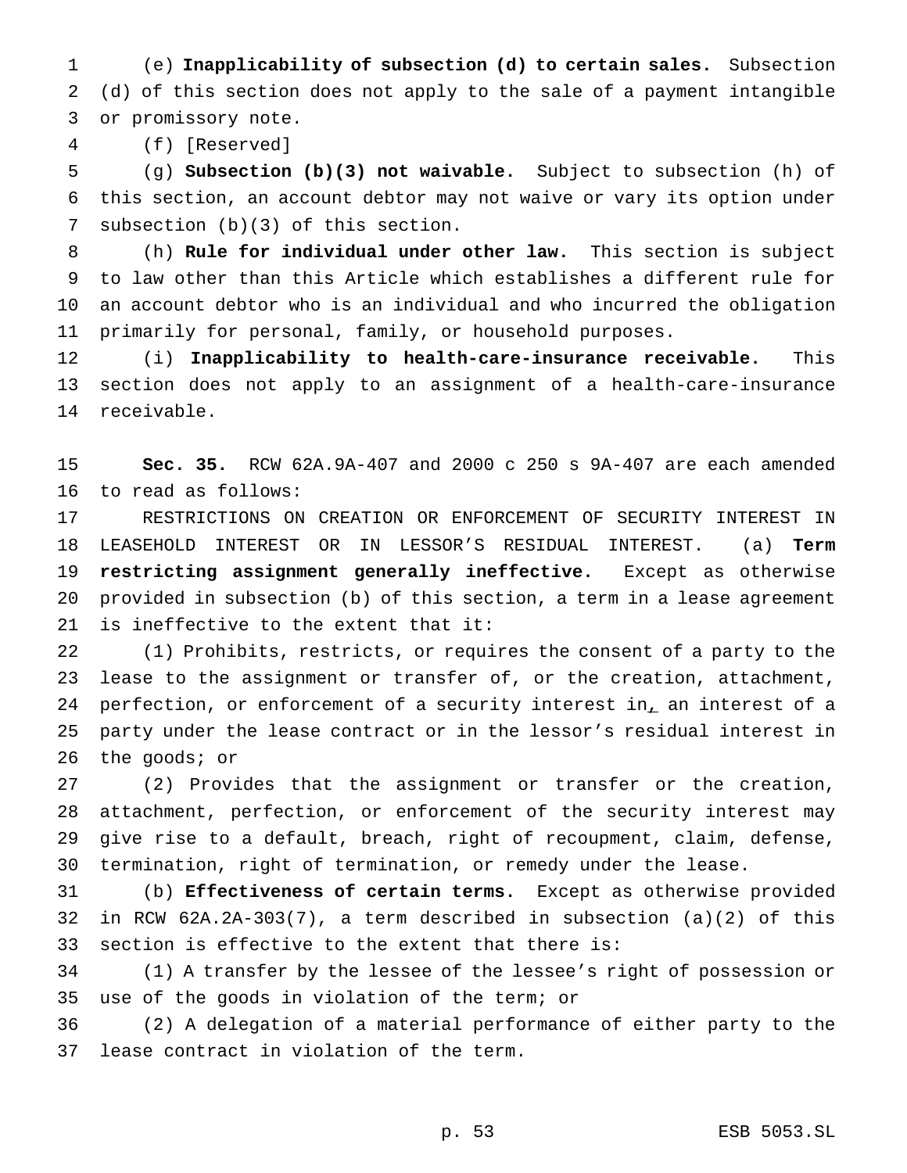(e) **Inapplicability of subsection (d) to certain sales.** Subsection (d) of this section does not apply to the sale of a payment intangible or promissory note.

(f) [Reserved]

 (g) **Subsection (b)(3) not waivable.** Subject to subsection (h) of this section, an account debtor may not waive or vary its option under subsection (b)(3) of this section.

 (h) **Rule for individual under other law.** This section is subject to law other than this Article which establishes a different rule for an account debtor who is an individual and who incurred the obligation primarily for personal, family, or household purposes.

 (i) **Inapplicability to health-care-insurance receivable.** This section does not apply to an assignment of a health-care-insurance receivable.

 **Sec. 35.** RCW 62A.9A-407 and 2000 c 250 s 9A-407 are each amended to read as follows:

 RESTRICTIONS ON CREATION OR ENFORCEMENT OF SECURITY INTEREST IN LEASEHOLD INTEREST OR IN LESSOR'S RESIDUAL INTEREST. (a) **Term restricting assignment generally ineffective.** Except as otherwise provided in subsection (b) of this section, a term in a lease agreement is ineffective to the extent that it:

 (1) Prohibits, restricts, or requires the consent of a party to the lease to the assignment or transfer of, or the creation, attachment, 24 perfection, or enforcement of a security interest in<sub> $<sub>L</sub>$ </sub> an interest of a</sub> party under the lease contract or in the lessor's residual interest in 26 the goods; or

 (2) Provides that the assignment or transfer or the creation, attachment, perfection, or enforcement of the security interest may give rise to a default, breach, right of recoupment, claim, defense, termination, right of termination, or remedy under the lease.

 (b) **Effectiveness of certain terms.** Except as otherwise provided in RCW 62A.2A-303(7), a term described in subsection (a)(2) of this section is effective to the extent that there is:

 (1) A transfer by the lessee of the lessee's right of possession or use of the goods in violation of the term; or

 (2) A delegation of a material performance of either party to the lease contract in violation of the term.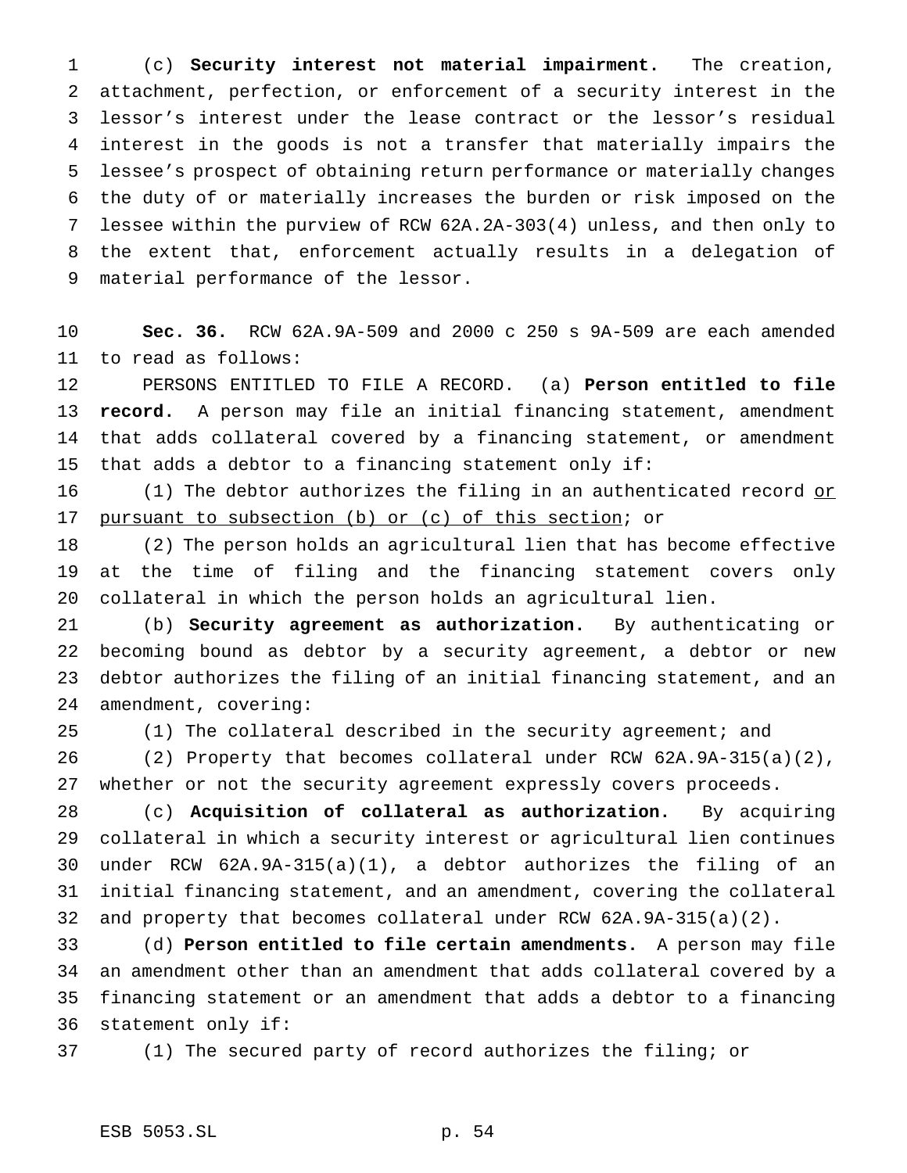(c) **Security interest not material impairment.** The creation, attachment, perfection, or enforcement of a security interest in the lessor's interest under the lease contract or the lessor's residual interest in the goods is not a transfer that materially impairs the lessee's prospect of obtaining return performance or materially changes the duty of or materially increases the burden or risk imposed on the lessee within the purview of RCW 62A.2A-303(4) unless, and then only to the extent that, enforcement actually results in a delegation of material performance of the lessor.

 **Sec. 36.** RCW 62A.9A-509 and 2000 c 250 s 9A-509 are each amended to read as follows:

 PERSONS ENTITLED TO FILE A RECORD. (a) **Person entitled to file record.** A person may file an initial financing statement, amendment that adds collateral covered by a financing statement, or amendment that adds a debtor to a financing statement only if:

16 (1) The debtor authorizes the filing in an authenticated record or pursuant to subsection (b) or (c) of this section; or

 (2) The person holds an agricultural lien that has become effective at the time of filing and the financing statement covers only collateral in which the person holds an agricultural lien.

 (b) **Security agreement as authorization.** By authenticating or becoming bound as debtor by a security agreement, a debtor or new debtor authorizes the filing of an initial financing statement, and an amendment, covering:

(1) The collateral described in the security agreement; and

 (2) Property that becomes collateral under RCW 62A.9A-315(a)(2), whether or not the security agreement expressly covers proceeds.

 (c) **Acquisition of collateral as authorization.** By acquiring collateral in which a security interest or agricultural lien continues under RCW 62A.9A-315(a)(1), a debtor authorizes the filing of an initial financing statement, and an amendment, covering the collateral and property that becomes collateral under RCW 62A.9A-315(a)(2).

 (d) **Person entitled to file certain amendments.** A person may file an amendment other than an amendment that adds collateral covered by a financing statement or an amendment that adds a debtor to a financing statement only if:

(1) The secured party of record authorizes the filing; or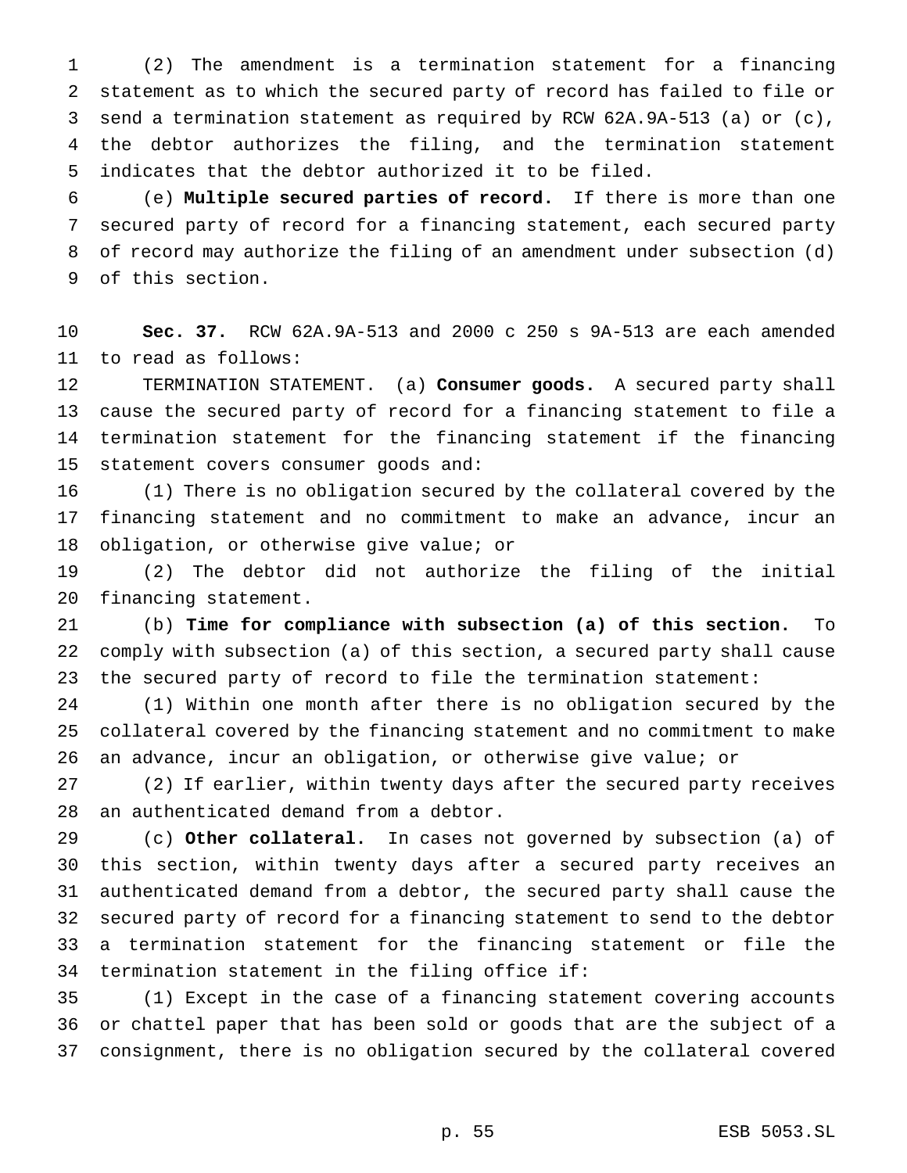(2) The amendment is a termination statement for a financing statement as to which the secured party of record has failed to file or send a termination statement as required by RCW 62A.9A-513 (a) or (c), the debtor authorizes the filing, and the termination statement indicates that the debtor authorized it to be filed.

 (e) **Multiple secured parties of record.** If there is more than one secured party of record for a financing statement, each secured party of record may authorize the filing of an amendment under subsection (d) of this section.

 **Sec. 37.** RCW 62A.9A-513 and 2000 c 250 s 9A-513 are each amended to read as follows:

 TERMINATION STATEMENT. (a) **Consumer goods.** A secured party shall cause the secured party of record for a financing statement to file a termination statement for the financing statement if the financing statement covers consumer goods and:

 (1) There is no obligation secured by the collateral covered by the financing statement and no commitment to make an advance, incur an 18 obligation, or otherwise give value; or

 (2) The debtor did not authorize the filing of the initial financing statement.

 (b) **Time for compliance with subsection (a) of this section.** To comply with subsection (a) of this section, a secured party shall cause the secured party of record to file the termination statement:

 (1) Within one month after there is no obligation secured by the collateral covered by the financing statement and no commitment to make an advance, incur an obligation, or otherwise give value; or

 (2) If earlier, within twenty days after the secured party receives an authenticated demand from a debtor.

 (c) **Other collateral.** In cases not governed by subsection (a) of this section, within twenty days after a secured party receives an authenticated demand from a debtor, the secured party shall cause the secured party of record for a financing statement to send to the debtor a termination statement for the financing statement or file the termination statement in the filing office if:

 (1) Except in the case of a financing statement covering accounts or chattel paper that has been sold or goods that are the subject of a consignment, there is no obligation secured by the collateral covered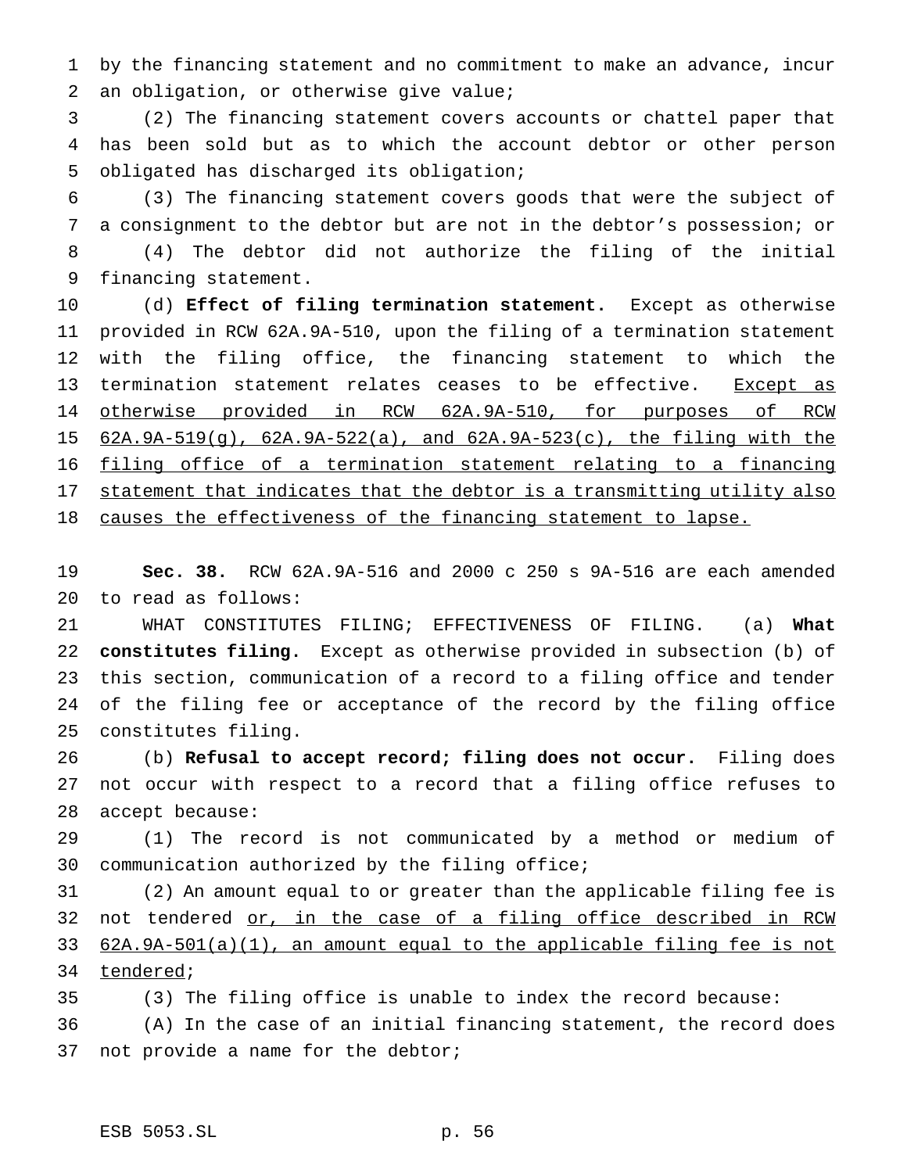by the financing statement and no commitment to make an advance, incur an obligation, or otherwise give value;

 (2) The financing statement covers accounts or chattel paper that has been sold but as to which the account debtor or other person obligated has discharged its obligation;

 (3) The financing statement covers goods that were the subject of a consignment to the debtor but are not in the debtor's possession; or (4) The debtor did not authorize the filing of the initial financing statement.

 (d) **Effect of filing termination statement.** Except as otherwise provided in RCW 62A.9A-510, upon the filing of a termination statement with the filing office, the financing statement to which the 13 termination statement relates ceases to be effective. Except as otherwise provided in RCW 62A.9A-510, for purposes of RCW 62A.9A-519(g), 62A.9A-522(a), and 62A.9A-523(c), the filing with the filing office of a termination statement relating to a financing 17 statement that indicates that the debtor is a transmitting utility also 18 causes the effectiveness of the financing statement to lapse.

 **Sec. 38.** RCW 62A.9A-516 and 2000 c 250 s 9A-516 are each amended to read as follows:

 WHAT CONSTITUTES FILING; EFFECTIVENESS OF FILING. (a) **What constitutes filing.** Except as otherwise provided in subsection (b) of this section, communication of a record to a filing office and tender of the filing fee or acceptance of the record by the filing office constitutes filing.

 (b) **Refusal to accept record; filing does not occur.** Filing does not occur with respect to a record that a filing office refuses to accept because:

 (1) The record is not communicated by a method or medium of communication authorized by the filing office;

 (2) An amount equal to or greater than the applicable filing fee is 32 not tendered or, in the case of a filing office described in RCW 62A.9A-501(a)(1), an amount equal to the applicable filing fee is not tendered;

 (3) The filing office is unable to index the record because: (A) In the case of an initial financing statement, the record does not provide a name for the debtor;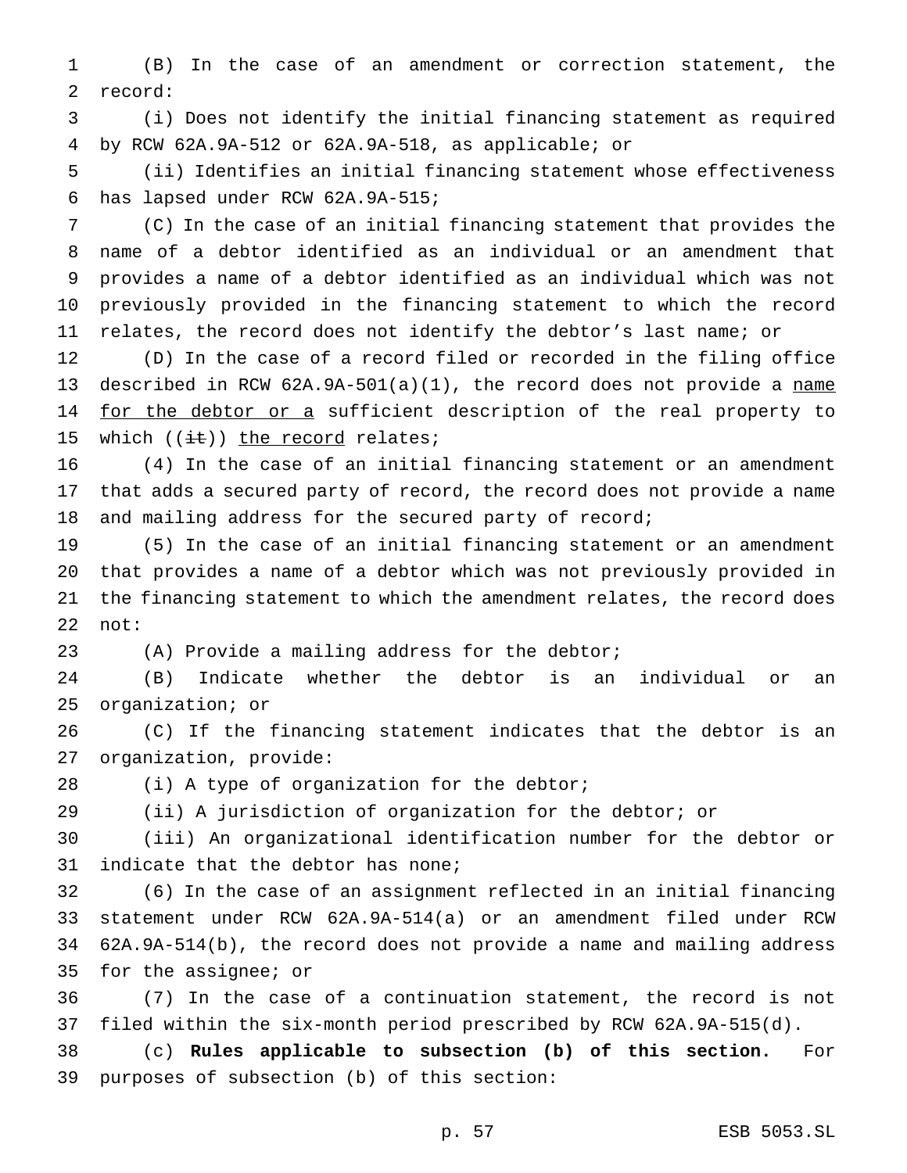(B) In the case of an amendment or correction statement, the record:

 (i) Does not identify the initial financing statement as required by RCW 62A.9A-512 or 62A.9A-518, as applicable; or

 (ii) Identifies an initial financing statement whose effectiveness has lapsed under RCW 62A.9A-515;

 (C) In the case of an initial financing statement that provides the name of a debtor identified as an individual or an amendment that provides a name of a debtor identified as an individual which was not previously provided in the financing statement to which the record relates, the record does not identify the debtor's last name; or

 (D) In the case of a record filed or recorded in the filing office described in RCW 62A.9A-501(a)(1), the record does not provide a name 14 for the debtor or a sufficient description of the real property to 15 which  $((i+))$  the record relates;

 (4) In the case of an initial financing statement or an amendment that adds a secured party of record, the record does not provide a name and mailing address for the secured party of record;

 (5) In the case of an initial financing statement or an amendment that provides a name of a debtor which was not previously provided in the financing statement to which the amendment relates, the record does not:

(A) Provide a mailing address for the debtor;

 (B) Indicate whether the debtor is an individual or an organization; or

 (C) If the financing statement indicates that the debtor is an organization, provide:

(i) A type of organization for the debtor;

(ii) A jurisdiction of organization for the debtor; or

 (iii) An organizational identification number for the debtor or indicate that the debtor has none;

 (6) In the case of an assignment reflected in an initial financing statement under RCW 62A.9A-514(a) or an amendment filed under RCW 62A.9A-514(b), the record does not provide a name and mailing address for the assignee; or

 (7) In the case of a continuation statement, the record is not filed within the six-month period prescribed by RCW 62A.9A-515(d).

 (c) **Rules applicable to subsection (b) of this section.** For purposes of subsection (b) of this section: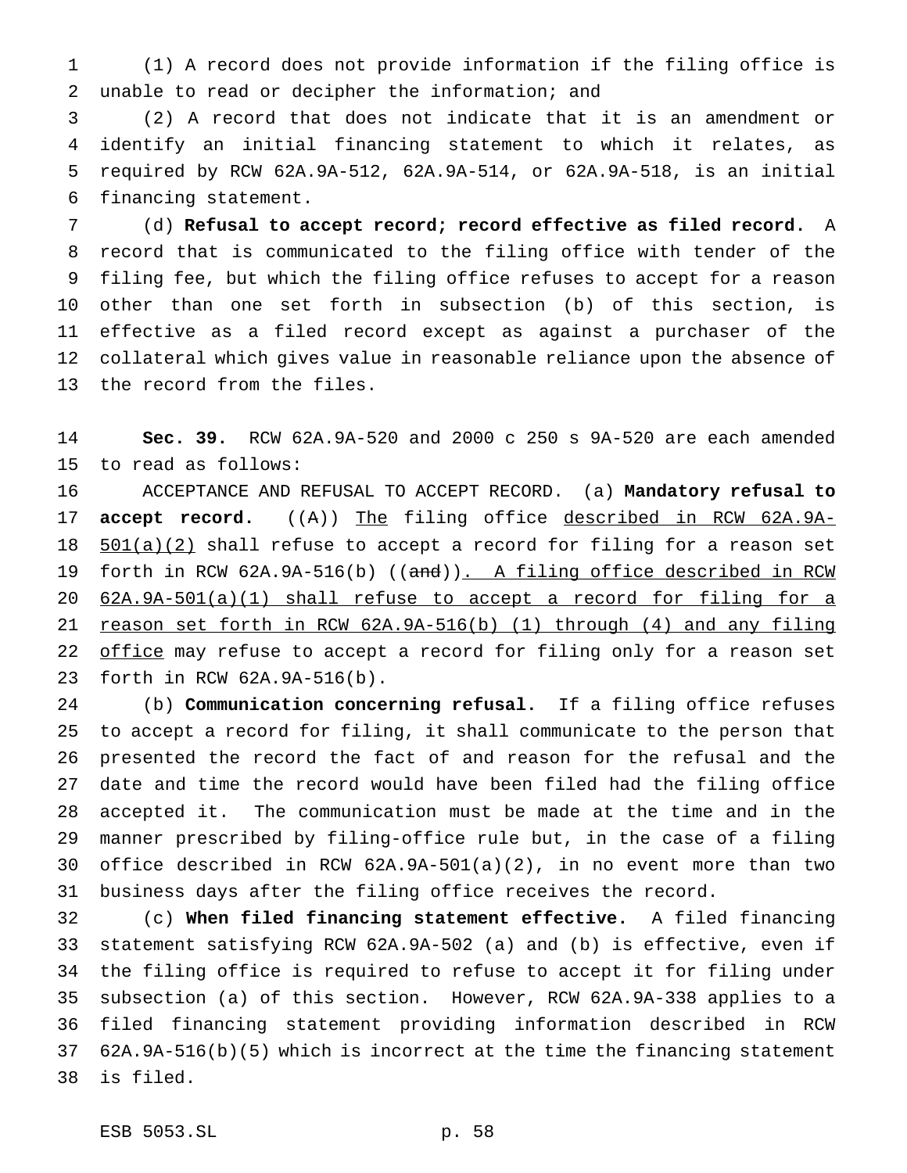(1) A record does not provide information if the filing office is unable to read or decipher the information; and

 (2) A record that does not indicate that it is an amendment or identify an initial financing statement to which it relates, as required by RCW 62A.9A-512, 62A.9A-514, or 62A.9A-518, is an initial financing statement.

 (d) **Refusal to accept record; record effective as filed record.** A record that is communicated to the filing office with tender of the filing fee, but which the filing office refuses to accept for a reason other than one set forth in subsection (b) of this section, is effective as a filed record except as against a purchaser of the collateral which gives value in reasonable reliance upon the absence of the record from the files.

 **Sec. 39.** RCW 62A.9A-520 and 2000 c 250 s 9A-520 are each amended to read as follows:

 ACCEPTANCE AND REFUSAL TO ACCEPT RECORD. (a) **Mandatory refusal to accept record.** ((A)) The filing office described in RCW 62A.9A-18 501(a)(2) shall refuse to accept a record for filing for a reason set 19 forth in RCW 62A.9A-516(b) ((and)). A filing office described in RCW 62A.9A-501(a)(1) shall refuse to accept a record for filing for a reason set forth in RCW 62A.9A-516(b) (1) through (4) and any filing 22 office may refuse to accept a record for filing only for a reason set forth in RCW 62A.9A-516(b).

 (b) **Communication concerning refusal.** If a filing office refuses to accept a record for filing, it shall communicate to the person that presented the record the fact of and reason for the refusal and the date and time the record would have been filed had the filing office accepted it. The communication must be made at the time and in the manner prescribed by filing-office rule but, in the case of a filing office described in RCW 62A.9A-501(a)(2), in no event more than two business days after the filing office receives the record.

 (c) **When filed financing statement effective.** A filed financing statement satisfying RCW 62A.9A-502 (a) and (b) is effective, even if the filing office is required to refuse to accept it for filing under subsection (a) of this section. However, RCW 62A.9A-338 applies to a filed financing statement providing information described in RCW 62A.9A-516(b)(5) which is incorrect at the time the financing statement is filed.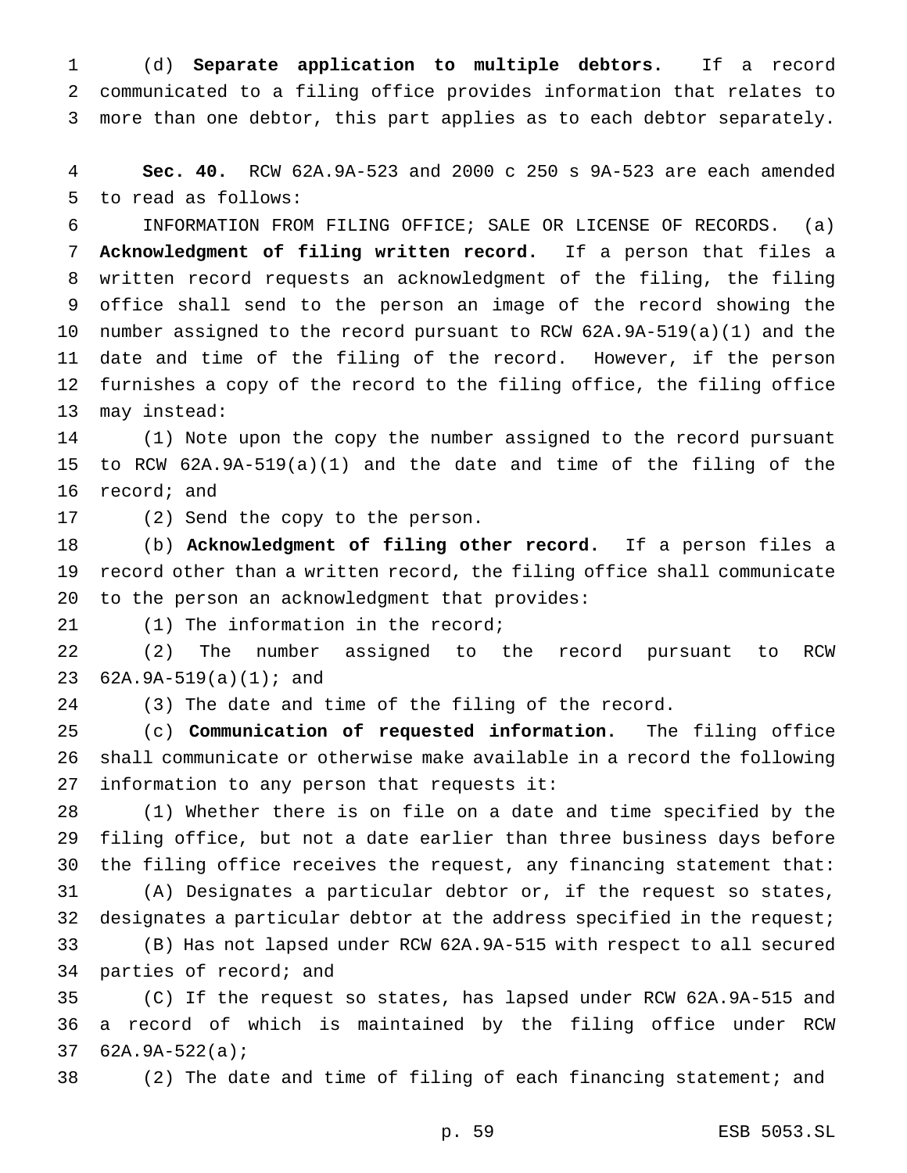(d) **Separate application to multiple debtors.** If a record communicated to a filing office provides information that relates to more than one debtor, this part applies as to each debtor separately.

 **Sec. 40.** RCW 62A.9A-523 and 2000 c 250 s 9A-523 are each amended to read as follows:

 INFORMATION FROM FILING OFFICE; SALE OR LICENSE OF RECORDS. (a) **Acknowledgment of filing written record.** If a person that files a written record requests an acknowledgment of the filing, the filing office shall send to the person an image of the record showing the number assigned to the record pursuant to RCW 62A.9A-519(a)(1) and the date and time of the filing of the record. However, if the person furnishes a copy of the record to the filing office, the filing office may instead:

 (1) Note upon the copy the number assigned to the record pursuant to RCW 62A.9A-519(a)(1) and the date and time of the filing of the record; and

(2) Send the copy to the person.

 (b) **Acknowledgment of filing other record.** If a person files a record other than a written record, the filing office shall communicate to the person an acknowledgment that provides:

(1) The information in the record;

 (2) The number assigned to the record pursuant to RCW 62A.9A-519(a)(1); and

(3) The date and time of the filing of the record.

 (c) **Communication of requested information.** The filing office shall communicate or otherwise make available in a record the following information to any person that requests it:

 (1) Whether there is on file on a date and time specified by the filing office, but not a date earlier than three business days before the filing office receives the request, any financing statement that:

 (A) Designates a particular debtor or, if the request so states, 32 designates a particular debtor at the address specified in the request; (B) Has not lapsed under RCW 62A.9A-515 with respect to all secured parties of record; and

 (C) If the request so states, has lapsed under RCW 62A.9A-515 and a record of which is maintained by the filing office under RCW 62A.9A-522(a);

(2) The date and time of filing of each financing statement; and

p. 59 ESB 5053.SL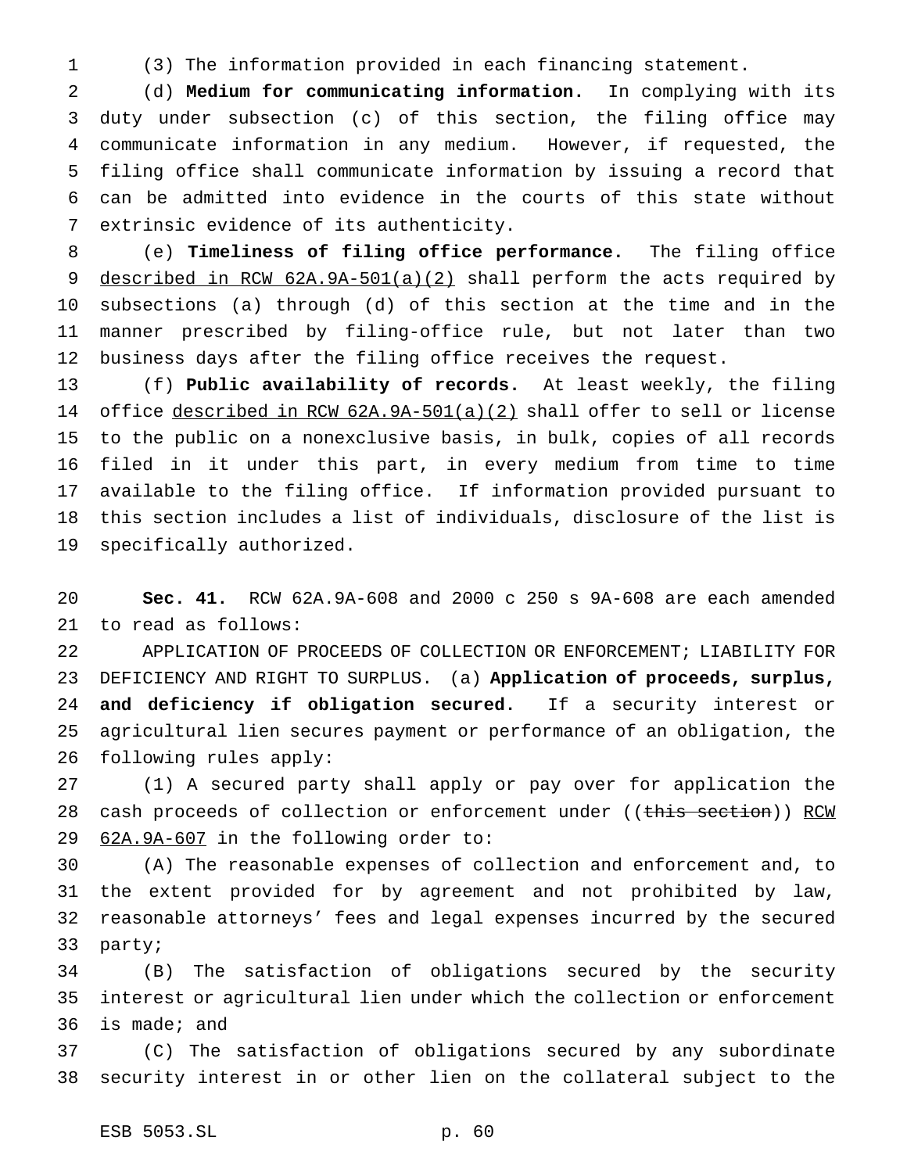(3) The information provided in each financing statement.

 (d) **Medium for communicating information.** In complying with its duty under subsection (c) of this section, the filing office may communicate information in any medium. However, if requested, the filing office shall communicate information by issuing a record that can be admitted into evidence in the courts of this state without extrinsic evidence of its authenticity.

 (e) **Timeliness of filing office performance.** The filing office 9 described in RCW 62A.9A-501(a)(2) shall perform the acts required by subsections (a) through (d) of this section at the time and in the manner prescribed by filing-office rule, but not later than two business days after the filing office receives the request.

 (f) **Public availability of records.** At least weekly, the filing office described in RCW 62A.9A-501(a)(2) shall offer to sell or license to the public on a nonexclusive basis, in bulk, copies of all records filed in it under this part, in every medium from time to time available to the filing office. If information provided pursuant to this section includes a list of individuals, disclosure of the list is specifically authorized.

 **Sec. 41.** RCW 62A.9A-608 and 2000 c 250 s 9A-608 are each amended to read as follows:

 APPLICATION OF PROCEEDS OF COLLECTION OR ENFORCEMENT; LIABILITY FOR DEFICIENCY AND RIGHT TO SURPLUS. (a) **Application of proceeds, surplus, and deficiency if obligation secured.** If a security interest or agricultural lien secures payment or performance of an obligation, the following rules apply:

 (1) A secured party shall apply or pay over for application the 28 cash proceeds of collection or enforcement under ((this section)) RCW 62A.9A-607 in the following order to:

 (A) The reasonable expenses of collection and enforcement and, to the extent provided for by agreement and not prohibited by law, reasonable attorneys' fees and legal expenses incurred by the secured party;

 (B) The satisfaction of obligations secured by the security interest or agricultural lien under which the collection or enforcement is made; and

 (C) The satisfaction of obligations secured by any subordinate security interest in or other lien on the collateral subject to the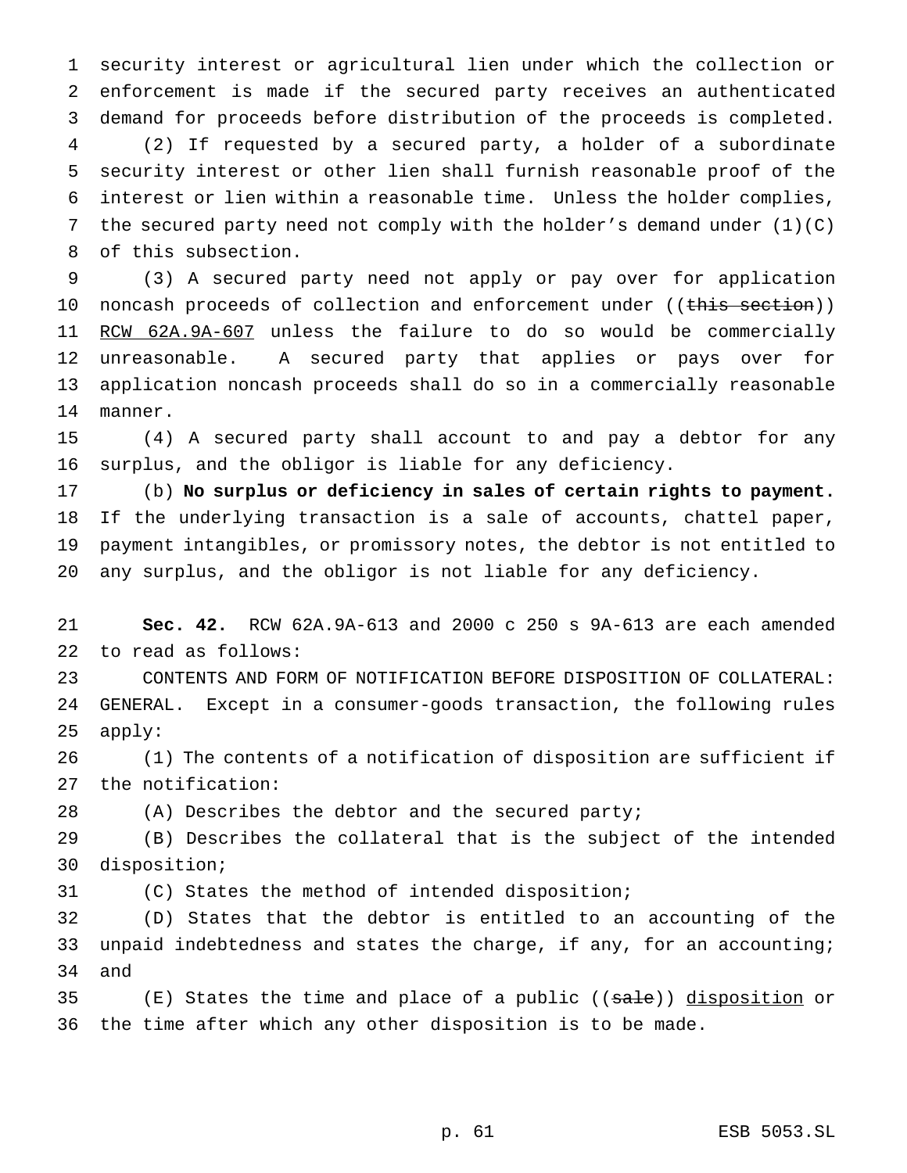security interest or agricultural lien under which the collection or enforcement is made if the secured party receives an authenticated demand for proceeds before distribution of the proceeds is completed. (2) If requested by a secured party, a holder of a subordinate security interest or other lien shall furnish reasonable proof of the interest or lien within a reasonable time. Unless the holder complies, the secured party need not comply with the holder's demand under (1)(C) of this subsection.

 (3) A secured party need not apply or pay over for application 10 noncash proceeds of collection and enforcement under ((this section)) RCW 62A.9A-607 unless the failure to do so would be commercially unreasonable. A secured party that applies or pays over for application noncash proceeds shall do so in a commercially reasonable manner.

 (4) A secured party shall account to and pay a debtor for any surplus, and the obligor is liable for any deficiency.

 (b) **No surplus or deficiency in sales of certain rights to payment.** If the underlying transaction is a sale of accounts, chattel paper, payment intangibles, or promissory notes, the debtor is not entitled to any surplus, and the obligor is not liable for any deficiency.

 **Sec. 42.** RCW 62A.9A-613 and 2000 c 250 s 9A-613 are each amended to read as follows:

 CONTENTS AND FORM OF NOTIFICATION BEFORE DISPOSITION OF COLLATERAL: GENERAL. Except in a consumer-goods transaction, the following rules apply:

 (1) The contents of a notification of disposition are sufficient if the notification:

(A) Describes the debtor and the secured party;

 (B) Describes the collateral that is the subject of the intended disposition;

(C) States the method of intended disposition;

 (D) States that the debtor is entitled to an accounting of the unpaid indebtedness and states the charge, if any, for an accounting; and

35 (E) States the time and place of a public ((sale)) disposition or the time after which any other disposition is to be made.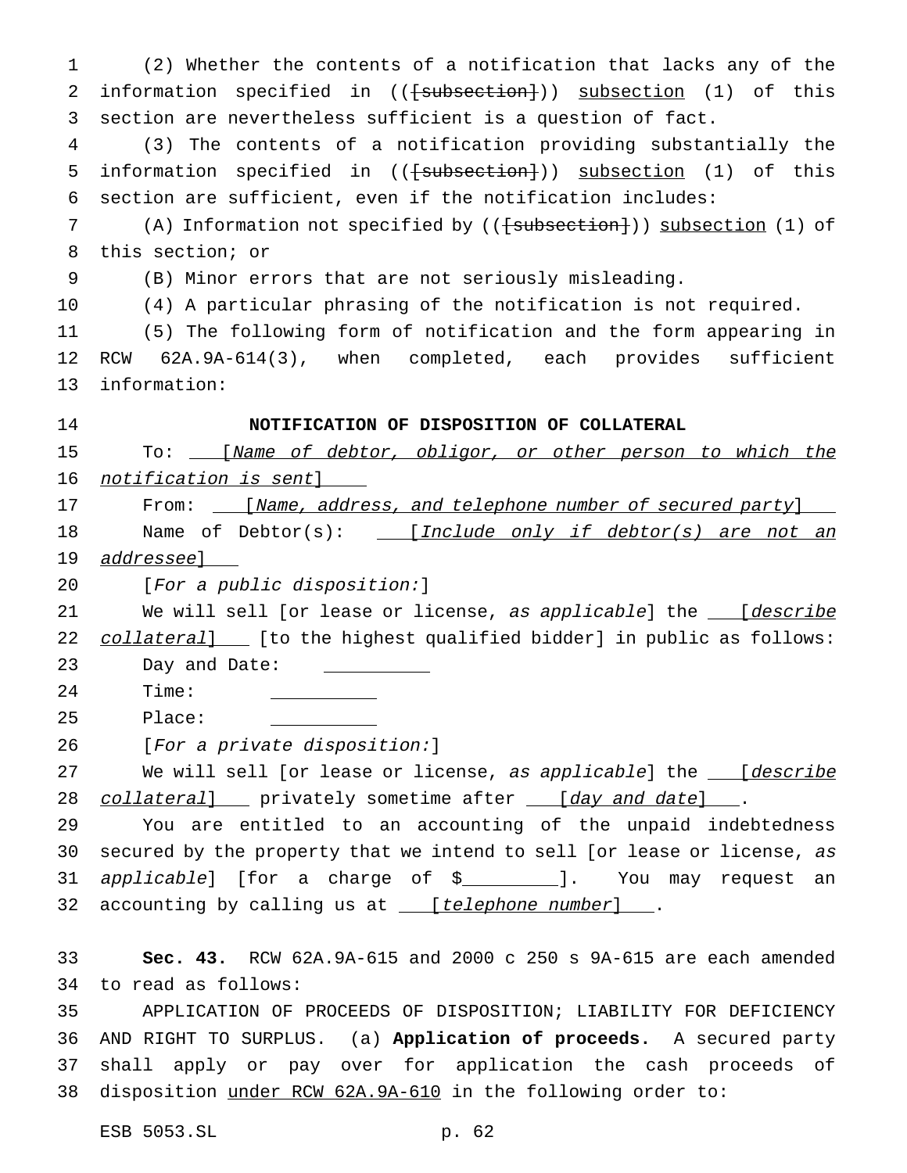(2) Whether the contents of a notification that lacks any of the 2 information specified in ((<del>[subsection]</del>)) subsection (1) of this section are nevertheless sufficient is a question of fact. (3) The contents of a notification providing substantially the 5 information specified in ((<del>[subsection]</del>)) subsection (1) of this section are sufficient, even if the notification includes:

7 (A) Information not specified by (( $\{\text{subsection}\}\)$ ) subsection (1) of 8 this section; or

9 (B) Minor errors that are not seriously misleading.

10 (4) A particular phrasing of the notification is not required.

11 (5) The following form of notification and the form appearing in 12 RCW 62A.9A-614(3), when completed, each provides sufficient 13 information:

## 14 **NOTIFICATION OF DISPOSITION OF COLLATERAL**

15 To: [Name of debtor, obligor, or other person to which the 16 notification is sent]

17 From: <u>[Name, address, and telephone number of secured party]</u>

18 Wame of Debtor(s): [Include only if debtor(s) are not an 19 addressee]

20 [For a public disposition:]

21 We will sell [or lease or license, as applicable] the [describe 22 collateral] [to the highest qualified bidder] in public as follows: 23 Day and Date:

24 Time:

25 Place:

26 [For <sup>a</sup> private disposition:]

27 We will sell [or lease or license, as applicable] the *[describe* 28 collateral] privately sometime after [day and date].

29 You are entitled to an accounting of the unpaid indebtedness 30 secured by the property that we intend to sell [or lease or license, as 31 applicable] [for a charge of \$<br>
1. You may request an 32 accounting by calling us at \_\_[telephone number] \_\_.

33 **Sec. 43.** RCW 62A.9A-615 and 2000 c 250 s 9A-615 are each amended 34 to read as follows:

 APPLICATION OF PROCEEDS OF DISPOSITION; LIABILITY FOR DEFICIENCY AND RIGHT TO SURPLUS. (a) **Application of proceeds.** A secured party shall apply or pay over for application the cash proceeds of 38 disposition under RCW 62A.9A-610 in the following order to: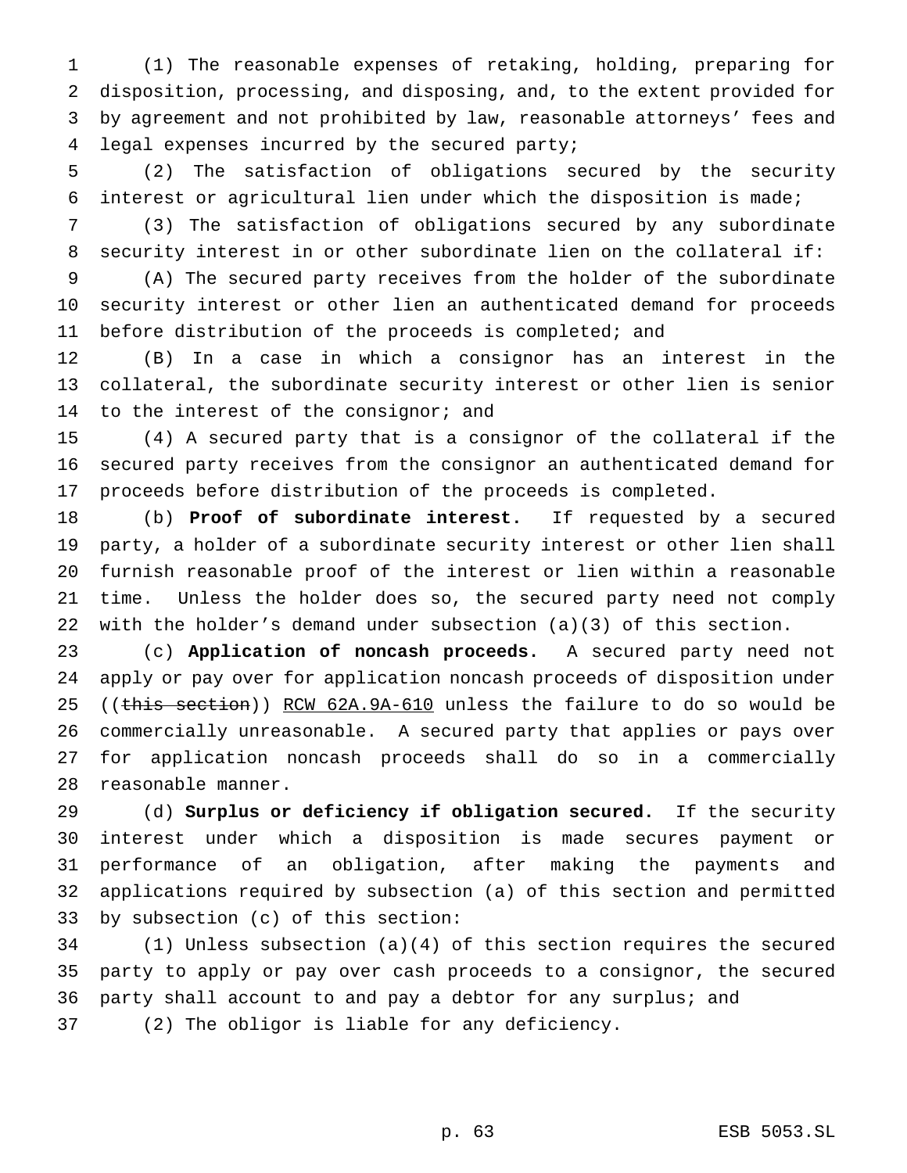(1) The reasonable expenses of retaking, holding, preparing for disposition, processing, and disposing, and, to the extent provided for by agreement and not prohibited by law, reasonable attorneys' fees and legal expenses incurred by the secured party;

 (2) The satisfaction of obligations secured by the security interest or agricultural lien under which the disposition is made;

 (3) The satisfaction of obligations secured by any subordinate security interest in or other subordinate lien on the collateral if:

 (A) The secured party receives from the holder of the subordinate security interest or other lien an authenticated demand for proceeds 11 before distribution of the proceeds is completed; and

 (B) In a case in which a consignor has an interest in the collateral, the subordinate security interest or other lien is senior 14 to the interest of the consignor; and

 (4) A secured party that is a consignor of the collateral if the secured party receives from the consignor an authenticated demand for proceeds before distribution of the proceeds is completed.

 (b) **Proof of subordinate interest.** If requested by a secured party, a holder of a subordinate security interest or other lien shall furnish reasonable proof of the interest or lien within a reasonable time. Unless the holder does so, the secured party need not comply with the holder's demand under subsection (a)(3) of this section.

 (c) **Application of noncash proceeds.** A secured party need not apply or pay over for application noncash proceeds of disposition under 25 ((this section)) RCW 62A.9A-610 unless the failure to do so would be commercially unreasonable. A secured party that applies or pays over for application noncash proceeds shall do so in a commercially reasonable manner.

 (d) **Surplus or deficiency if obligation secured.** If the security interest under which a disposition is made secures payment or performance of an obligation, after making the payments and applications required by subsection (a) of this section and permitted by subsection (c) of this section:

 (1) Unless subsection (a)(4) of this section requires the secured party to apply or pay over cash proceeds to a consignor, the secured party shall account to and pay a debtor for any surplus; and

(2) The obligor is liable for any deficiency.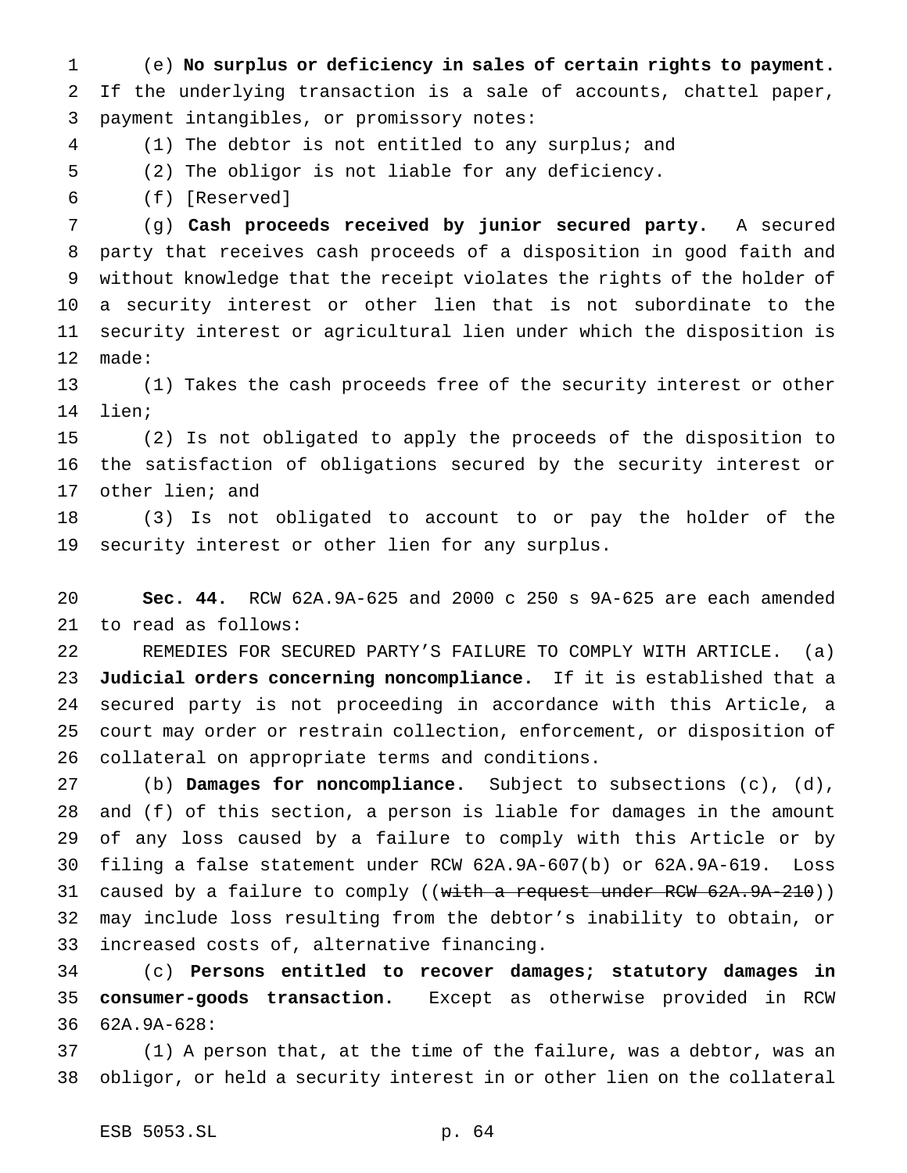(e) **No surplus or deficiency in sales of certain rights to payment.** If the underlying transaction is a sale of accounts, chattel paper, payment intangibles, or promissory notes:

- (1) The debtor is not entitled to any surplus; and
- (2) The obligor is not liable for any deficiency.

(f) [Reserved]

 (g) **Cash proceeds received by junior secured party.** A secured party that receives cash proceeds of a disposition in good faith and without knowledge that the receipt violates the rights of the holder of a security interest or other lien that is not subordinate to the security interest or agricultural lien under which the disposition is made:

 (1) Takes the cash proceeds free of the security interest or other lien;

 (2) Is not obligated to apply the proceeds of the disposition to the satisfaction of obligations secured by the security interest or other lien; and

 (3) Is not obligated to account to or pay the holder of the security interest or other lien for any surplus.

 **Sec. 44.** RCW 62A.9A-625 and 2000 c 250 s 9A-625 are each amended to read as follows:

 REMEDIES FOR SECURED PARTY'S FAILURE TO COMPLY WITH ARTICLE. (a) **Judicial orders concerning noncompliance.** If it is established that a secured party is not proceeding in accordance with this Article, a court may order or restrain collection, enforcement, or disposition of collateral on appropriate terms and conditions.

 (b) **Damages for noncompliance.** Subject to subsections (c), (d), and (f) of this section, a person is liable for damages in the amount of any loss caused by a failure to comply with this Article or by filing a false statement under RCW 62A.9A-607(b) or 62A.9A-619. Loss 31 caused by a failure to comply ((with a request under RCW 62A.9A-210)) may include loss resulting from the debtor's inability to obtain, or increased costs of, alternative financing.

 (c) **Persons entitled to recover damages; statutory damages in consumer-goods transaction.** Except as otherwise provided in RCW 62A.9A-628:

 (1) A person that, at the time of the failure, was a debtor, was an obligor, or held a security interest in or other lien on the collateral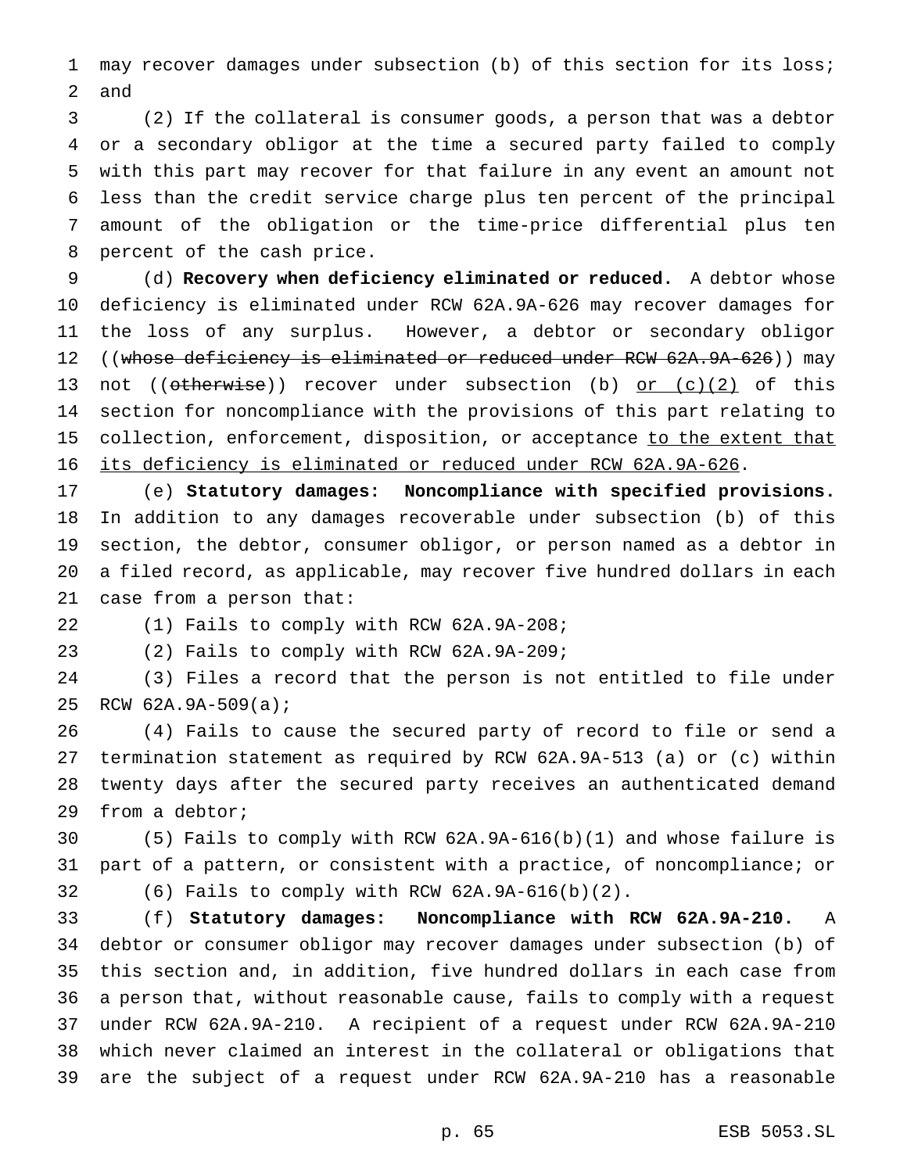may recover damages under subsection (b) of this section for its loss; and

 (2) If the collateral is consumer goods, a person that was a debtor or a secondary obligor at the time a secured party failed to comply with this part may recover for that failure in any event an amount not less than the credit service charge plus ten percent of the principal amount of the obligation or the time-price differential plus ten percent of the cash price.

 (d) **Recovery when deficiency eliminated or reduced.** A debtor whose deficiency is eliminated under RCW 62A.9A-626 may recover damages for the loss of any surplus. However, a debtor or secondary obligor 12 ((whose deficiency is eliminated or reduced under RCW 62A.9A-626)) may 13 not (( $\theta$ therwise)) recover under subsection (b) or (c)(2) of this section for noncompliance with the provisions of this part relating to 15 collection, enforcement, disposition, or acceptance to the extent that its deficiency is eliminated or reduced under RCW 62A.9A-626.

 (e) **Statutory damages: Noncompliance with specified provisions.** In addition to any damages recoverable under subsection (b) of this section, the debtor, consumer obligor, or person named as a debtor in a filed record, as applicable, may recover five hundred dollars in each case from a person that:

(1) Fails to comply with RCW 62A.9A-208;

(2) Fails to comply with RCW 62A.9A-209;

 (3) Files a record that the person is not entitled to file under RCW 62A.9A-509(a);

 (4) Fails to cause the secured party of record to file or send a termination statement as required by RCW 62A.9A-513 (a) or (c) within twenty days after the secured party receives an authenticated demand from a debtor;

 (5) Fails to comply with RCW 62A.9A-616(b)(1) and whose failure is part of a pattern, or consistent with a practice, of noncompliance; or (6) Fails to comply with RCW 62A.9A-616(b)(2).

 (f) **Statutory damages: Noncompliance with RCW 62A.9A-210.** A debtor or consumer obligor may recover damages under subsection (b) of this section and, in addition, five hundred dollars in each case from a person that, without reasonable cause, fails to comply with a request under RCW 62A.9A-210. A recipient of a request under RCW 62A.9A-210 which never claimed an interest in the collateral or obligations that are the subject of a request under RCW 62A.9A-210 has a reasonable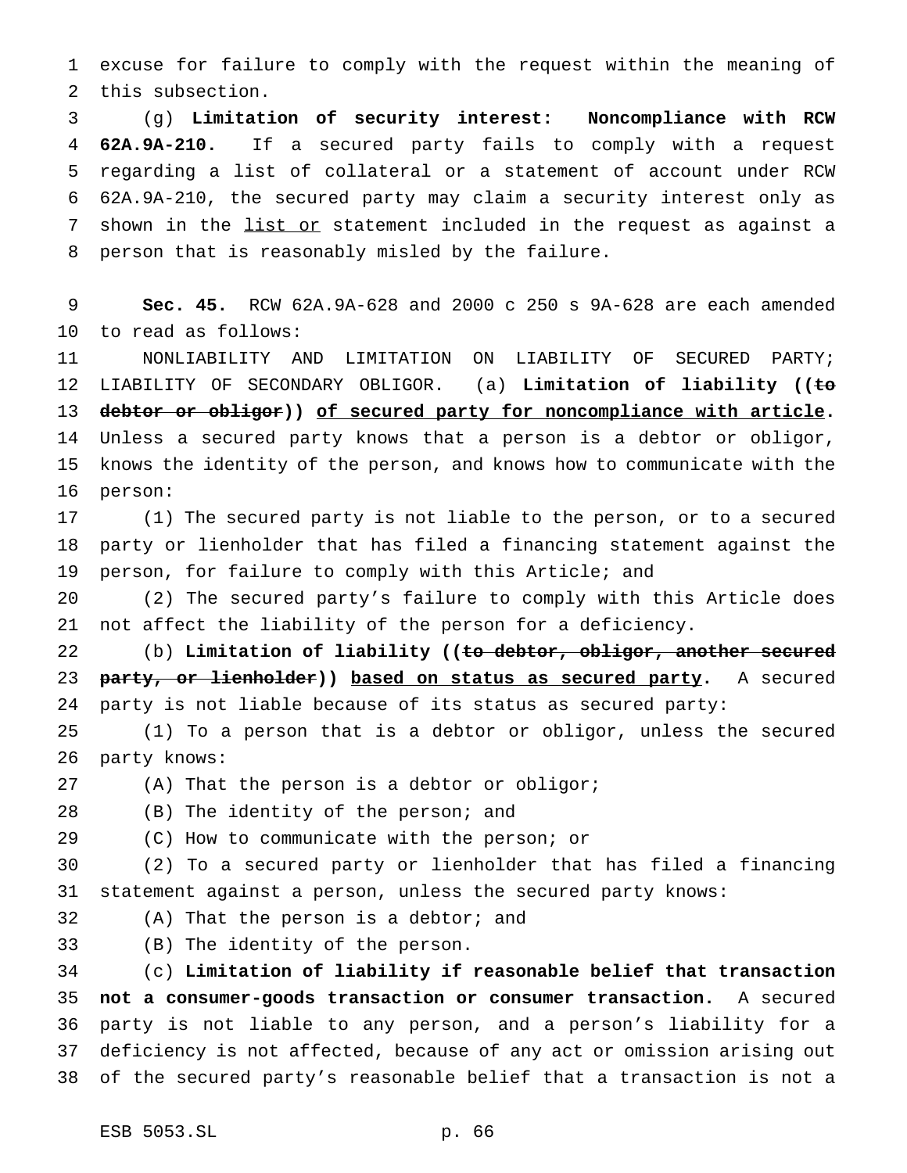excuse for failure to comply with the request within the meaning of this subsection.

 (g) **Limitation of security interest: Noncompliance with RCW 62A.9A-210.** If a secured party fails to comply with a request regarding a list of collateral or a statement of account under RCW 62A.9A-210, the secured party may claim a security interest only as 7 shown in the list or statement included in the request as against a person that is reasonably misled by the failure.

 **Sec. 45.** RCW 62A.9A-628 and 2000 c 250 s 9A-628 are each amended to read as follows:

 NONLIABILITY AND LIMITATION ON LIABILITY OF SECURED PARTY; LIABILITY OF SECONDARY OBLIGOR. (a) **Limitation of liability ((to debtor or obligor)) of secured party for noncompliance with article.** Unless a secured party knows that a person is a debtor or obligor, knows the identity of the person, and knows how to communicate with the person:

 (1) The secured party is not liable to the person, or to a secured party or lienholder that has filed a financing statement against the person, for failure to comply with this Article; and

 (2) The secured party's failure to comply with this Article does not affect the liability of the person for a deficiency.

 (b) **Limitation of liability ((to debtor, obligor, another secured party, or lienholder)) based on status as secured party.** A secured party is not liable because of its status as secured party:

 (1) To a person that is a debtor or obligor, unless the secured party knows:

(A) That the person is a debtor or obligor;

(B) The identity of the person; and

(C) How to communicate with the person; or

 (2) To a secured party or lienholder that has filed a financing statement against a person, unless the secured party knows:

(A) That the person is a debtor; and

(B) The identity of the person.

 (c) **Limitation of liability if reasonable belief that transaction not a consumer-goods transaction or consumer transaction.** A secured party is not liable to any person, and a person's liability for a deficiency is not affected, because of any act or omission arising out of the secured party's reasonable belief that a transaction is not a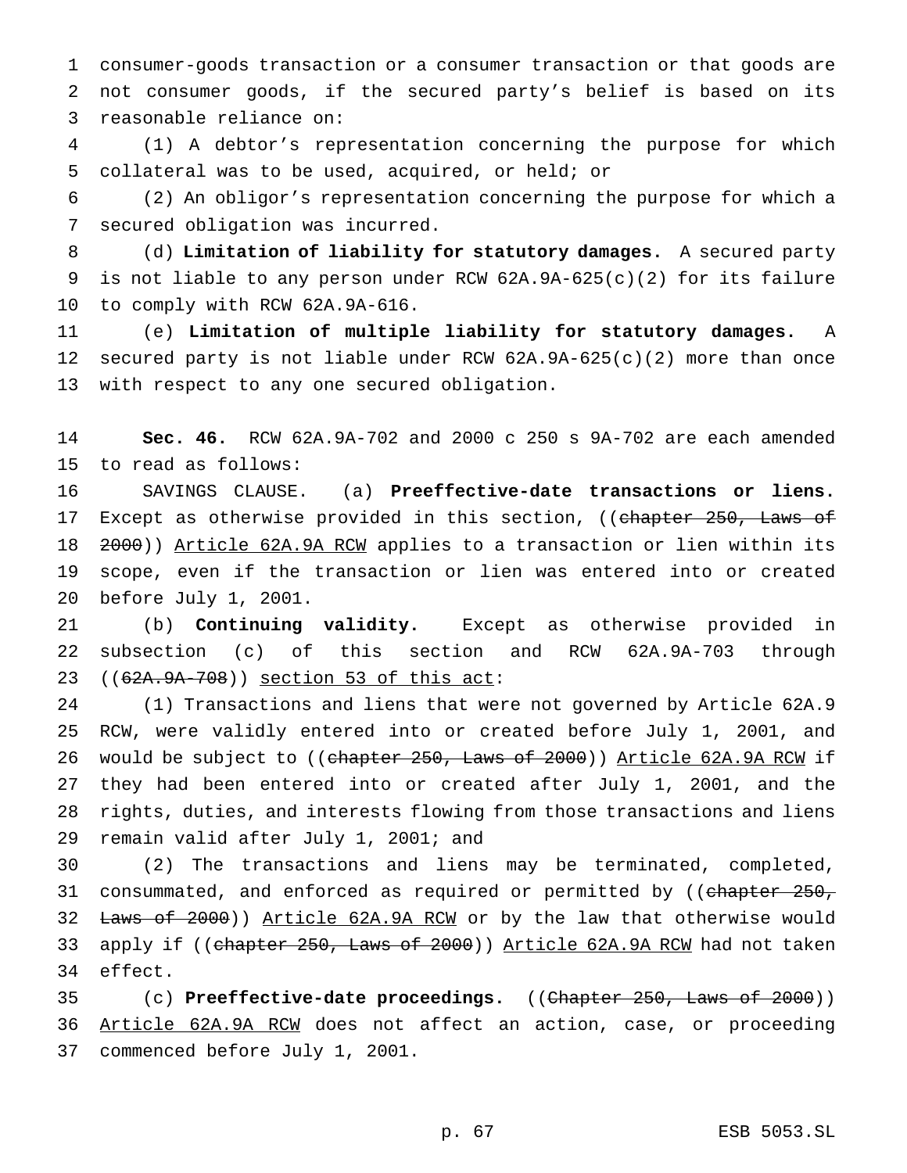consumer-goods transaction or a consumer transaction or that goods are not consumer goods, if the secured party's belief is based on its reasonable reliance on:

 (1) A debtor's representation concerning the purpose for which collateral was to be used, acquired, or held; or

 (2) An obligor's representation concerning the purpose for which a secured obligation was incurred.

 (d) **Limitation of liability for statutory damages.** A secured party is not liable to any person under RCW 62A.9A-625(c)(2) for its failure to comply with RCW 62A.9A-616.

 (e) **Limitation of multiple liability for statutory damages.** A secured party is not liable under RCW 62A.9A-625(c)(2) more than once with respect to any one secured obligation.

 **Sec. 46.** RCW 62A.9A-702 and 2000 c 250 s 9A-702 are each amended to read as follows:

 SAVINGS CLAUSE. (a) **Preeffective-date transactions or liens.** 17 Except as otherwise provided in this section, ((chapter 250, Laws of 2000)) Article 62A.9A RCW applies to a transaction or lien within its scope, even if the transaction or lien was entered into or created before July 1, 2001.

 (b) **Continuing validity.** Except as otherwise provided in subsection (c) of this section and RCW 62A.9A-703 through 23 ((62A.9A-708)) section 53 of this act:

 (1) Transactions and liens that were not governed by Article 62A.9 RCW, were validly entered into or created before July 1, 2001, and 26 would be subject to ((chapter 250, Laws of 2000)) Article 62A.9A RCW if they had been entered into or created after July 1, 2001, and the rights, duties, and interests flowing from those transactions and liens remain valid after July 1, 2001; and

 (2) The transactions and liens may be terminated, completed, 31 consummated, and enforced as required or permitted by ((chapter 250, 32 Laws of 2000)) Article 62A.9A RCW or by the law that otherwise would 33 apply if ((chapter 250, Laws of 2000)) Article 62A.9A RCW had not taken effect.

 (c) **Preeffective-date proceedings.** ((Chapter 250, Laws of 2000)) Article 62A.9A RCW does not affect an action, case, or proceeding commenced before July 1, 2001.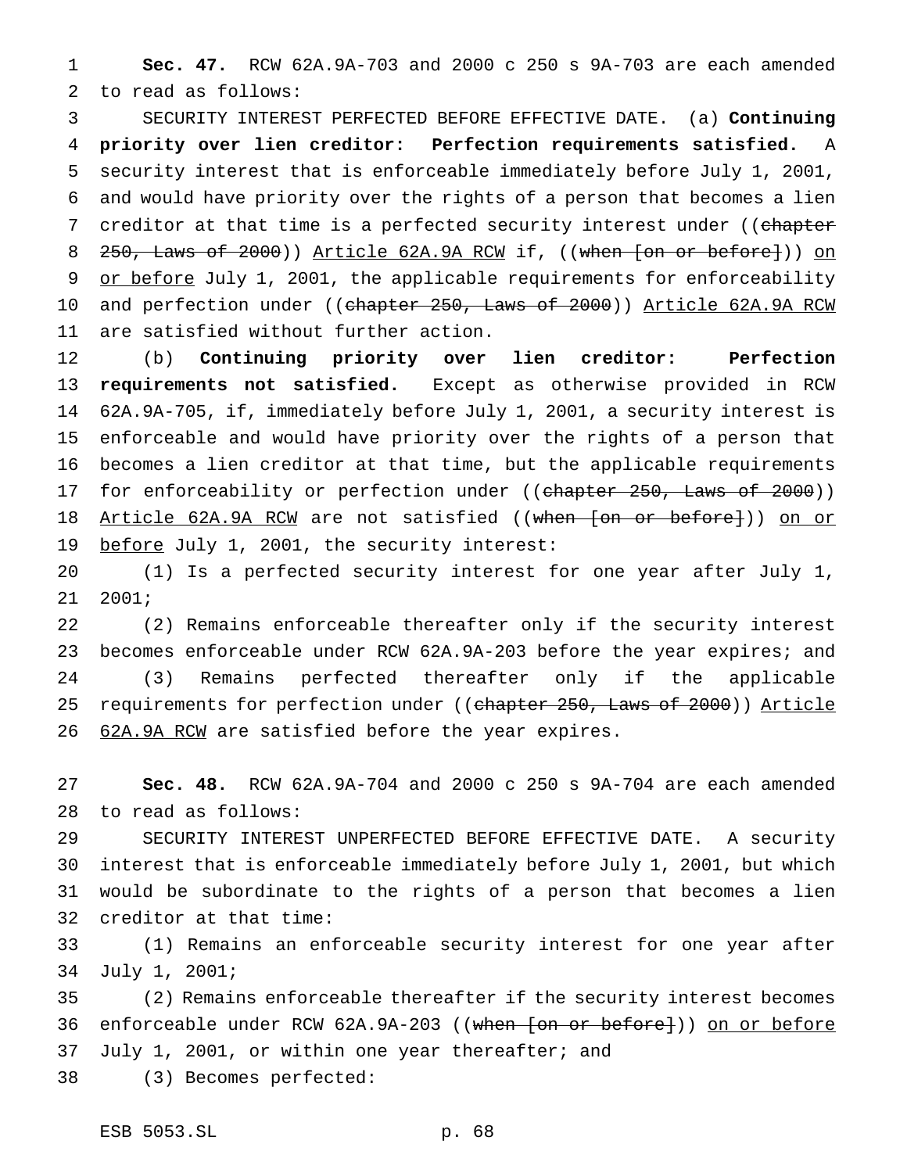**Sec. 47.** RCW 62A.9A-703 and 2000 c 250 s 9A-703 are each amended to read as follows:

 SECURITY INTEREST PERFECTED BEFORE EFFECTIVE DATE. (a) **Continuing priority over lien creditor: Perfection requirements satisfied.** A security interest that is enforceable immediately before July 1, 2001, and would have priority over the rights of a person that becomes a lien 7 creditor at that time is a perfected security interest under ((chapter 8 250, Laws of 2000)) Article 62A.9A RCW if, ((when [on or before])) on 9 or before July 1, 2001, the applicable requirements for enforceability 10 and perfection under ((chapter 250, Laws of 2000)) Article 62A.9A RCW are satisfied without further action.

 (b) **Continuing priority over lien creditor: Perfection requirements not satisfied.** Except as otherwise provided in RCW 62A.9A-705, if, immediately before July 1, 2001, a security interest is enforceable and would have priority over the rights of a person that becomes a lien creditor at that time, but the applicable requirements 17 for enforceability or perfection under ((chapter 250, Laws of 2000)) 18 Article 62A.9A RCW are not satisfied ((when [on or before])) on or 19 before July 1, 2001, the security interest:

 (1) Is a perfected security interest for one year after July 1, 2001;

 (2) Remains enforceable thereafter only if the security interest becomes enforceable under RCW 62A.9A-203 before the year expires; and (3) Remains perfected thereafter only if the applicable 25 requirements for perfection under ((chapter 250, Laws of 2000)) Article 26 62A.9A RCW are satisfied before the year expires.

 **Sec. 48.** RCW 62A.9A-704 and 2000 c 250 s 9A-704 are each amended to read as follows:

 SECURITY INTEREST UNPERFECTED BEFORE EFFECTIVE DATE. A security interest that is enforceable immediately before July 1, 2001, but which would be subordinate to the rights of a person that becomes a lien creditor at that time:

 (1) Remains an enforceable security interest for one year after July 1, 2001;

 (2) Remains enforceable thereafter if the security interest becomes 36 enforceable under RCW 62A.9A-203 ((when [on or before])) on or before 37 July 1, 2001, or within one year thereafter; and

(3) Becomes perfected: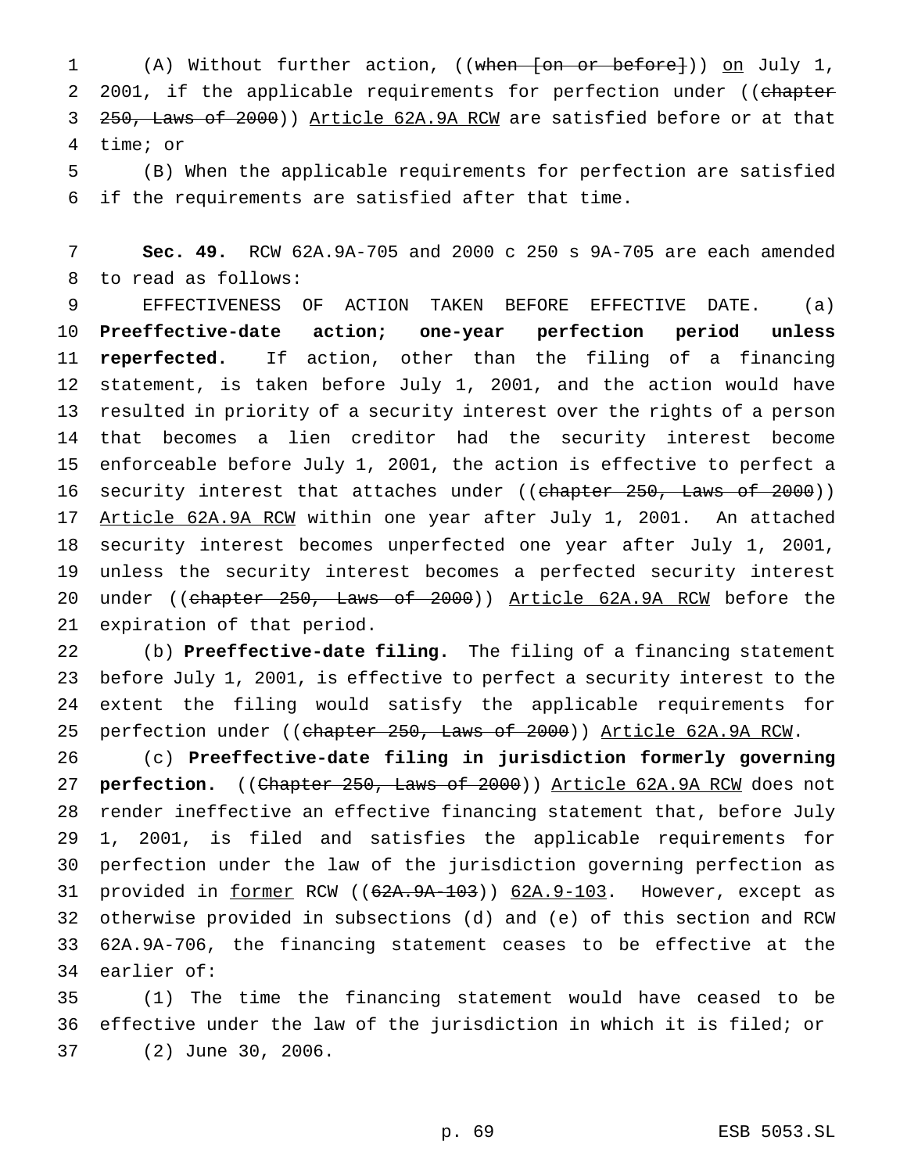(A) Without further action, ((when [on or before])) on July 1, 2 2001, if the applicable requirements for perfection under ((chapter 250, Laws of 2000)) Article 62A.9A RCW are satisfied before or at that time; or

 (B) When the applicable requirements for perfection are satisfied if the requirements are satisfied after that time.

 **Sec. 49.** RCW 62A.9A-705 and 2000 c 250 s 9A-705 are each amended to read as follows:

 EFFECTIVENESS OF ACTION TAKEN BEFORE EFFECTIVE DATE. (a) **Preeffective-date action; one-year perfection period unless reperfected.** If action, other than the filing of a financing statement, is taken before July 1, 2001, and the action would have resulted in priority of a security interest over the rights of a person that becomes a lien creditor had the security interest become enforceable before July 1, 2001, the action is effective to perfect a 16 security interest that attaches under ((chapter 250, Laws of 2000)) 17 Article 62A.9A RCW within one year after July 1, 2001. An attached security interest becomes unperfected one year after July 1, 2001, unless the security interest becomes a perfected security interest 20 under ((chapter 250, Laws of 2000)) Article 62A.9A RCW before the expiration of that period.

 (b) **Preeffective-date filing.** The filing of a financing statement before July 1, 2001, is effective to perfect a security interest to the extent the filing would satisfy the applicable requirements for 25 perfection under ((chapter 250, Laws of 2000)) Article 62A.9A RCW.

 (c) **Preeffective-date filing in jurisdiction formerly governing perfection.** ((Chapter 250, Laws of 2000)) Article 62A.9A RCW does not render ineffective an effective financing statement that, before July 1, 2001, is filed and satisfies the applicable requirements for perfection under the law of the jurisdiction governing perfection as 31 provided in former RCW ((62A.9A-103)) 62A.9-103. However, except as otherwise provided in subsections (d) and (e) of this section and RCW 62A.9A-706, the financing statement ceases to be effective at the earlier of:

 (1) The time the financing statement would have ceased to be effective under the law of the jurisdiction in which it is filed; or (2) June 30, 2006.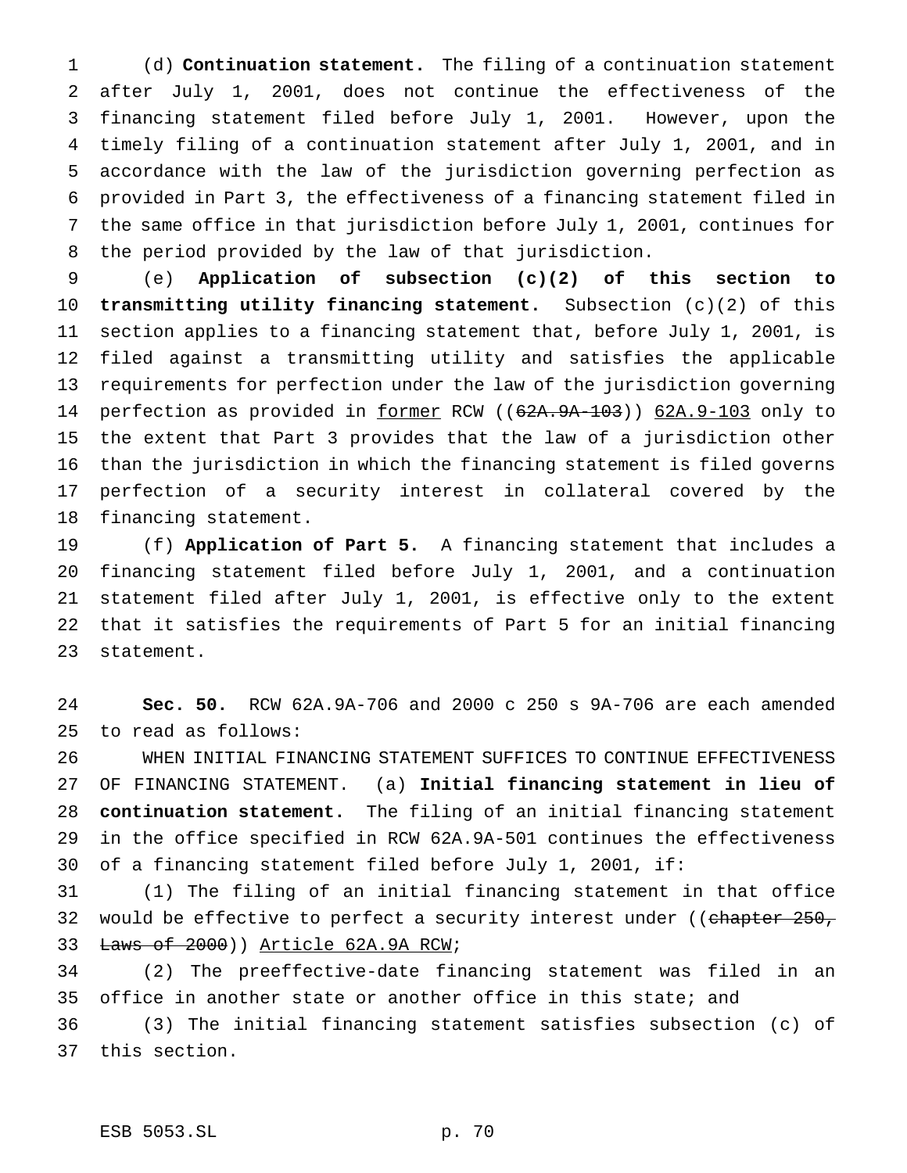(d) **Continuation statement.** The filing of a continuation statement after July 1, 2001, does not continue the effectiveness of the financing statement filed before July 1, 2001. However, upon the timely filing of a continuation statement after July 1, 2001, and in accordance with the law of the jurisdiction governing perfection as provided in Part 3, the effectiveness of a financing statement filed in the same office in that jurisdiction before July 1, 2001, continues for the period provided by the law of that jurisdiction.

 (e) **Application of subsection (c)(2) of this section to transmitting utility financing statement.** Subsection (c)(2) of this section applies to a financing statement that, before July 1, 2001, is filed against a transmitting utility and satisfies the applicable requirements for perfection under the law of the jurisdiction governing 14 perfection as provided in former RCW ((62A.9A-103)) 62A.9-103 only to the extent that Part 3 provides that the law of a jurisdiction other than the jurisdiction in which the financing statement is filed governs perfection of a security interest in collateral covered by the financing statement.

 (f) **Application of Part 5.** A financing statement that includes a financing statement filed before July 1, 2001, and a continuation statement filed after July 1, 2001, is effective only to the extent that it satisfies the requirements of Part 5 for an initial financing statement.

 **Sec. 50.** RCW 62A.9A-706 and 2000 c 250 s 9A-706 are each amended to read as follows:

 WHEN INITIAL FINANCING STATEMENT SUFFICES TO CONTINUE EFFECTIVENESS OF FINANCING STATEMENT. (a) **Initial financing statement in lieu of continuation statement.** The filing of an initial financing statement in the office specified in RCW 62A.9A-501 continues the effectiveness of a financing statement filed before July 1, 2001, if:

 (1) The filing of an initial financing statement in that office 32 would be effective to perfect a security interest under ((chapter 250, 33 Laws of 2000)) Article 62A.9A RCW;

 (2) The preeffective-date financing statement was filed in an office in another state or another office in this state; and

 (3) The initial financing statement satisfies subsection (c) of this section.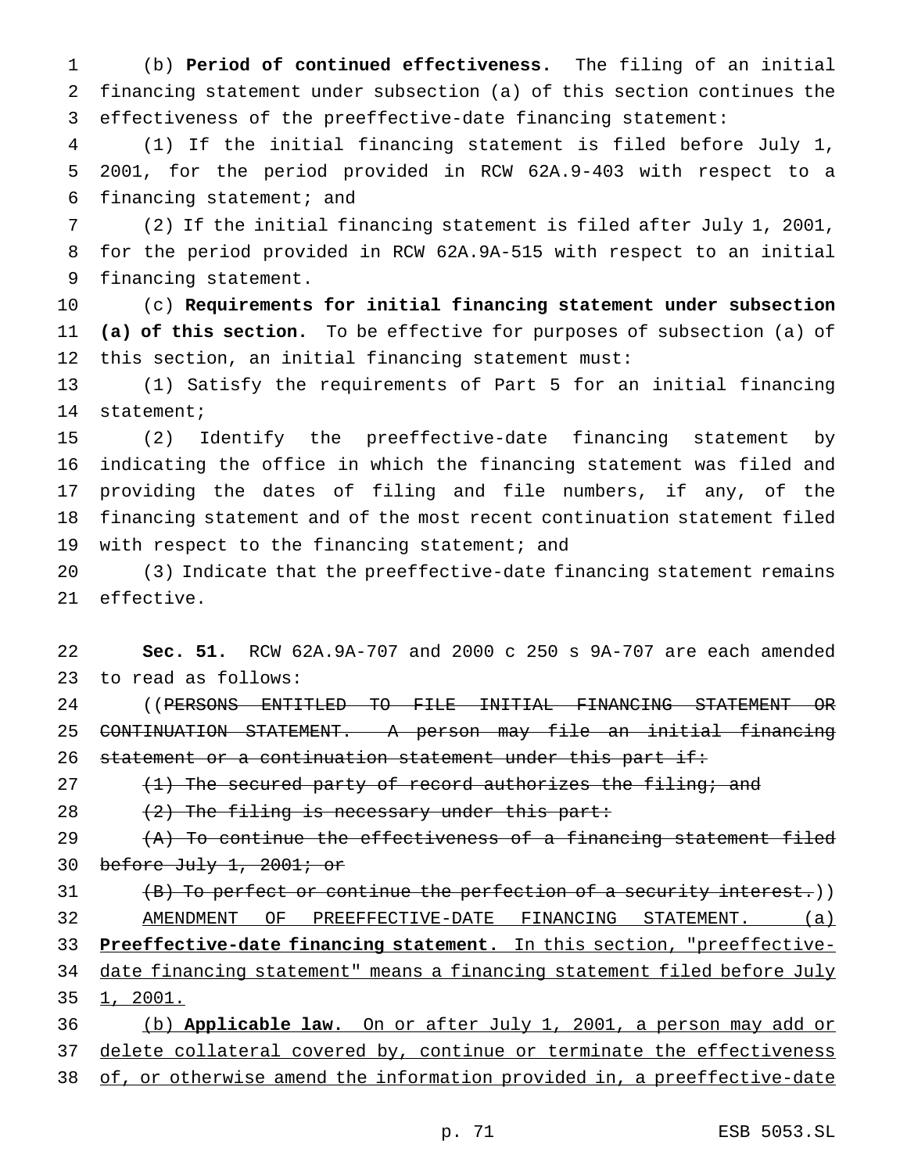(b) **Period of continued effectiveness.** The filing of an initial financing statement under subsection (a) of this section continues the effectiveness of the preeffective-date financing statement:

 (1) If the initial financing statement is filed before July 1, 2001, for the period provided in RCW 62A.9-403 with respect to a financing statement; and

 (2) If the initial financing statement is filed after July 1, 2001, for the period provided in RCW 62A.9A-515 with respect to an initial financing statement.

 (c) **Requirements for initial financing statement under subsection (a) of this section.** To be effective for purposes of subsection (a) of this section, an initial financing statement must:

 (1) Satisfy the requirements of Part 5 for an initial financing statement;

 (2) Identify the preeffective-date financing statement by indicating the office in which the financing statement was filed and providing the dates of filing and file numbers, if any, of the financing statement and of the most recent continuation statement filed with respect to the financing statement; and

 (3) Indicate that the preeffective-date financing statement remains effective.

 **Sec. 51.** RCW 62A.9A-707 and 2000 c 250 s 9A-707 are each amended to read as follows:

 ((PERSONS ENTITLED TO FILE INITIAL FINANCING STATEMENT OR CONTINUATION STATEMENT. A person may file an initial financing 26 statement or a continuation statement under this part if:

27 (1) The secured party of record authorizes the filing; and

 $(2)$  The filing is necessary under this part:

29  $(A)$  To continue the effectiveness of a financing statement filed 30 before July 1, 2001; or

31 (B) To perfect or continue the perfection of a security interest.) AMENDMENT OF PREEFFECTIVE-DATE FINANCING STATEMENT. (a) **Preeffective-date financing statement.** In this section, "preeffective- date financing statement" means a financing statement filed before July 35 1, 2001. (b) **Applicable law.** On or after July 1, 2001, a person may add or

37 delete collateral covered by, continue or terminate the effectiveness

of, or otherwise amend the information provided in, a preeffective-date

p. 71 ESB 5053.SL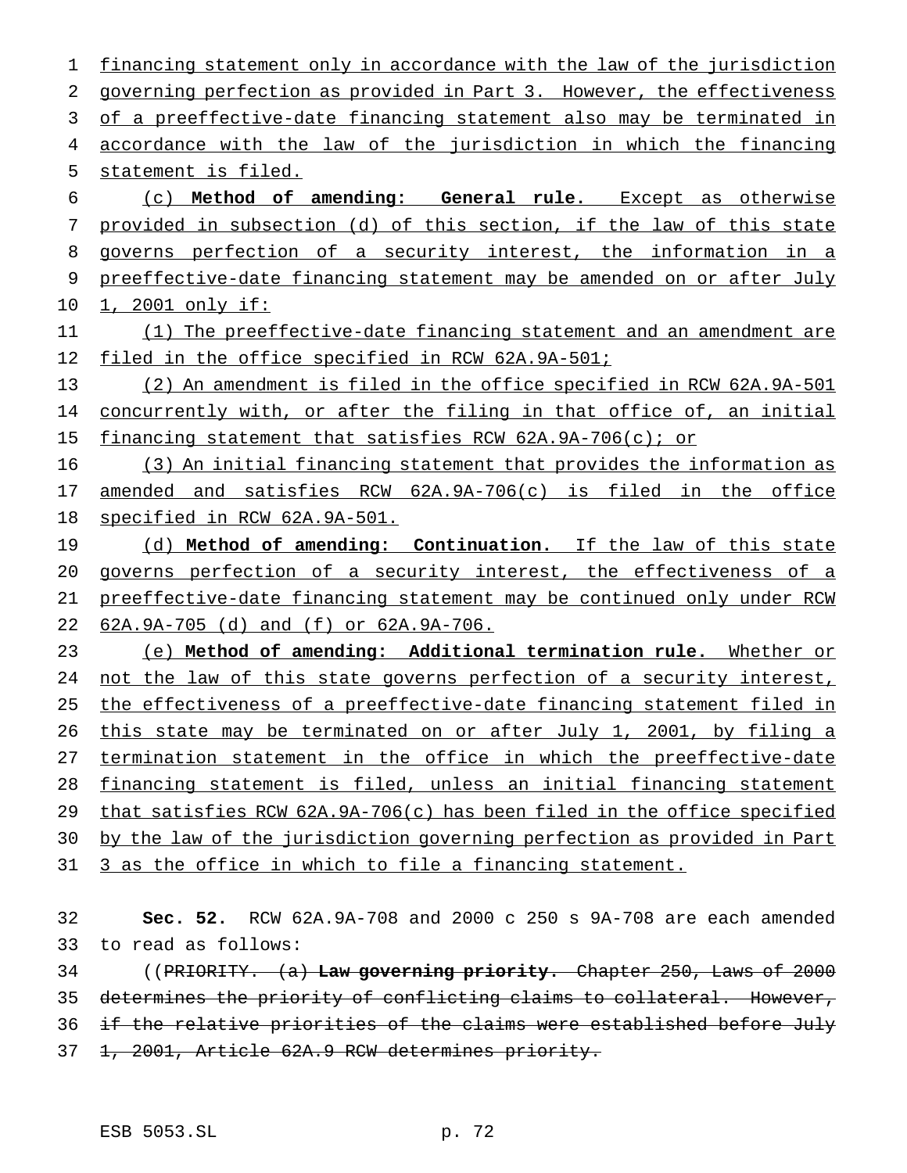1 financing statement only in accordance with the law of the jurisdiction governing perfection as provided in Part 3. However, the effectiveness 3 of a preeffective-date financing statement also may be terminated in accordance with the law of the jurisdiction in which the financing statement is filed. (c) **Method of amending: General rule.** Except as otherwise

 provided in subsection (d) of this section, if the law of this state governs perfection of a security interest, the information in a preeffective-date financing statement may be amended on or after July 1, 2001 only if:

 (1) The preeffective-date financing statement and an amendment are 12 filed in the office specified in RCW 62A.9A-501;

 (2) An amendment is filed in the office specified in RCW 62A.9A-501 concurrently with, or after the filing in that office of, an initial financing statement that satisfies RCW 62A.9A-706(c); or

 (3) An initial financing statement that provides the information as amended and satisfies RCW 62A.9A-706(c) is filed in the office specified in RCW 62A.9A-501.

 (d) **Method of amending: Continuation.** If the law of this state 20 governs perfection of a security interest, the effectiveness of a preeffective-date financing statement may be continued only under RCW 62A.9A-705 (d) and (f) or 62A.9A-706.

 (e) **Method of amending: Additional termination rule.** Whether or not the law of this state governs perfection of a security interest, the effectiveness of a preeffective-date financing statement filed in 26 this state may be terminated on or after July 1, 2001, by filing a termination statement in the office in which the preeffective-date financing statement is filed, unless an initial financing statement that satisfies RCW 62A.9A-706(c) has been filed in the office specified by the law of the jurisdiction governing perfection as provided in Part 3 as the office in which to file a financing statement.

 **Sec. 52.** RCW 62A.9A-708 and 2000 c 250 s 9A-708 are each amended to read as follows:

 ((PRIORITY. (a) **Law governing priority.** Chapter 250, Laws of 2000 35 determines the priority of conflicting claims to collateral. However, if the relative priorities of the claims were established before July 37 1, 2001, Article 62A.9 RCW determines priority.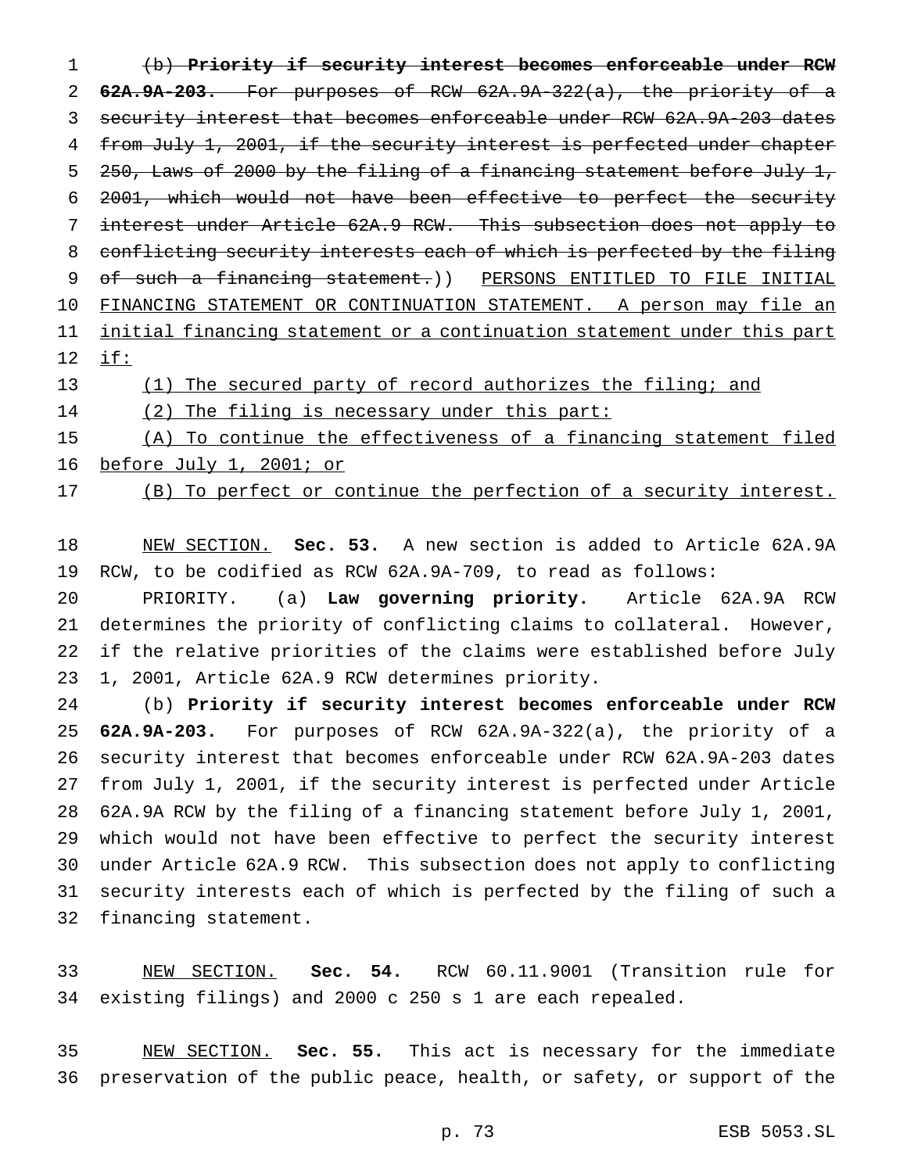(b) **Priority if security interest becomes enforceable under RCW 62A.9A-203.** For purposes of RCW 62A.9A-322(a), the priority of a security interest that becomes enforceable under RCW 62A.9A-203 dates from July 1, 2001, if the security interest is perfected under chapter 5 250, Laws of 2000 by the filing of a financing statement before July 1, 2001, which would not have been effective to perfect the security interest under Article 62A.9 RCW. This subsection does not apply to conflicting security interests each of which is perfected by the filing 9 of such a financing statement.) ) PERSONS ENTITLED TO FILE INITIAL 10 FINANCING STATEMENT OR CONTINUATION STATEMENT. A person may file an initial financing statement or a continuation statement under this part if:

(1) The secured party of record authorizes the filing; and

(2) The filing is necessary under this part:

(A) To continue the effectiveness of a financing statement filed

before July 1, 2001; or

(B) To perfect or continue the perfection of a security interest.

 NEW SECTION. **Sec. 53.** A new section is added to Article 62A.9A RCW, to be codified as RCW 62A.9A-709, to read as follows:

 PRIORITY. (a) **Law governing priority.** Article 62A.9A RCW determines the priority of conflicting claims to collateral. However, if the relative priorities of the claims were established before July 1, 2001, Article 62A.9 RCW determines priority.

 (b) **Priority if security interest becomes enforceable under RCW 62A.9A-203.** For purposes of RCW 62A.9A-322(a), the priority of a security interest that becomes enforceable under RCW 62A.9A-203 dates from July 1, 2001, if the security interest is perfected under Article 62A.9A RCW by the filing of a financing statement before July 1, 2001, which would not have been effective to perfect the security interest under Article 62A.9 RCW. This subsection does not apply to conflicting security interests each of which is perfected by the filing of such a financing statement.

 NEW SECTION. **Sec. 54.** RCW 60.11.9001 (Transition rule for existing filings) and 2000 c 250 s 1 are each repealed.

 NEW SECTION. **Sec. 55.** This act is necessary for the immediate preservation of the public peace, health, or safety, or support of the